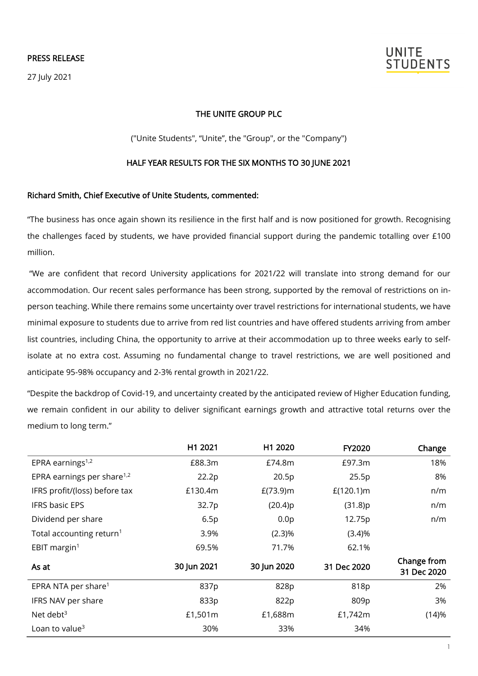27 July 2021



### THE UNITE GROUP PLC

("Unite Students", "Unite", the "Group", or the "[Company"](http://www.investegate.co.uk/unite-group-plc--utg-/rns/outcome-of-usaf-fund-raising/201403310700235435D/))

#### HALF YEAR RESULTS FOR THE SIX MONTHS TO 30 JUNE 2021

#### Richard Smith, Chief Executive of Unite Students, commented:

"The business has once again shown its resilience in the first half and is now positioned for growth. Recognising the challenges faced by students, we have provided financial support during the pandemic totalling over £100 million.

"We are confident that record University applications for 2021/22 will translate into strong demand for our accommodation. Our recent sales performance has been strong, supported by the removal of restrictions on inperson teaching. While there remains some uncertainty over travel restrictions for international students, we have minimal exposure to students due to arrive from red list countries and have offered students arriving from amber list countries, including China, the opportunity to arrive at their accommodation up to three weeks early to selfisolate at no extra cost. Assuming no fundamental change to travel restrictions, we are well positioned and anticipate 95-98% occupancy and 2-3% rental growth in 2021/22.

"Despite the backdrop of Covid-19, and uncertainty created by the anticipated review of Higher Education funding, we remain confident in our ability to deliver significant earnings growth and attractive total returns over the medium to long term."

|                                        | H1 2021     | H1 2020          | FY2020       | Change                     |
|----------------------------------------|-------------|------------------|--------------|----------------------------|
| EPRA earnings $1,2$                    | £88.3m      | £74.8m           | £97.3m       | 18%                        |
| EPRA earnings per share <sup>1,2</sup> | 22.2p       | 20.5p            | 25.5p        | 8%                         |
| IFRS profit/(loss) before tax          | £130.4m     | $E(73.9)$ m      | $E(120.1)$ m | n/m                        |
| <b>IFRS basic EPS</b>                  | 32.7p       | (20.4)p          | (31.8)p      | n/m                        |
| Dividend per share                     | 6.5p        | 0.0 <sub>p</sub> | 12.75p       | n/m                        |
| Total accounting return <sup>1</sup>   | 3.9%        | $(2.3)\%$        | (3.4)%       |                            |
| EBIT margin $1$                        | 69.5%       | 71.7%            | 62.1%        |                            |
| As at                                  | 30 Jun 2021 | 30 Jun 2020      | 31 Dec 2020  | Change from<br>31 Dec 2020 |
| EPRA NTA per share <sup>1</sup>        | 837p        | 828p             | 818p         | 2%                         |
| IFRS NAV per share                     | 833p        | 822p             | 809p         | 3%                         |
| Net debt $3$                           | £1,501m     | £1,688m          | £1,742m      | (14)%                      |
| Loan to value <sup>3</sup>             | 30%         | 33%              | 34%          |                            |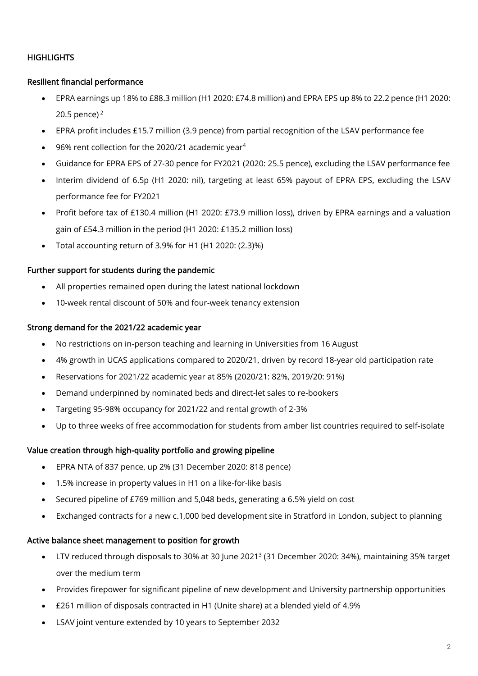# **HIGHLIGHTS**

# Resilient financial performance

- EPRA earnings up 18% to £88.3 million (H1 2020: £74.8 million) and EPRA EPS up 8% to 22.2 pence (H1 2020: 20.5 pence) $<sup>2</sup>$ </sup>
- EPRA profit includes £15.7 million (3.9 pence) from partial recognition of the LSAV performance fee
- 96% rent collection for the 2020/21 academic year<sup>4</sup>
- Guidance for EPRA EPS of 27-30 pence for FY2021 (2020: 25.5 pence), excluding the LSAV performance fee
- Interim dividend of 6.5p (H1 2020: nil), targeting at least 65% payout of EPRA EPS, excluding the LSAV performance fee for FY2021
- Profit before tax of £130.4 million (H1 2020: £73.9 million loss), driven by EPRA earnings and a valuation gain of £54.3 million in the period (H1 2020: £135.2 million loss)
- Total accounting return of 3.9% for H1 (H1 2020: (2.3)%)

# Further support for students during the pandemic

- All properties remained open during the latest national lockdown
- 10-week rental discount of 50% and four-week tenancy extension

# Strong demand for the 2021/22 academic year

- No restrictions on in-person teaching and learning in Universities from 16 August
- 4% growth in UCAS applications compared to 2020/21, driven by record 18-year old participation rate
- Reservations for 2021/22 academic year at 85% (2020/21: 82%, 2019/20: 91%)
- Demand underpinned by nominated beds and direct-let sales to re-bookers
- Targeting 95-98% occupancy for 2021/22 and rental growth of 2-3%
- Up to three weeks of free accommodation for students from amber list countries required to self-isolate

# Value creation through high-quality portfolio and growing pipeline

- EPRA NTA of 837 pence, up 2% (31 December 2020: 818 pence)
- 1.5% increase in property values in H1 on a like-for-like basis
- Secured pipeline of £769 million and 5,048 beds, generating a 6.5% yield on cost
- Exchanged contracts for a new c.1,000 bed development site in Stratford in London, subject to planning

# Active balance sheet management to position for growth

- LTV reduced through disposals to 30% at 30 June 2021<sup>3</sup> (31 December 2020: 34%), maintaining 35% target over the medium term
- Provides firepower for significant pipeline of new development and University partnership opportunities
- £261 million of disposals contracted in H1 (Unite share) at a blended yield of 4.9%
- LSAV joint venture extended by 10 years to September 2032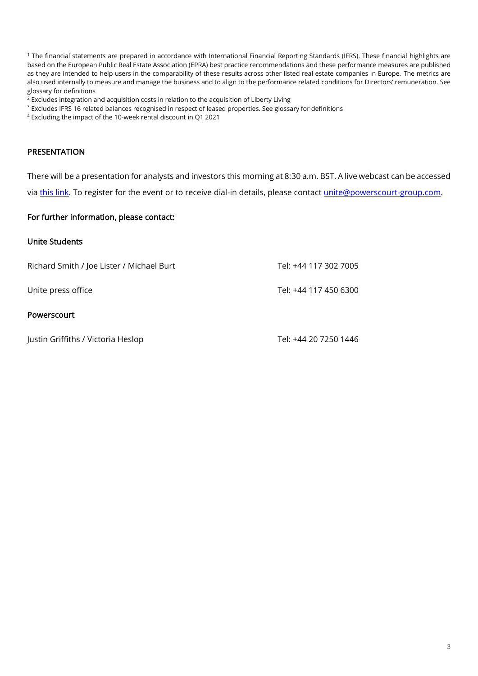<sup>1</sup> The financial statements are prepared in accordance with International Financial Reporting Standards (IFRS). These financial highlights are based on the European Public Real Estate Association (EPRA) best practice recommendations and these performance measures are published as they are intended to help users in the comparability of these results across other listed real estate companies in Europe. The metrics are also used internally to measure and manage the business and to align to the performance related conditions for Directors' remuneration. See glossary for definitions

<sup>2</sup> Excludes integration and acquisition costs in relation to the acquisition of Liberty Living

<sup>3</sup> Excludes IFRS 16 related balances recognised in respect of leased properties. See glossary for definitions

<sup>4</sup> Excluding the impact of the 10-week rental discount in Q1 2021

#### PRESENTATION

There will be a presentation for analysts and investors this morning at 8:30 a.m. BST. A live webcast can be accessed

vi[a this link.](https://webcasting.brrmedia.co.uk/broadcast/60ed94ad5e2a33610efd9513) To register for the event or to receive dial-in details, please contact [unite@powerscourt-group.com.](mailto:unite@powerscourt-group.com)

#### For further information, please contact:

### Unite Students

| Richard Smith / Joe Lister / Michael Burt | Tel: +44 117 302 7005 |
|-------------------------------------------|-----------------------|
| Unite press office                        | Tel: +44 117 450 6300 |
| <b>Powerscourt</b>                        |                       |
| Justin Griffiths / Victoria Heslop        | Tel: +44 20 7250 1446 |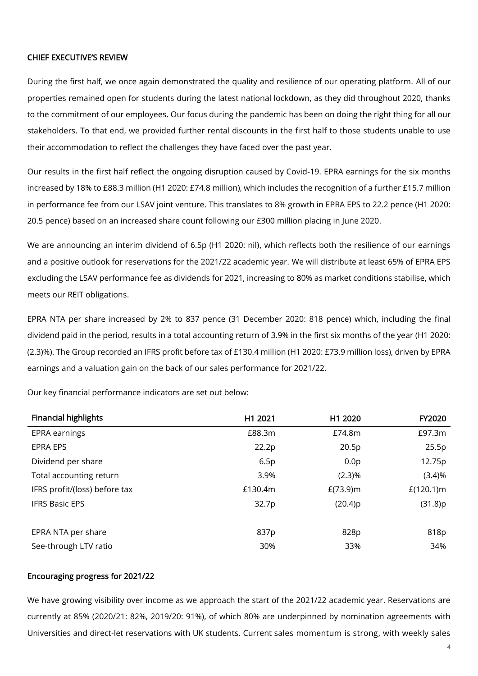### CHIEF EXECUTIVE'S REVIEW

During the first half, we once again demonstrated the quality and resilience of our operating platform. All of our properties remained open for students during the latest national lockdown, as they did throughout 2020, thanks to the commitment of our employees. Our focus during the pandemic has been on doing the right thing for all our stakeholders. To that end, we provided further rental discounts in the first half to those students unable to use their accommodation to reflect the challenges they have faced over the past year.

Our results in the first half reflect the ongoing disruption caused by Covid-19. EPRA earnings for the six months increased by 18% to £88.3 million (H1 2020: £74.8 million), which includes the recognition of a further £15.7 million in performance fee from our LSAV joint venture. This translates to 8% growth in EPRA EPS to 22.2 pence (H1 2020: 20.5 pence) based on an increased share count following our £300 million placing in June 2020.

We are announcing an interim dividend of 6.5p (H1 2020: nil), which reflects both the resilience of our earnings and a positive outlook for reservations for the 2021/22 academic year. We will distribute at least 65% of EPRA EPS excluding the LSAV performance fee as dividends for 2021, increasing to 80% as market conditions stabilise, which meets our REIT obligations.

EPRA NTA per share increased by 2% to 837 pence (31 December 2020: 818 pence) which, including the final dividend paid in the period, results in a total accounting return of 3.9% in the first six months of the year (H1 2020: (2.3)%). The Group recorded an IFRS profit before tax of £130.4 million (H1 2020: £73.9 million loss), driven by EPRA earnings and a valuation gain on the back of our sales performance for 2021/22.

| <b>Financial highlights</b>   | H1 2021 | H1 2020          | <b>FY2020</b> |
|-------------------------------|---------|------------------|---------------|
| EPRA earnings                 | £88.3m  | £74.8m           | £97.3m        |
| <b>EPRA EPS</b>               | 22.2p   | 20.5p            | 25.5p         |
| Dividend per share            | 6.5p    | 0.0 <sub>p</sub> | 12.75p        |
| Total accounting return       | 3.9%    | (2.3)%           | (3.4)%        |
| IFRS profit/(loss) before tax | £130.4m | $E(73.9)$ m      | $E(120.1)$ m  |
| <b>IFRS Basic EPS</b>         | 32.7p   | (20.4)p          | (31.8)p       |
|                               |         |                  |               |
| EPRA NTA per share            | 837p    | 828p             | 818p          |
| See-through LTV ratio         | 30%     | 33%              | 34%           |

Our key financial performance indicators are set out below:

### Encouraging progress for 2021/22

We have growing visibility over income as we approach the start of the 2021/22 academic year. Reservations are currently at 85% (2020/21: 82%, 2019/20: 91%), of which 80% are underpinned by nomination agreements with Universities and direct-let reservations with UK students. Current sales momentum is strong, with weekly sales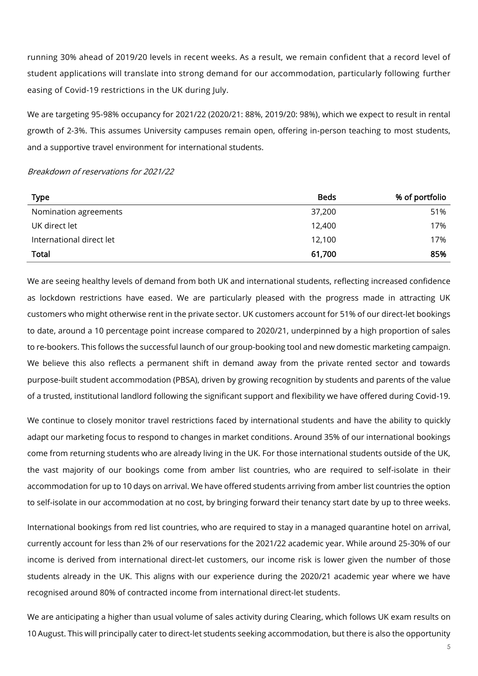running 30% ahead of 2019/20 levels in recent weeks. As a result, we remain confident that a record level of student applications will translate into strong demand for our accommodation, particularly following further easing of Covid-19 restrictions in the UK during July.

We are targeting 95-98% occupancy for 2021/22 (2020/21: 88%, 2019/20: 98%), which we expect to result in rental growth of 2-3%. This assumes University campuses remain open, offering in-person teaching to most students, and a supportive travel environment for international students.

#### Breakdown of reservations for 2021/22

| <b>Type</b>              | <b>Beds</b> | % of portfolio |
|--------------------------|-------------|----------------|
| Nomination agreements    | 37,200      | 51%            |
| UK direct let            | 12,400      | 17%            |
| International direct let | 12,100      | 17%            |
| Total                    | 61,700      | 85%            |

We are seeing healthy levels of demand from both UK and international students, reflecting increased confidence as lockdown restrictions have eased. We are particularly pleased with the progress made in attracting UK customers who might otherwise rent in the private sector. UK customers account for 51% of our direct-let bookings to date, around a 10 percentage point increase compared to 2020/21, underpinned by a high proportion of sales to re-bookers. This follows the successful launch of our group-booking tool and new domestic marketing campaign. We believe this also reflects a permanent shift in demand away from the private rented sector and towards purpose-built student accommodation (PBSA), driven by growing recognition by students and parents of the value of a trusted, institutional landlord following the significant support and flexibility we have offered during Covid-19.

We continue to closely monitor travel restrictions faced by international students and have the ability to quickly adapt our marketing focus to respond to changes in market conditions. Around 35% of our international bookings come from returning students who are already living in the UK. For those international students outside of the UK, the vast majority of our bookings come from amber list countries, who are required to self-isolate in their accommodation for up to 10 days on arrival. We have offered students arriving from amber list countries the option to self-isolate in our accommodation at no cost, by bringing forward their tenancy start date by up to three weeks.

International bookings from red list countries, who are required to stay in a managed quarantine hotel on arrival, currently account for less than 2% of our reservations for the 2021/22 academic year. While around 25-30% of our income is derived from international direct-let customers, our income risk is lower given the number of those students already in the UK. This aligns with our experience during the 2020/21 academic year where we have recognised around 80% of contracted income from international direct-let students.

We are anticipating a higher than usual volume of sales activity during Clearing, which follows UK exam results on 10 August. This will principally cater to direct-let students seeking accommodation, but there is also the opportunity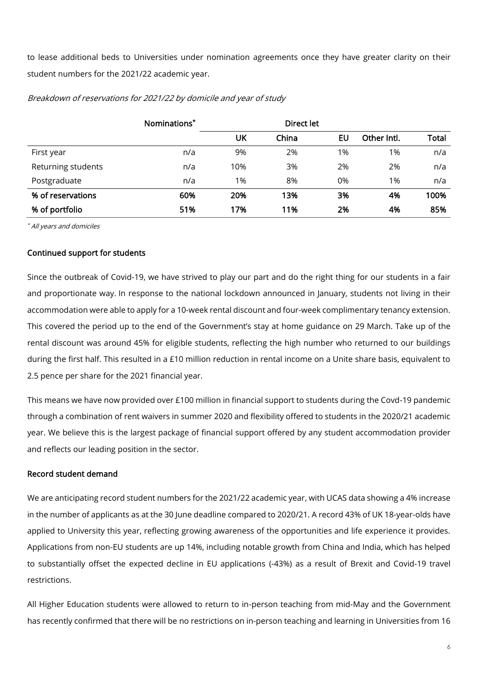to lease additional beds to Universities under nomination agreements once they have greater clarity on their student numbers for the 2021/22 academic year.

|                    | Nominations* |     |       |    |             |              |
|--------------------|--------------|-----|-------|----|-------------|--------------|
|                    |              | UK  | China | EU | Other Intl. | <b>Total</b> |
| First year         | n/a          | 9%  | 2%    | 1% | 1%          | n/a          |
| Returning students | n/a          | 10% | 3%    | 2% | 2%          | n/a          |
| Postgraduate       | n/a          | 1%  | 8%    | 0% | 1%          | n/a          |
| % of reservations  | 60%          | 20% | 13%   | 3% | 4%          | 100%         |
| % of portfolio     | 51%          | 17% | 11%   | 2% | 4%          | 85%          |

Breakdown of reservations for 2021/22 by domicile and year of study

\* All years and domiciles

### Continued support for students

Since the outbreak of Covid-19, we have strived to play our part and do the right thing for our students in a fair and proportionate way. In response to the national lockdown announced in January, students not living in their accommodation were able to apply for a 10-week rental discount and four-week complimentary tenancy extension. This covered the period up to the end of the Government's stay at home guidance on 29 March. Take up of the rental discount was around 45% for eligible students, reflecting the high number who returned to our buildings during the first half. This resulted in a £10 million reduction in rental income on a Unite share basis, equivalent to 2.5 pence per share for the 2021 financial year.

This means we have now provided over £100 million in financial support to students during the Covd-19 pandemic through a combination of rent waivers in summer 2020 and flexibility offered to students in the 2020/21 academic year. We believe this is the largest package of financial support offered by any student accommodation provider and reflects our leading position in the sector.

### Record student demand

We are anticipating record student numbers for the 2021/22 academic year, with UCAS data showing a 4% increase in the number of applicants as at the 30 June deadline compared to 2020/21. A record 43% of UK 18-year-olds have applied to University this year, reflecting growing awareness of the opportunities and life experience it provides. Applications from non-EU students are up 14%, including notable growth from China and India, which has helped to substantially offset the expected decline in EU applications (-43%) as a result of Brexit and Covid-19 travel restrictions.

All Higher Education students were allowed to return to in-person teaching from mid-May and the Government has recently confirmed that there will be no restrictions on in-person teaching and learning in Universities from 16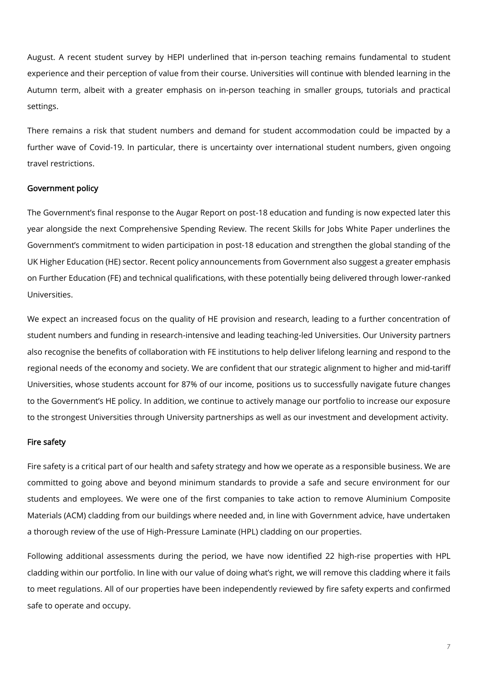August. A recent student survey by HEPI underlined that in-person teaching remains fundamental to student experience and their perception of value from their course. Universities will continue with blended learning in the Autumn term, albeit with a greater emphasis on in-person teaching in smaller groups, tutorials and practical settings.

There remains a risk that student numbers and demand for student accommodation could be impacted by a further wave of Covid-19. In particular, there is uncertainty over international student numbers, given ongoing travel restrictions.

#### Government policy

The Government's final response to the Augar Report on post-18 education and funding is now expected later this year alongside the next Comprehensive Spending Review. The recent Skills for Jobs White Paper underlines the Government's commitment to widen participation in post-18 education and strengthen the global standing of the UK Higher Education (HE) sector. Recent policy announcements from Government also suggest a greater emphasis on Further Education (FE) and technical qualifications, with these potentially being delivered through lower-ranked Universities.

We expect an increased focus on the quality of HE provision and research, leading to a further concentration of student numbers and funding in research-intensive and leading teaching-led Universities. Our University partners also recognise the benefits of collaboration with FE institutions to help deliver lifelong learning and respond to the regional needs of the economy and society. We are confident that our strategic alignment to higher and mid-tariff Universities, whose students account for 87% of our income, positions us to successfully navigate future changes to the Government's HE policy. In addition, we continue to actively manage our portfolio to increase our exposure to the strongest Universities through University partnerships as well as our investment and development activity.

#### Fire safety

Fire safety is a critical part of our health and safety strategy and how we operate as a responsible business. We are committed to going above and beyond minimum standards to provide a safe and secure environment for our students and employees. We were one of the first companies to take action to remove Aluminium Composite Materials (ACM) cladding from our buildings where needed and, in line with Government advice, have undertaken a thorough review of the use of High-Pressure Laminate (HPL) cladding on our properties.

Following additional assessments during the period, we have now identified 22 high-rise properties with HPL cladding within our portfolio. In line with our value of doing what's right, we will remove this cladding where it fails to meet regulations. All of our properties have been independently reviewed by fire safety experts and confirmed safe to operate and occupy.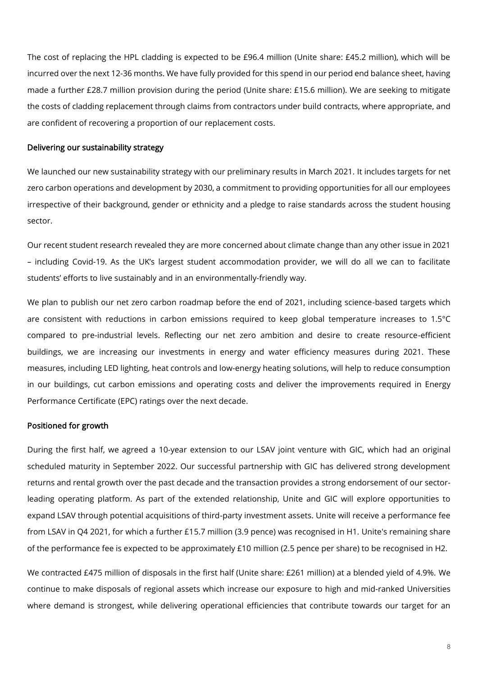The cost of replacing the HPL cladding is expected to be £96.4 million (Unite share: £45.2 million), which will be incurred over the next 12-36 months. We have fully provided for this spend in our period end balance sheet, having made a further £28.7 million provision during the period (Unite share: £15.6 million). We are seeking to mitigate the costs of cladding replacement through claims from contractors under build contracts, where appropriate, and are confident of recovering a proportion of our replacement costs.

### Delivering our sustainability strategy

We launched our new sustainability strategy with our preliminary results in March 2021. It includes targets for net zero carbon operations and development by 2030, a commitment to providing opportunities for all our employees irrespective of their background, gender or ethnicity and a pledge to raise standards across the student housing sector.

Our recent student research revealed they are more concerned about climate change than any other issue in 2021 – including Covid-19. As the UK's largest student accommodation provider, we will do all we can to facilitate students' efforts to live sustainably and in an environmentally-friendly way.

We plan to publish our net zero carbon roadmap before the end of 2021, including science-based targets which are consistent with reductions in carbon emissions required to keep global temperature increases to 1.5°C compared to pre-industrial levels. Reflecting our net zero ambition and desire to create resource-efficient buildings, we are increasing our investments in energy and water efficiency measures during 2021. These measures, including LED lighting, heat controls and low-energy heating solutions, will help to reduce consumption in our buildings, cut carbon emissions and operating costs and deliver the improvements required in Energy Performance Certificate (EPC) ratings over the next decade.

#### Positioned for growth

During the first half, we agreed a 10-year extension to our LSAV joint venture with GIC, which had an original scheduled maturity in September 2022. Our successful partnership with GIC has delivered strong development returns and rental growth over the past decade and the transaction provides a strong endorsement of our sectorleading operating platform. As part of the extended relationship, Unite and GIC will explore opportunities to expand LSAV through potential acquisitions of third-party investment assets. Unite will receive a performance fee from LSAV in Q4 2021, for which a further £15.7 million (3.9 pence) was recognised in H1. Unite's remaining share of the performance fee is expected to be approximately £10 million (2.5 pence per share) to be recognised in H2.

We contracted £475 million of disposals in the first half (Unite share: £261 million) at a blended yield of 4.9%. We continue to make disposals of regional assets which increase our exposure to high and mid-ranked Universities where demand is strongest, while delivering operational efficiencies that contribute towards our target for an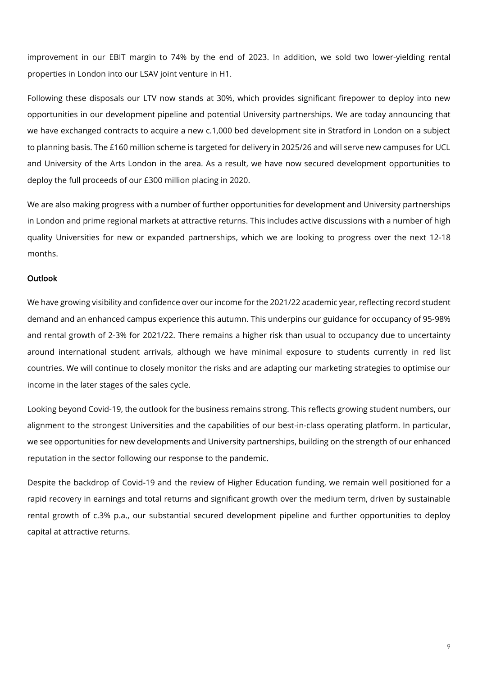improvement in our EBIT margin to 74% by the end of 2023. In addition, we sold two lower-yielding rental properties in London into our LSAV joint venture in H1.

Following these disposals our LTV now stands at 30%, which provides significant firepower to deploy into new opportunities in our development pipeline and potential University partnerships. We are today announcing that we have exchanged contracts to acquire a new c.1,000 bed development site in Stratford in London on a subject to planning basis. The £160 million scheme is targeted for delivery in 2025/26 and will serve new campuses for UCL and University of the Arts London in the area. As a result, we have now secured development opportunities to deploy the full proceeds of our £300 million placing in 2020.

We are also making progress with a number of further opportunities for development and University partnerships in London and prime regional markets at attractive returns. This includes active discussions with a number of high quality Universities for new or expanded partnerships, which we are looking to progress over the next 12-18 months.

### Outlook

We have growing visibility and confidence over our income for the 2021/22 academic year, reflecting record student demand and an enhanced campus experience this autumn. This underpins our guidance for occupancy of 95-98% and rental growth of 2-3% for 2021/22. There remains a higher risk than usual to occupancy due to uncertainty around international student arrivals, although we have minimal exposure to students currently in red list countries. We will continue to closely monitor the risks and are adapting our marketing strategies to optimise our income in the later stages of the sales cycle.

Looking beyond Covid-19, the outlook for the business remains strong. This reflects growing student numbers, our alignment to the strongest Universities and the capabilities of our best-in-class operating platform. In particular, we see opportunities for new developments and University partnerships, building on the strength of our enhanced reputation in the sector following our response to the pandemic.

Despite the backdrop of Covid-19 and the review of Higher Education funding, we remain well positioned for a rapid recovery in earnings and total returns and significant growth over the medium term, driven by sustainable rental growth of c.3% p.a., our substantial secured development pipeline and further opportunities to deploy capital at attractive returns.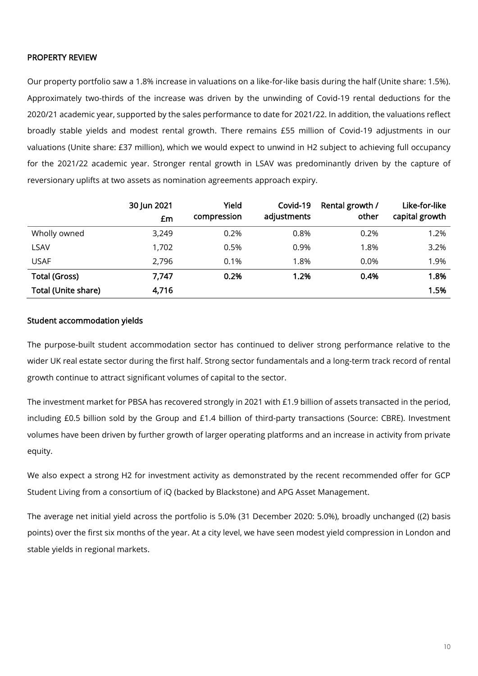### PROPERTY REVIEW

Our property portfolio saw a 1.8% increase in valuations on a like-for-like basis during the half (Unite share: 1.5%). Approximately two-thirds of the increase was driven by the unwinding of Covid-19 rental deductions for the 2020/21 academic year, supported by the sales performance to date for 2021/22. In addition, the valuations reflect broadly stable yields and modest rental growth. There remains £55 million of Covid-19 adjustments in our valuations (Unite share: £37 million), which we would expect to unwind in H2 subject to achieving full occupancy for the 2021/22 academic year. Stronger rental growth in LSAV was predominantly driven by the capture of reversionary uplifts at two assets as nomination agreements approach expiry.

|                            | 30 Jun 2021<br>£m | Yield<br>compression | Covid-19<br>adjustments | Rental growth /<br>other | Like-for-like<br>capital growth |
|----------------------------|-------------------|----------------------|-------------------------|--------------------------|---------------------------------|
|                            |                   |                      |                         |                          |                                 |
| Wholly owned               | 3,249             | 0.2%                 | 0.8%                    | 0.2%                     | 1.2%                            |
| <b>LSAV</b>                | 1,702             | 0.5%                 | 0.9%                    | 1.8%                     | 3.2%                            |
| <b>USAF</b>                | 2,796             | 0.1%                 | 1.8%                    | $0.0\%$                  | 1.9%                            |
| <b>Total (Gross)</b>       | 7,747             | 0.2%                 | 1.2%                    | 0.4%                     | 1.8%                            |
| <b>Total (Unite share)</b> | 4,716             |                      |                         |                          | 1.5%                            |

### Student accommodation yields

The purpose-built student accommodation sector has continued to deliver strong performance relative to the wider UK real estate sector during the first half. Strong sector fundamentals and a long-term track record of rental growth continue to attract significant volumes of capital to the sector.

The investment market for PBSA has recovered strongly in 2021 with £1.9 billion of assets transacted in the period, including £0.5 billion sold by the Group and £1.4 billion of third-party transactions (Source: CBRE). Investment volumes have been driven by further growth of larger operating platforms and an increase in activity from private equity.

We also expect a strong H2 for investment activity as demonstrated by the recent recommended offer for GCP Student Living from a consortium of iQ (backed by Blackstone) and APG Asset Management.

The average net initial yield across the portfolio is 5.0% (31 December 2020: 5.0%), broadly unchanged ((2) basis points) over the first six months of the year. At a city level, we have seen modest yield compression in London and stable yields in regional markets.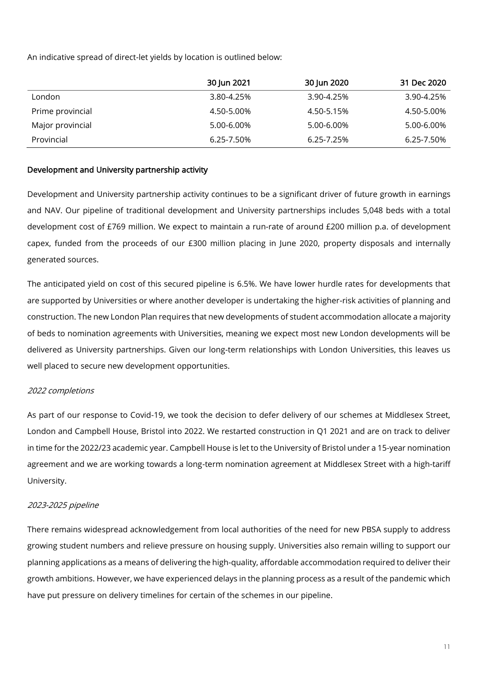An indicative spread of direct-let yields by location is outlined below:

|                  | 30 Jun 2021 | 30 Jun 2020 | 31 Dec 2020 |
|------------------|-------------|-------------|-------------|
| London           | 3.80-4.25%  | 3.90-4.25%  | 3.90-4.25%  |
| Prime provincial | 4.50-5.00%  | 4.50-5.15%  | 4.50-5.00%  |
| Major provincial | 5.00-6.00%  | 5.00-6.00%  | 5.00-6.00%  |
| Provincial       | 6.25-7.50%  | 6.25-7.25%  | 6.25-7.50%  |

### Development and University partnership activity

Development and University partnership activity continues to be a significant driver of future growth in earnings and NAV. Our pipeline of traditional development and University partnerships includes 5,048 beds with a total development cost of £769 million. We expect to maintain a run-rate of around £200 million p.a. of development capex, funded from the proceeds of our £300 million placing in June 2020, property disposals and internally generated sources.

The anticipated yield on cost of this secured pipeline is 6.5%. We have lower hurdle rates for developments that are supported by Universities or where another developer is undertaking the higher-risk activities of planning and construction. The new London Plan requires that new developments of student accommodation allocate a majority of beds to nomination agreements with Universities, meaning we expect most new London developments will be delivered as University partnerships. Given our long-term relationships with London Universities, this leaves us well placed to secure new development opportunities.

### 2022 completions

As part of our response to Covid-19, we took the decision to defer delivery of our schemes at Middlesex Street, London and Campbell House, Bristol into 2022. We restarted construction in Q1 2021 and are on track to deliver in time for the 2022/23 academic year. Campbell House is let to the University of Bristol under a 15-year nomination agreement and we are working towards a long-term nomination agreement at Middlesex Street with a high-tariff University.

### 2023-2025 pipeline

There remains widespread acknowledgement from local authorities of the need for new PBSA supply to address growing student numbers and relieve pressure on housing supply. Universities also remain willing to support our planning applications as a means of delivering the high-quality, affordable accommodation required to deliver their growth ambitions. However, we have experienced delays in the planning process as a result of the pandemic which have put pressure on delivery timelines for certain of the schemes in our pipeline.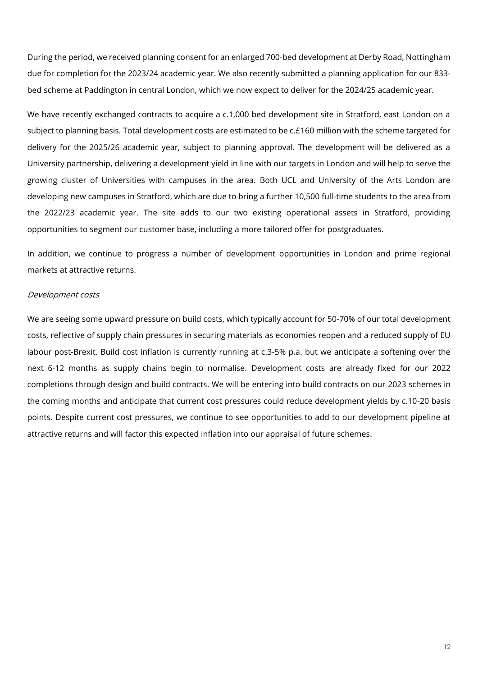During the period, we received planning consent for an enlarged 700-bed development at Derby Road, Nottingham due for completion for the 2023/24 academic year. We also recently submitted a planning application for our 833 bed scheme at Paddington in central London, which we now expect to deliver for the 2024/25 academic year.

We have recently exchanged contracts to acquire a c.1,000 bed development site in Stratford, east London on a subject to planning basis. Total development costs are estimated to be c.£160 million with the scheme targeted for delivery for the 2025/26 academic year, subject to planning approval. The development will be delivered as a University partnership, delivering a development yield in line with our targets in London and will help to serve the growing cluster of Universities with campuses in the area. Both UCL and University of the Arts London are developing new campuses in Stratford, which are due to bring a further 10,500 full-time students to the area from the 2022/23 academic year. The site adds to our two existing operational assets in Stratford, providing opportunities to segment our customer base, including a more tailored offer for postgraduates.

In addition, we continue to progress a number of development opportunities in London and prime regional markets at attractive returns.

#### Development costs

We are seeing some upward pressure on build costs, which typically account for 50-70% of our total development costs, reflective of supply chain pressures in securing materials as economies reopen and a reduced supply of EU labour post-Brexit. Build cost inflation is currently running at c.3-5% p.a. but we anticipate a softening over the next 6-12 months as supply chains begin to normalise. Development costs are already fixed for our 2022 completions through design and build contracts. We will be entering into build contracts on our 2023 schemes in the coming months and anticipate that current cost pressures could reduce development yields by c.10-20 basis points. Despite current cost pressures, we continue to see opportunities to add to our development pipeline at attractive returns and will factor this expected inflation into our appraisal of future schemes.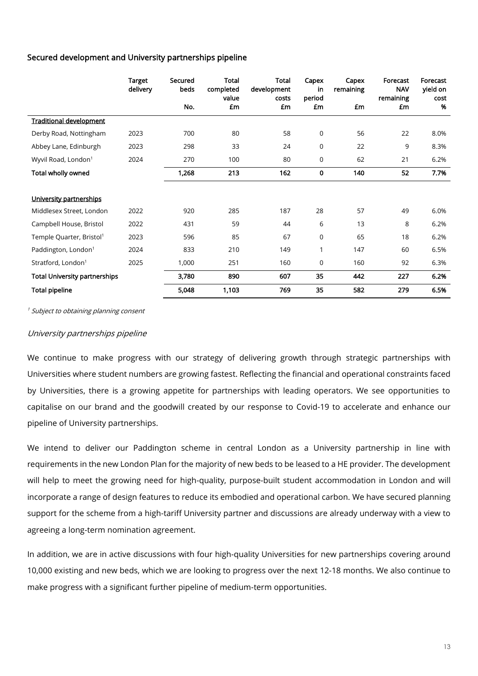# Secured development and University partnerships pipeline

|                                      | <b>Target</b><br>delivery | Secured<br>beds | <b>Total</b><br>completed | Total<br>development | Capex<br>in  | Capex<br>remaining | Forecast<br><b>NAV</b> | Forecast<br>yield on |
|--------------------------------------|---------------------------|-----------------|---------------------------|----------------------|--------------|--------------------|------------------------|----------------------|
|                                      |                           | No.             | value<br>£m               | costs<br>£m          | period<br>£m | £m                 | remaining<br>£m        | cost<br>%            |
| <b>Traditional development</b>       |                           |                 |                           |                      |              |                    |                        |                      |
| Derby Road, Nottingham               | 2023                      | 700             | 80                        | 58                   | $\mathbf 0$  | 56                 | 22                     | 8.0%                 |
| Abbey Lane, Edinburgh                | 2023                      | 298             | 33                        | 24                   | $\mathbf 0$  | 22                 | 9                      | 8.3%                 |
| Wyvil Road, London <sup>1</sup>      | 2024                      | 270             | 100                       | 80                   | $\mathbf 0$  | 62                 | 21                     | 6.2%                 |
| Total wholly owned                   |                           | 1,268           | 213                       | 162                  | $\mathbf 0$  | 140                | 52                     | 7.7%                 |
|                                      |                           |                 |                           |                      |              |                    |                        |                      |
| University partnerships              |                           |                 |                           |                      |              |                    |                        |                      |
| Middlesex Street, London             | 2022                      | 920             | 285                       | 187                  | 28           | 57                 | 49                     | 6.0%                 |
| Campbell House, Bristol              | 2022                      | 431             | 59                        | 44                   | 6            | 13                 | 8                      | 6.2%                 |
| Temple Quarter, Bristol <sup>1</sup> | 2023                      | 596             | 85                        | 67                   | $\mathbf 0$  | 65                 | 18                     | 6.2%                 |
| Paddington, London <sup>1</sup>      | 2024                      | 833             | 210                       | 149                  | 1            | 147                | 60                     | 6.5%                 |
| Stratford, London <sup>1</sup>       | 2025                      | 1,000           | 251                       | 160                  | $\mathbf 0$  | 160                | 92                     | 6.3%                 |
| <b>Total University partnerships</b> |                           | 3,780           | 890                       | 607                  | 35           | 442                | 227                    | 6.2%                 |
| <b>Total pipeline</b>                |                           | 5,048           | 1,103                     | 769                  | 35           | 582                | 279                    | 6.5%                 |

<sup>1</sup> Subject to obtaining planning consent

### University partnerships pipeline

We continue to make progress with our strategy of delivering growth through strategic partnerships with Universities where student numbers are growing fastest. Reflecting the financial and operational constraints faced by Universities, there is a growing appetite for partnerships with leading operators. We see opportunities to capitalise on our brand and the goodwill created by our response to Covid-19 to accelerate and enhance our pipeline of University partnerships.

We intend to deliver our Paddington scheme in central London as a University partnership in line with requirements in the new London Plan for the majority of new beds to be leased to a HE provider. The development will help to meet the growing need for high-quality, purpose-built student accommodation in London and will incorporate a range of design features to reduce its embodied and operational carbon. We have secured planning support for the scheme from a high-tariff University partner and discussions are already underway with a view to agreeing a long-term nomination agreement.

In addition, we are in active discussions with four high-quality Universities for new partnerships covering around 10,000 existing and new beds, which we are looking to progress over the next 12-18 months. We also continue to make progress with a significant further pipeline of medium-term opportunities.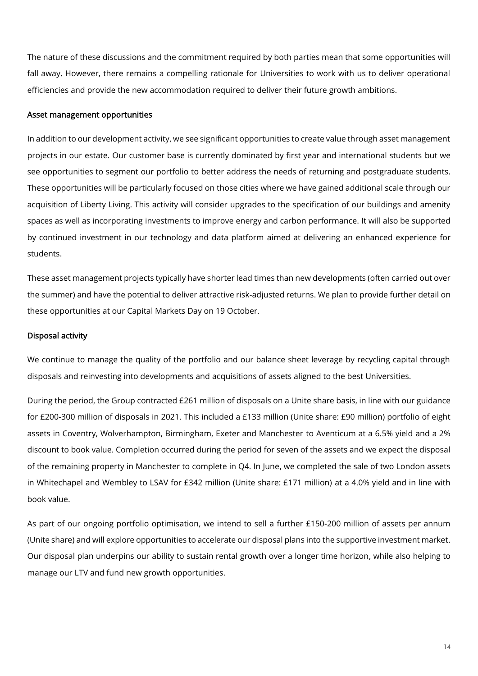The nature of these discussions and the commitment required by both parties mean that some opportunities will fall away. However, there remains a compelling rationale for Universities to work with us to deliver operational efficiencies and provide the new accommodation required to deliver their future growth ambitions.

#### Asset management opportunities

In addition to our development activity, we see significant opportunities to create value through asset management projects in our estate. Our customer base is currently dominated by first year and international students but we see opportunities to segment our portfolio to better address the needs of returning and postgraduate students. These opportunities will be particularly focused on those cities where we have gained additional scale through our acquisition of Liberty Living. This activity will consider upgrades to the specification of our buildings and amenity spaces as well as incorporating investments to improve energy and carbon performance. It will also be supported by continued investment in our technology and data platform aimed at delivering an enhanced experience for students.

These asset management projects typically have shorter lead times than new developments (often carried out over the summer) and have the potential to deliver attractive risk-adjusted returns. We plan to provide further detail on these opportunities at our Capital Markets Day on 19 October.

#### Disposal activity

We continue to manage the quality of the portfolio and our balance sheet leverage by recycling capital through disposals and reinvesting into developments and acquisitions of assets aligned to the best Universities.

During the period, the Group contracted £261 million of disposals on a Unite share basis, in line with our guidance for £200-300 million of disposals in 2021. This included a £133 million (Unite share: £90 million) portfolio of eight assets in Coventry, Wolverhampton, Birmingham, Exeter and Manchester to Aventicum at a 6.5% yield and a 2% discount to book value. Completion occurred during the period for seven of the assets and we expect the disposal of the remaining property in Manchester to complete in Q4. In June, we completed the sale of two London assets in Whitechapel and Wembley to LSAV for £342 million (Unite share: £171 million) at a 4.0% yield and in line with book value.

As part of our ongoing portfolio optimisation, we intend to sell a further £150-200 million of assets per annum (Unite share) and will explore opportunities to accelerate our disposal plans into the supportive investment market. Our disposal plan underpins our ability to sustain rental growth over a longer time horizon, while also helping to manage our LTV and fund new growth opportunities.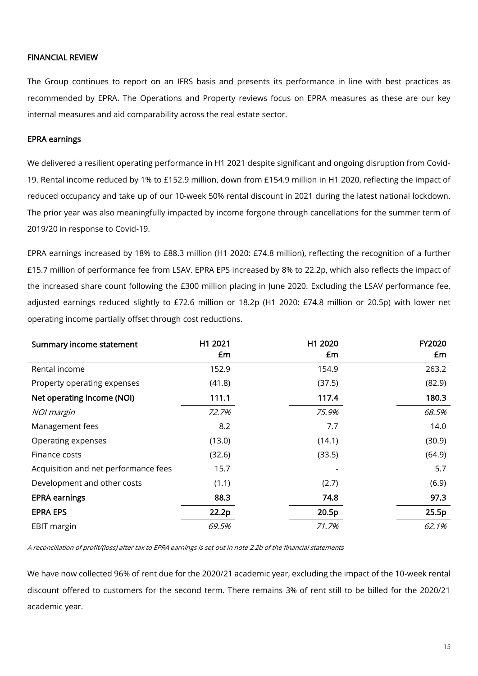### FINANCIAL REVIEW

The Group continues to report on an IFRS basis and presents its performance in line with best practices as recommended by EPRA. The Operations and Property reviews focus on EPRA measures as these are our key internal measures and aid comparability across the real estate sector.

### EPRA earnings

We delivered a resilient operating performance in H1 2021 despite significant and ongoing disruption from Covid-19. Rental income reduced by 1% to £152.9 million, down from £154.9 million in H1 2020, reflecting the impact of reduced occupancy and take up of our 10-week 50% rental discount in 2021 during the latest national lockdown. The prior year was also meaningfully impacted by income forgone through cancellations for the summer term of 2019/20 in response to Covid-19.

EPRA earnings increased by 18% to £88.3 million (H1 2020: £74.8 million), reflecting the recognition of a further £15.7 million of performance fee from LSAV. EPRA EPS increased by 8% to 22.2p, which also reflects the impact of the increased share count following the £300 million placing in June 2020. Excluding the LSAV performance fee, adjusted earnings reduced slightly to £72.6 million or 18.2p (H1 2020: £74.8 million or 20.5p) with lower net operating income partially offset through cost reductions.

| Summary income statement             | H1 2021 | H1 2020 | FY2020 |
|--------------------------------------|---------|---------|--------|
|                                      | £m      | £m      | £m     |
| Rental income                        | 152.9   | 154.9   | 263.2  |
| Property operating expenses          | (41.8)  | (37.5)  | (82.9) |
| Net operating income (NOI)           | 111.1   | 117.4   | 180.3  |
| NOI margin                           | 72.7%   | 75.9%   | 68.5%  |
| Management fees                      | 8.2     | 7.7     | 14.0   |
| Operating expenses                   | (13.0)  | (14.1)  | (30.9) |
| Finance costs                        | (32.6)  | (33.5)  | (64.9) |
| Acquisition and net performance fees | 15.7    |         | 5.7    |
| Development and other costs          | (1.1)   | (2.7)   | (6.9)  |
| <b>EPRA earnings</b>                 | 88.3    | 74.8    | 97.3   |
| <b>EPRA EPS</b>                      | 22.2p   | 20.5p   | 25.5p  |
| <b>EBIT margin</b>                   | 69.5%   | 71.7%   | 62.1%  |

A reconciliation of profit/(loss) after tax to EPRA earnings is set out in note 2.2b of the financial statements

We have now collected 96% of rent due for the 2020/21 academic year, excluding the impact of the 10-week rental discount offered to customers for the second term. There remains 3% of rent still to be billed for the 2020/21 academic year.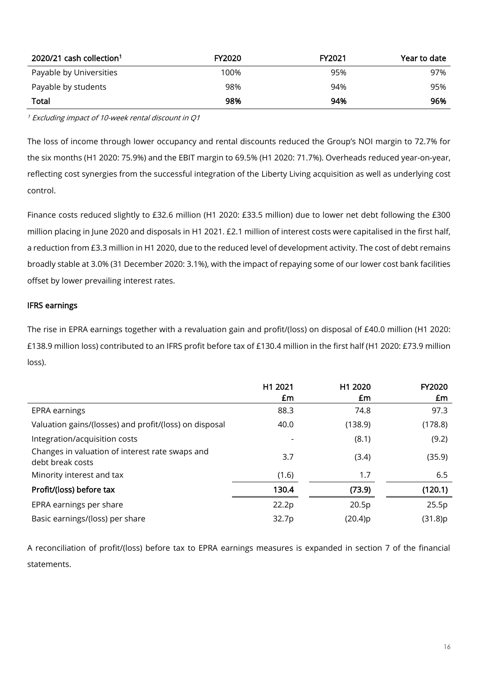| 2020/21 cash collection <sup>1</sup> | <b>FY2020</b> | FY2021 | Year to date |
|--------------------------------------|---------------|--------|--------------|
| Payable by Universities              | 100%          | 95%    | 97%          |
| Payable by students                  | 98%           | 94%    | 95%          |
| <b>Total</b>                         | 98%           | 94%    | 96%          |

<sup>1</sup> Excluding impact of 10-week rental discount in Q1

The loss of income through lower occupancy and rental discounts reduced the Group's NOI margin to 72.7% for the six months (H1 2020: 75.9%) and the EBIT margin to 69.5% (H1 2020: 71.7%). Overheads reduced year-on-year, reflecting cost synergies from the successful integration of the Liberty Living acquisition as well as underlying cost control.

Finance costs reduced slightly to £32.6 million (H1 2020: £33.5 million) due to lower net debt following the £300 million placing in June 2020 and disposals in H1 2021. £2.1 million of interest costs were capitalised in the first half, a reduction from £3.3 million in H1 2020, due to the reduced level of development activity. The cost of debt remains broadly stable at 3.0% (31 December 2020: 3.1%), with the impact of repaying some of our lower cost bank facilities offset by lower prevailing interest rates.

# IFRS earnings

The rise in EPRA earnings together with a revaluation gain and profit/(loss) on disposal of £40.0 million (H1 2020: £138.9 million loss) contributed to an IFRS profit before tax of £130.4 million in the first half (H1 2020: £73.9 million loss).

|                                                                     | H1 2021<br>£m            | H1 2020<br>£m | <b>FY2020</b><br>£m |
|---------------------------------------------------------------------|--------------------------|---------------|---------------------|
| EPRA earnings                                                       | 88.3                     | 74.8          | 97.3                |
| Valuation gains/(losses) and profit/(loss) on disposal              | 40.0                     | (138.9)       | (178.8)             |
| Integration/acquisition costs                                       | $\overline{\phantom{a}}$ | (8.1)         | (9.2)               |
| Changes in valuation of interest rate swaps and<br>debt break costs | 3.7                      | (3.4)         | (35.9)              |
| Minority interest and tax                                           | (1.6)                    | 1.7           | 6.5                 |
| Profit/(loss) before tax                                            | 130.4                    | (73.9)        | (120.1)             |
| EPRA earnings per share                                             | 22.2p                    | 20.5p         | 25.5p               |
| Basic earnings/(loss) per share                                     | 32.7p                    | (20.4)p       | (31.8)p             |

A reconciliation of profit/(loss) before tax to EPRA earnings measures is expanded in section 7 of the financial statements.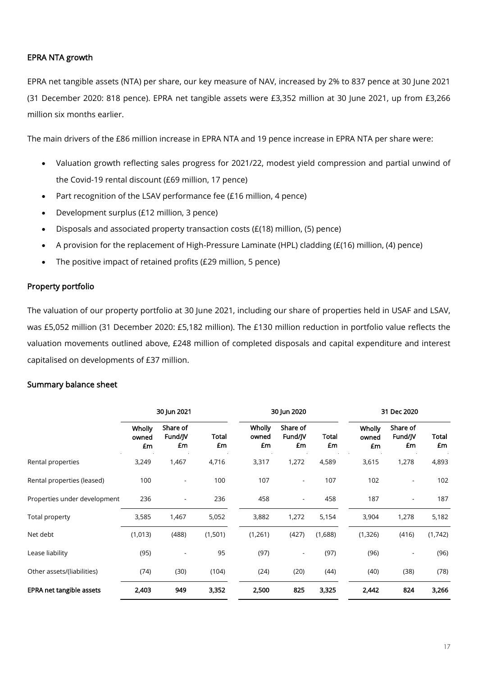# EPRA NTA growth

EPRA net tangible assets (NTA) per share, our key measure of NAV, increased by 2% to 837 pence at 30 June 2021 (31 December 2020: 818 pence). EPRA net tangible assets were £3,352 million at 30 June 2021, up from £3,266 million six months earlier.

The main drivers of the £86 million increase in EPRA NTA and 19 pence increase in EPRA NTA per share were:

- Valuation growth reflecting sales progress for 2021/22, modest yield compression and partial unwind of the Covid-19 rental discount (£69 million, 17 pence)
- Part recognition of the LSAV performance fee (£16 million, 4 pence)
- Development surplus (£12 million, 3 pence)
- Disposals and associated property transaction costs (£(18) million, (5) pence)
- A provision for the replacement of High-Pressure Laminate (HPL) cladding (£(16) million, (4) pence)
- The positive impact of retained profits (£29 million, 5 pence)

### Property portfolio

The valuation of our property portfolio at 30 June 2021, including our share of properties held in USAF and LSAV, was £5,052 million (31 December 2020: £5,182 million). The £130 million reduction in portfolio value reflects the valuation movements outlined above, £248 million of completed disposals and capital expenditure and interest capitalised on developments of £37 million.

### Summary balance sheet

|                              | 30 Jun 2021           |                           |             | 30 Jun 2020           |                           |             | 31 Dec 2020           |                           |             |
|------------------------------|-----------------------|---------------------------|-------------|-----------------------|---------------------------|-------------|-----------------------|---------------------------|-------------|
|                              | Wholly<br>owned<br>£m | Share of<br>Fund/JV<br>£m | Total<br>£m | Wholly<br>owned<br>£m | Share of<br>Fund/JV<br>£m | Total<br>£m | Wholly<br>owned<br>£m | Share of<br>Fund/JV<br>£m | Total<br>£m |
| Rental properties            | 3,249                 | 1,467                     | 4,716       | 3,317                 | 1,272                     | 4,589       | 3,615                 | 1,278                     | 4,893       |
| Rental properties (leased)   | 100                   |                           | 100         | 107                   | $\overline{a}$            | 107         | 102                   |                           | 102         |
| Properties under development | 236                   |                           | 236         | 458                   | $\overline{\phantom{a}}$  | 458         | 187                   |                           | 187         |
| Total property               | 3,585                 | 1,467                     | 5,052       | 3,882                 | 1,272                     | 5,154       | 3,904                 | 1,278                     | 5,182       |
| Net debt                     | (1,013)               | (488)                     | (1,501)     | (1,261)               | (427)                     | (1,688)     | (1,326)               | (416)                     | (1,742)     |
| Lease liability              | (95)                  |                           | 95          | (97)                  | $\overline{a}$            | (97)        | (96)                  |                           | (96)        |
| Other assets/(liabilities)   | (74)                  | (30)                      | (104)       | (24)                  | (20)                      | (44)        | (40)                  | (38)                      | (78)        |
| EPRA net tangible assets     | 2,403                 | 949                       | 3,352       | 2,500                 | 825                       | 3,325       | 2,442                 | 824                       | 3,266       |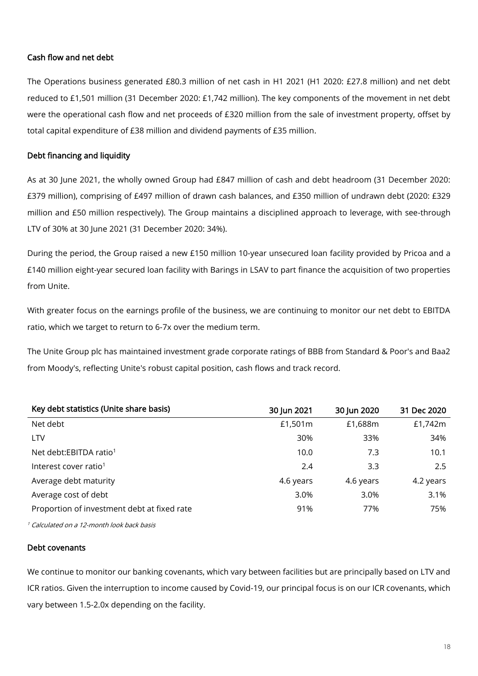# Cash flow and net debt

The Operations business generated £80.3 million of net cash in H1 2021 (H1 2020: £27.8 million) and net debt reduced to £1,501 million (31 December 2020: £1,742 million). The key components of the movement in net debt were the operational cash flow and net proceeds of £320 million from the sale of investment property, offset by total capital expenditure of £38 million and dividend payments of £35 million.

# Debt financing and liquidity

As at 30 June 2021, the wholly owned Group had £847 million of cash and debt headroom (31 December 2020: £379 million), comprising of £497 million of drawn cash balances, and £350 million of undrawn debt (2020: £329 million and £50 million respectively). The Group maintains a disciplined approach to leverage, with see-through LTV of 30% at 30 June 2021 (31 December 2020: 34%).

During the period, the Group raised a new £150 million 10-year unsecured loan facility provided by Pricoa and a £140 million eight-year secured loan facility with Barings in LSAV to part finance the acquisition of two properties from Unite.

With greater focus on the earnings profile of the business, we are continuing to monitor our net debt to EBITDA ratio, which we target to return to 6-7x over the medium term.

The Unite Group plc has maintained investment grade corporate ratings of BBB from Standard & Poor's and Baa2 from Moody's, reflecting Unite's robust capital position, cash flows and track record.

| 30 Jun 2021 | 30 Jun 2020 | 31 Dec 2020 |
|-------------|-------------|-------------|
| £1,501m     | £1,688m     | £1,742m     |
| 30%         | 33%         | 34%         |
| 10.0        | 7.3         | 10.1        |
| 2.4         | 3.3         | 2.5         |
| 4.6 years   | 4.6 years   | 4.2 years   |
| 3.0%        | 3.0%        | 3.1%        |
| 91%         | 77%         | 75%         |
|             |             |             |

<sup>1</sup> Calculated on a 12-month look back basis

### Debt covenants

We continue to monitor our banking covenants, which vary between facilities but are principally based on LTV and ICR ratios. Given the interruption to income caused by Covid-19, our principal focus is on our ICR covenants, which vary between 1.5-2.0x depending on the facility.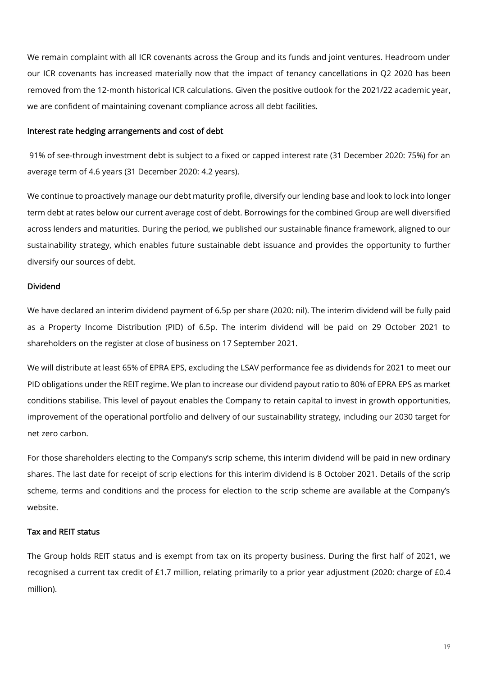We remain complaint with all ICR covenants across the Group and its funds and joint ventures. Headroom under our ICR covenants has increased materially now that the impact of tenancy cancellations in Q2 2020 has been removed from the 12-month historical ICR calculations. Given the positive outlook for the 2021/22 academic year, we are confident of maintaining covenant compliance across all debt facilities.

#### Interest rate hedging arrangements and cost of debt

91% of see-through investment debt is subject to a fixed or capped interest rate (31 December 2020: 75%) for an average term of 4.6 years (31 December 2020: 4.2 years).

We continue to proactively manage our debt maturity profile, diversify our lending base and look to lock into longer term debt at rates below our current average cost of debt. Borrowings for the combined Group are well diversified across lenders and maturities. During the period, we published our sustainable finance framework, aligned to our sustainability strategy, which enables future sustainable debt issuance and provides the opportunity to further diversify our sources of debt.

### Dividend

We have declared an interim dividend payment of 6.5p per share (2020: nil). The interim dividend will be fully paid as a Property Income Distribution (PID) of 6.5p. The interim dividend will be paid on 29 October 2021 to shareholders on the register at close of business on 17 September 2021.

We will distribute at least 65% of EPRA EPS, excluding the LSAV performance fee as dividends for 2021 to meet our PID obligations under the REIT regime. We plan to increase our dividend payout ratio to 80% of EPRA EPS as market conditions stabilise. This level of payout enables the Company to retain capital to invest in growth opportunities, improvement of the operational portfolio and delivery of our sustainability strategy, including our 2030 target for net zero carbon.

For those shareholders electing to the Company's scrip scheme, this interim dividend will be paid in new ordinary shares. The last date for receipt of scrip elections for this interim dividend is 8 October 2021. Details of the scrip scheme, terms and conditions and the process for election to the scrip scheme are available at the Company's website.

# Tax and REIT status

The Group holds REIT status and is exempt from tax on its property business. During the first half of 2021, we recognised a current tax credit of £1.7 million, relating primarily to a prior year adjustment (2020: charge of £0.4 million).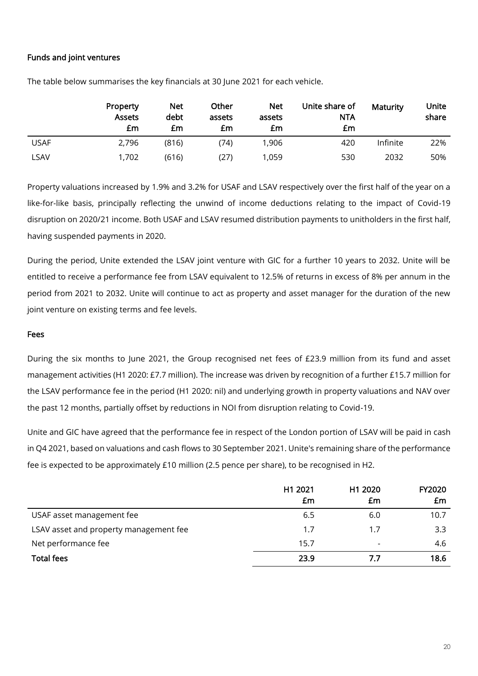# Funds and joint ventures

|             | Property<br><b>Assets</b><br>£m | Net<br>debt<br>£m | Other<br>assets<br>£m | <b>Net</b><br>assets<br>£m | Unite share of<br><b>NTA</b><br>£m | Maturity | Unite<br>share |
|-------------|---------------------------------|-------------------|-----------------------|----------------------------|------------------------------------|----------|----------------|
| <b>USAF</b> | 2,796                           | (816)             | 74)                   | 1,906                      | 420                                | Infinite | 22%            |
| LSAV        | 1,702                           | (616)             | (27)                  | 1,059                      | 530                                | 2032     | 50%            |

The table below summarises the key financials at 30 June 2021 for each vehicle.

Property valuations increased by 1.9% and 3.2% for USAF and LSAV respectively over the first half of the year on a like-for-like basis, principally reflecting the unwind of income deductions relating to the impact of Covid-19 disruption on 2020/21 income. Both USAF and LSAV resumed distribution payments to unitholders in the first half, having suspended payments in 2020.

During the period, Unite extended the LSAV joint venture with GIC for a further 10 years to 2032. Unite will be entitled to receive a performance fee from LSAV equivalent to 12.5% of returns in excess of 8% per annum in the period from 2021 to 2032. Unite will continue to act as property and asset manager for the duration of the new joint venture on existing terms and fee levels.

#### Fees

During the six months to June 2021, the Group recognised net fees of £23.9 million from its fund and asset management activities (H1 2020: £7.7 million). The increase was driven by recognition of a further £15.7 million for the LSAV performance fee in the period (H1 2020: nil) and underlying growth in property valuations and NAV over the past 12 months, partially offset by reductions in NOI from disruption relating to Covid-19.

Unite and GIC have agreed that the performance fee in respect of the London portion of LSAV will be paid in cash in Q4 2021, based on valuations and cash flows to 30 September 2021. Unite's remaining share of the performance fee is expected to be approximately £10 million (2.5 pence per share), to be recognised in H2.

|                                        | H1 2021<br>£m | H1 2020<br>£m            | <b>FY2020</b><br>£m |
|----------------------------------------|---------------|--------------------------|---------------------|
| USAF asset management fee              | 6.5           | 6.0                      | 10.7                |
| LSAV asset and property management fee | 1.7           | 1.7                      | 3.3                 |
| Net performance fee                    | 15.7          | $\overline{\phantom{0}}$ | 4.6                 |
| <b>Total fees</b>                      | 23.9          | 7.7                      | 18.6                |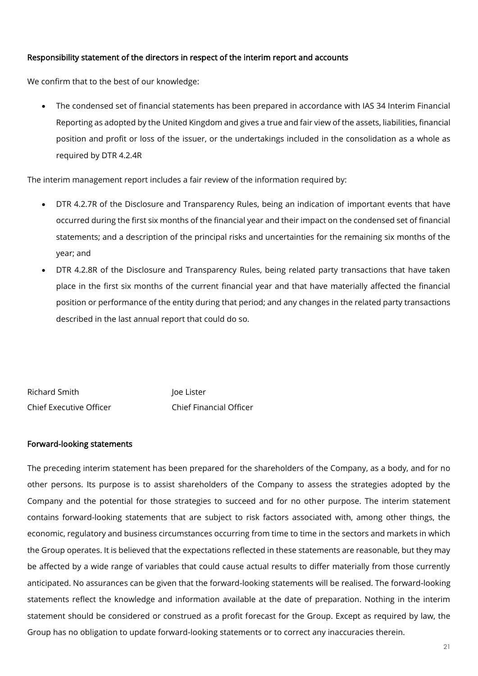# Responsibility statement of the directors in respect of the interim report and accounts

We confirm that to the best of our knowledge:

• The condensed set of financial statements has been prepared in accordance with IAS 34 Interim Financial Reporting as adopted by the United Kingdom and gives a true and fair view of the assets, liabilities, financial position and profit or loss of the issuer, or the undertakings included in the consolidation as a whole as required by DTR 4.2.4R

The interim management report includes a fair review of the information required by:

- DTR 4.2.7R of the Disclosure and Transparency Rules, being an indication of important events that have occurred during the first six months of the financial year and their impact on the condensed set of financial statements; and a description of the principal risks and uncertainties for the remaining six months of the year; and
- DTR 4.2.8R of the Disclosure and Transparency Rules, being related party transactions that have taken place in the first six months of the current financial year and that have materially affected the financial position or performance of the entity during that period; and any changes in the related party transactions described in the last annual report that could do so.

| Richard Smith           | loe Lister                     |
|-------------------------|--------------------------------|
| Chief Executive Officer | <b>Chief Financial Officer</b> |

### Forward-looking statements

The preceding interim statement has been prepared for the shareholders of the Company, as a body, and for no other persons. Its purpose is to assist shareholders of the Company to assess the strategies adopted by the Company and the potential for those strategies to succeed and for no other purpose. The interim statement contains forward-looking statements that are subject to risk factors associated with, among other things, the economic, regulatory and business circumstances occurring from time to time in the sectors and markets in which the Group operates. It is believed that the expectations reflected in these statements are reasonable, but they may be affected by a wide range of variables that could cause actual results to differ materially from those currently anticipated. No assurances can be given that the forward-looking statements will be realised. The forward-looking statements reflect the knowledge and information available at the date of preparation. Nothing in the interim statement should be considered or construed as a profit forecast for the Group. Except as required by law, the Group has no obligation to update forward-looking statements or to correct any inaccuracies therein.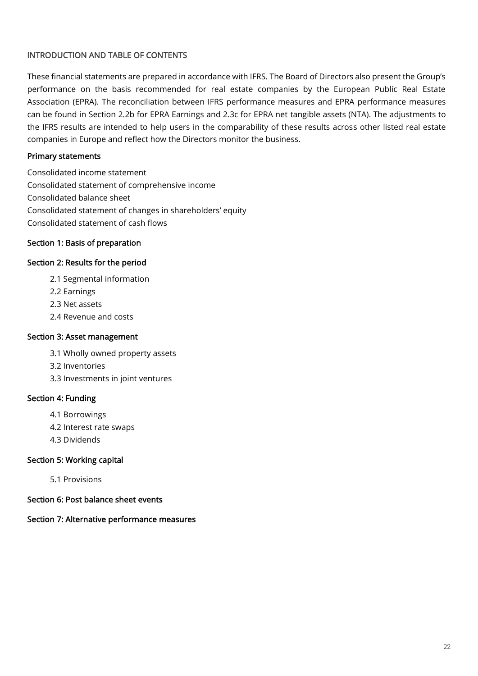# INTRODUCTION AND TABLE OF CONTENTS

These financial statements are prepared in accordance with IFRS. The Board of Directors also present the Group's performance on the basis recommended for real estate companies by the European Public Real Estate Association (EPRA). The reconciliation between IFRS performance measures and EPRA performance measures can be found in Section 2.2b for EPRA Earnings and 2.3c for EPRA net tangible assets (NTA). The adjustments to the IFRS results are intended to help users in the comparability of these results across other listed real estate companies in Europe and reflect how the Directors monitor the business.

# Primary statements

Consolidated income statement Consolidated statement of comprehensive income Consolidated balance sheet Consolidated statement of changes in shareholders' equity Consolidated statement of cash flows

# Section 1: Basis of preparation

### Section 2: Results for the period

- 2.1 Segmental information
- 2.2 Earnings
- 2.3 Net assets
- 2.4 Revenue and costs

### Section 3: Asset management

- 3.1 Wholly owned property assets
- 3.2 Inventories
- 3.3 Investments in joint ventures

# Section 4: Funding

- 4.1 Borrowings
- 4.2 Interest rate swaps
- 4.3 Dividends

# Section 5: Working capital

- 5.1 Provisions
- Section 6: Post balance sheet events

# Section 7: Alternative performance measures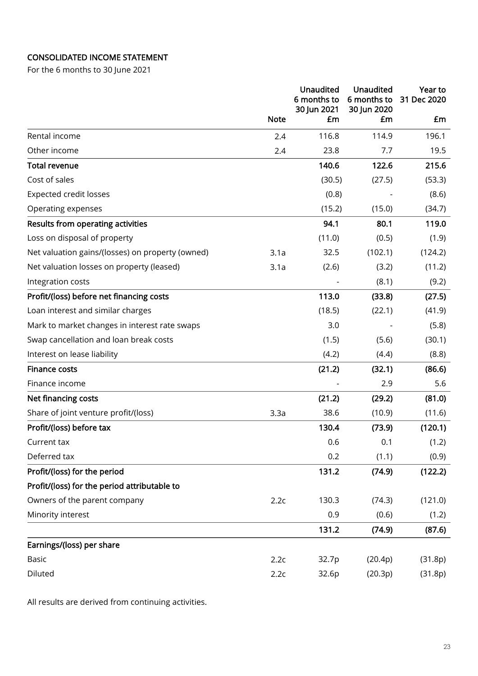# CONSOLIDATED INCOME STATEMENT

For the 6 months to 30 June 2021

|                                                  |             | <b>Unaudited</b><br>6 months to<br>30 Jun 2021 | Unaudited<br>6 months to<br>30 Jun 2020 | Year to<br>31 Dec 2020 |
|--------------------------------------------------|-------------|------------------------------------------------|-----------------------------------------|------------------------|
|                                                  | <b>Note</b> | £m                                             | £m                                      | £m                     |
| Rental income                                    | 2.4         | 116.8                                          | 114.9                                   | 196.1                  |
| Other income                                     | 2.4         | 23.8                                           | 7.7                                     | 19.5                   |
| <b>Total revenue</b>                             |             | 140.6                                          | 122.6                                   | 215.6                  |
| Cost of sales                                    |             | (30.5)                                         | (27.5)                                  | (53.3)                 |
| <b>Expected credit losses</b>                    |             | (0.8)                                          |                                         | (8.6)                  |
| Operating expenses                               |             | (15.2)                                         | (15.0)                                  | (34.7)                 |
| Results from operating activities                |             | 94.1                                           | 80.1                                    | 119.0                  |
| Loss on disposal of property                     |             | (11.0)                                         | (0.5)                                   | (1.9)                  |
| Net valuation gains/(losses) on property (owned) | 3.1a        | 32.5                                           | (102.1)                                 | (124.2)                |
| Net valuation losses on property (leased)        | 3.1a        | (2.6)                                          | (3.2)                                   | (11.2)                 |
| Integration costs                                |             |                                                | (8.1)                                   | (9.2)                  |
| Profit/(loss) before net financing costs         |             | 113.0                                          | (33.8)                                  | (27.5)                 |
| Loan interest and similar charges                |             | (18.5)                                         | (22.1)                                  | (41.9)                 |
| Mark to market changes in interest rate swaps    |             | 3.0                                            |                                         | (5.8)                  |
| Swap cancellation and loan break costs           |             | (1.5)                                          | (5.6)                                   | (30.1)                 |
| Interest on lease liability                      |             | (4.2)                                          | (4.4)                                   | (8.8)                  |
| <b>Finance costs</b>                             |             | (21.2)                                         | (32.1)                                  | (86.6)                 |
| Finance income                                   |             |                                                | 2.9                                     | 5.6                    |
| Net financing costs                              |             | (21.2)                                         | (29.2)                                  | (81.0)                 |
| Share of joint venture profit/(loss)             | 3.3a        | 38.6                                           | (10.9)                                  | (11.6)                 |
| Profit/(loss) before tax                         |             | 130.4                                          | (73.9)                                  | (120.1)                |
| Current tax                                      |             | 0.6                                            | 0.1                                     | (1.2)                  |
| Deferred tax                                     |             | 0.2                                            | (1.1)                                   | (0.9)                  |
| Profit/(loss) for the period                     |             | 131.2                                          | (74.9)                                  | (122.2)                |
| Profit/(loss) for the period attributable to     |             |                                                |                                         |                        |
| Owners of the parent company                     | 2.2c        | 130.3                                          | (74.3)                                  | (121.0)                |
| Minority interest                                |             | 0.9                                            | (0.6)                                   | (1.2)                  |
|                                                  |             | 131.2                                          | (74.9)                                  | (87.6)                 |
| Earnings/(loss) per share                        |             |                                                |                                         |                        |
| <b>Basic</b>                                     | 2.2c        | 32.7p                                          | (20.4p)                                 | (31.8p)                |
| Diluted                                          | 2.2c        | 32.6p                                          | (20.3p)                                 | (31.8p)                |

All results are derived from continuing activities.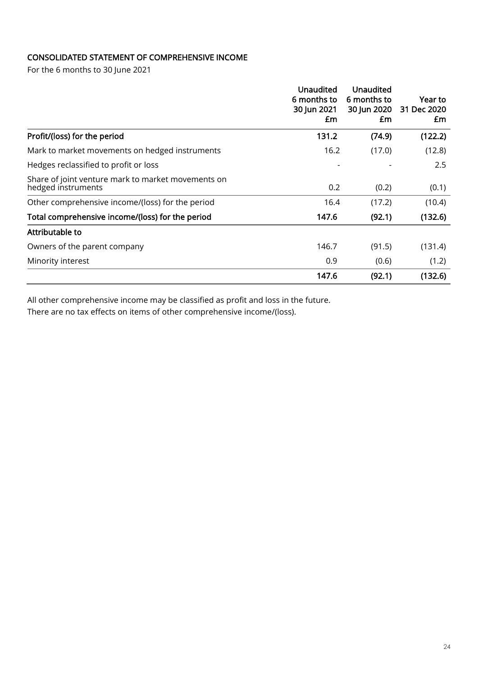# CONSOLIDATED STATEMENT OF COMPREHENSIVE INCOME

For the 6 months to 30 June 2021

|                                                                          | <b>Unaudited</b><br>6 months to<br>30 Jun 2021<br>£m | Unaudited<br>6 months to<br>30 Jun 2020<br>£m | Year to<br>31 Dec 2020<br>£m |
|--------------------------------------------------------------------------|------------------------------------------------------|-----------------------------------------------|------------------------------|
| Profit/(loss) for the period                                             | 131.2                                                | (74.9)                                        | (122.2)                      |
| Mark to market movements on hedged instruments                           | 16.2                                                 | (17.0)                                        | (12.8)                       |
| Hedges reclassified to profit or loss                                    |                                                      |                                               | 2.5                          |
| Share of joint venture mark to market movements on<br>hedged instruments | 0.2                                                  | (0.2)                                         | (0.1)                        |
| Other comprehensive income/(loss) for the period                         | 16.4                                                 | (17.2)                                        | (10.4)                       |
| Total comprehensive income/(loss) for the period                         | 147.6                                                | (92.1)                                        | (132.6)                      |
| Attributable to                                                          |                                                      |                                               |                              |
| Owners of the parent company                                             | 146.7                                                | (91.5)                                        | (131.4)                      |
| Minority interest                                                        | 0.9                                                  | (0.6)                                         | (1.2)                        |
|                                                                          | 147.6                                                | (92.1)                                        | (132.6)                      |

All other comprehensive income may be classified as profit and loss in the future.

There are no tax effects on items of other comprehensive income/(loss).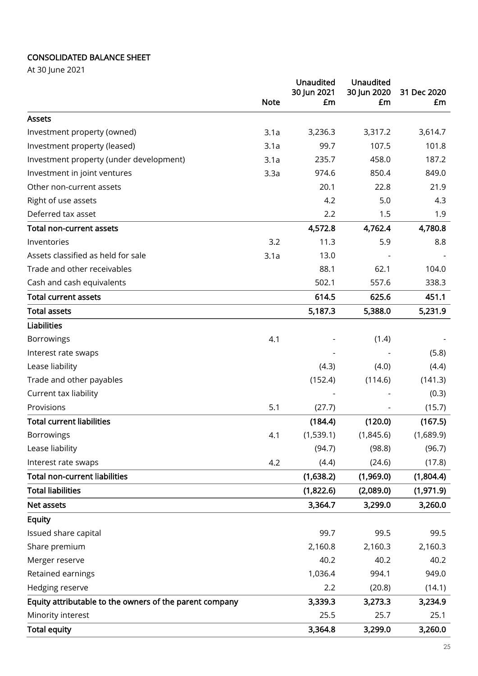# CONSOLIDATED BALANCE SHEET

At 30 June 2021

|                                                         | <b>Note</b> | Unaudited<br>30 Jun 2021<br>£m | Unaudited<br>30 Jun 2020<br>£m | 31 Dec 2020<br>£m |
|---------------------------------------------------------|-------------|--------------------------------|--------------------------------|-------------------|
| <b>Assets</b>                                           |             |                                |                                |                   |
| Investment property (owned)                             | 3.1a        | 3,236.3                        | 3,317.2                        | 3,614.7           |
| Investment property (leased)                            | 3.1a        | 99.7                           | 107.5                          | 101.8             |
| Investment property (under development)                 | 3.1a        | 235.7                          | 458.0                          | 187.2             |
| Investment in joint ventures                            | 3.3a        | 974.6                          | 850.4                          | 849.0             |
| Other non-current assets                                |             | 20.1                           | 22.8                           | 21.9              |
| Right of use assets                                     |             | 4.2                            | 5.0                            | 4.3               |
| Deferred tax asset                                      |             | 2.2                            | 1.5                            | 1.9               |
| <b>Total non-current assets</b>                         |             | 4,572.8                        | 4,762.4                        | 4,780.8           |
| Inventories                                             | 3.2         | 11.3                           | 5.9                            | 8.8               |
| Assets classified as held for sale                      | 3.1a        | 13.0                           |                                |                   |
| Trade and other receivables                             |             | 88.1                           | 62.1                           | 104.0             |
| Cash and cash equivalents                               |             | 502.1                          | 557.6                          | 338.3             |
| <b>Total current assets</b>                             |             | 614.5                          | 625.6                          | 451.1             |
| <b>Total assets</b>                                     |             | 5,187.3                        | 5,388.0                        | 5,231.9           |
| <b>Liabilities</b>                                      |             |                                |                                |                   |
| <b>Borrowings</b>                                       | 4.1         |                                | (1.4)                          |                   |
| Interest rate swaps                                     |             |                                |                                | (5.8)             |
| Lease liability                                         |             | (4.3)                          | (4.0)                          | (4.4)             |
| Trade and other payables                                |             | (152.4)                        | (114.6)                        | (141.3)           |
| Current tax liability                                   |             |                                |                                | (0.3)             |
| Provisions                                              | 5.1         | (27.7)                         |                                | (15.7)            |
| <b>Total current liabilities</b>                        |             | (184.4)                        | (120.0)                        | (167.5)           |
| <b>Borrowings</b>                                       | 4.1         | (1,539.1)                      | (1,845.6)                      | (1,689.9)         |
| Lease liability                                         |             | (94.7)                         | (98.8)                         | (96.7)            |
| Interest rate swaps                                     | 4.2         | (4.4)                          | (24.6)                         | (17.8)            |
| <b>Total non-current liabilities</b>                    |             | (1,638.2)                      | (1,969.0)                      | (1,804.4)         |
| <b>Total liabilities</b>                                |             | (1,822.6)                      | (2,089.0)                      | (1,971.9)         |
| Net assets                                              |             | 3,364.7                        | 3,299.0                        | 3,260.0           |
| <b>Equity</b>                                           |             |                                |                                |                   |
| Issued share capital                                    |             | 99.7                           | 99.5                           | 99.5              |
| Share premium                                           |             | 2,160.8                        | 2,160.3                        | 2,160.3           |
| Merger reserve                                          |             | 40.2                           | 40.2                           | 40.2              |
| Retained earnings                                       |             | 1,036.4                        | 994.1                          | 949.0             |
| Hedging reserve                                         |             | 2.2                            | (20.8)                         | (14.1)            |
| Equity attributable to the owners of the parent company |             | 3,339.3                        | 3,273.3                        | 3,234.9           |
| Minority interest                                       |             | 25.5                           | 25.7                           | 25.1              |
| <b>Total equity</b>                                     |             | 3,364.8                        | 3,299.0                        | 3,260.0           |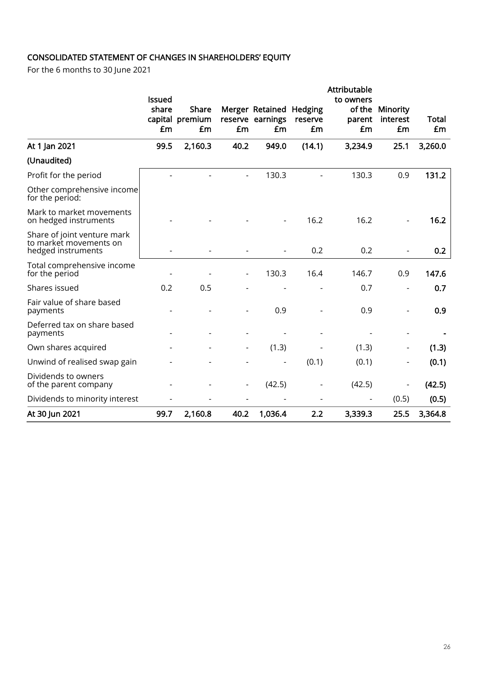# CONSOLIDATED STATEMENT OF CHANGES IN SHAREHOLDERS' EQUITY

For the 6 months to 30 June 2021

|                                                                             |                        |                       |      |                         |               | Attributable        |                          |             |
|-----------------------------------------------------------------------------|------------------------|-----------------------|------|-------------------------|---------------|---------------------|--------------------------|-------------|
|                                                                             | <b>Issued</b><br>share | <b>Share</b>          |      | Merger Retained Hedging |               | to owners<br>of the | Minority                 |             |
|                                                                             | £m                     | capital premium<br>£m | £m   | reserve earnings<br>£m  | reserve<br>£m | parent<br>£m        | interest<br>£m           | Total<br>£m |
| At 1 Jan 2021                                                               | 99.5                   | 2,160.3               | 40.2 | 949.0                   | (14.1)        | 3,234.9             | 25.1                     | 3,260.0     |
| (Unaudited)                                                                 |                        |                       |      |                         |               |                     |                          |             |
| Profit for the period                                                       |                        |                       |      | 130.3                   |               | 130.3               | 0.9                      | 131.2       |
| Other comprehensive income<br>for the period:                               |                        |                       |      |                         |               |                     |                          |             |
| Mark to market movements<br>on hedged instruments                           |                        |                       |      |                         | 16.2          | 16.2                |                          | 16.2        |
| Share of joint venture mark<br>to market movements on<br>hedged instruments |                        |                       |      |                         | 0.2           | 0.2                 |                          | 0.2         |
| Total comprehensive income<br>for the period                                |                        |                       |      | 130.3                   | 16.4          | 146.7               | 0.9                      | 147.6       |
| Shares issued                                                               | 0.2                    | 0.5                   |      |                         |               | 0.7                 |                          | 0.7         |
| Fair value of share based<br>payments                                       |                        |                       |      | 0.9                     |               | 0.9                 |                          | 0.9         |
| Deferred tax on share based<br>payments                                     |                        |                       |      |                         |               |                     |                          |             |
| Own shares acquired                                                         |                        |                       |      | (1.3)                   |               | (1.3)               | $\overline{\phantom{a}}$ | (1.3)       |
| Unwind of realised swap gain                                                |                        |                       |      |                         | (0.1)         | (0.1)               |                          | (0.1)       |
| Dividends to owners<br>of the parent company                                |                        |                       |      | (42.5)                  |               | (42.5)              |                          | (42.5)      |
| Dividends to minority interest                                              |                        |                       |      |                         |               |                     | (0.5)                    | (0.5)       |
| At 30 Jun 2021                                                              | 99.7                   | 2,160.8               | 40.2 | 1,036.4                 | 2.2           | 3,339.3             | 25.5                     | 3,364.8     |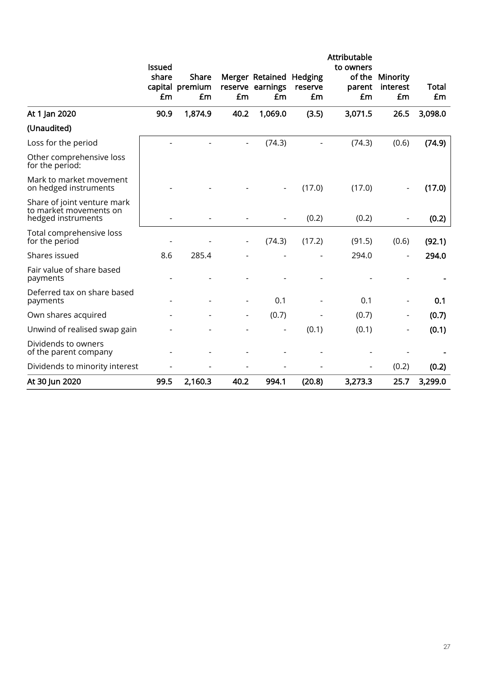|                                                                             |                              |                                |      |                                                   |               | Attributable                        |                            |             |
|-----------------------------------------------------------------------------|------------------------------|--------------------------------|------|---------------------------------------------------|---------------|-------------------------------------|----------------------------|-------------|
|                                                                             | <b>Issued</b><br>share<br>£m | Share<br>capital premium<br>£m | £m   | Merger Retained Hedging<br>reserve earnings<br>£m | reserve<br>£m | to owners<br>of the<br>parent<br>£m | Minority<br>interest<br>£m | Total<br>£m |
| At 1 Jan 2020                                                               | 90.9                         | 1,874.9                        | 40.2 | 1,069.0                                           | (3.5)         | 3,071.5                             | 26.5                       | 3,098.0     |
| (Unaudited)                                                                 |                              |                                |      |                                                   |               |                                     |                            |             |
| Loss for the period                                                         |                              |                                |      | (74.3)                                            |               | (74.3)                              | (0.6)                      | (74.9)      |
| Other comprehensive loss<br>for the period:                                 |                              |                                |      |                                                   |               |                                     |                            |             |
| Mark to market movement<br>on hedged instruments                            |                              |                                |      |                                                   | (17.0)        | (17.0)                              |                            | (17.0)      |
| Share of joint venture mark<br>to market movements on<br>hedged instruments |                              |                                |      |                                                   | (0.2)         | (0.2)                               |                            | (0.2)       |
| Total comprehensive loss<br>for the period                                  |                              |                                |      | (74.3)                                            | (17.2)        | (91.5)                              | (0.6)                      | (92.1)      |
| Shares issued                                                               | 8.6                          | 285.4                          |      |                                                   |               | 294.0                               |                            | 294.0       |
| Fair value of share based<br>payments                                       |                              |                                |      |                                                   |               |                                     |                            |             |
| Deferred tax on share based<br>payments                                     |                              |                                |      | 0.1                                               |               | 0.1                                 |                            | 0.1         |
| Own shares acquired                                                         |                              |                                |      | (0.7)                                             |               | (0.7)                               | -                          | (0.7)       |
| Unwind of realised swap gain                                                |                              |                                |      |                                                   | (0.1)         | (0.1)                               | $\overline{a}$             | (0.1)       |
| Dividends to owners<br>of the parent company                                |                              |                                |      |                                                   |               |                                     |                            |             |
| Dividends to minority interest                                              |                              |                                |      |                                                   |               |                                     | (0.2)                      | (0.2)       |
| At 30 Jun 2020                                                              | 99.5                         | 2,160.3                        | 40.2 | 994.1                                             | (20.8)        | 3,273.3                             | 25.7                       | 3,299.0     |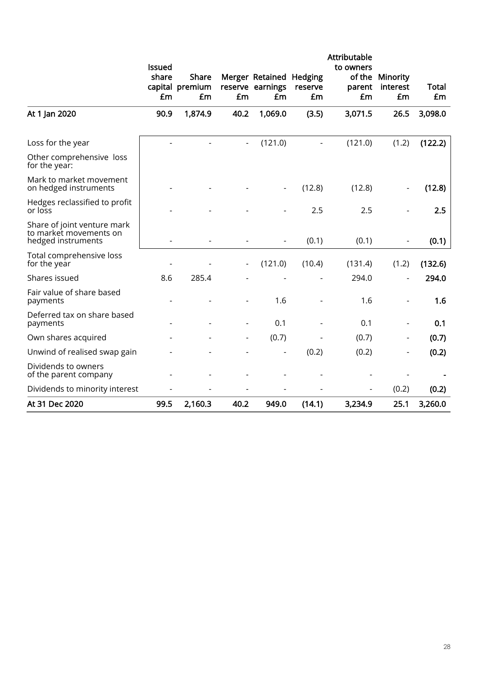|                                                                             | <b>Issued</b> |                                       |                          |                                           |                          | Attributable<br>to owners |                            |                    |
|-----------------------------------------------------------------------------|---------------|---------------------------------------|--------------------------|-------------------------------------------|--------------------------|---------------------------|----------------------------|--------------------|
|                                                                             | share<br>£m   | <b>Share</b><br>capital premium<br>£m | £m                       | Merger Retained<br>reserve earnings<br>£m | Hedging<br>reserve<br>£m | of the<br>parent<br>£m    | Minority<br>interest<br>£m | <b>Total</b><br>£m |
| At 1 Jan 2020                                                               | 90.9          | 1,874.9                               | 40.2                     | 1,069.0                                   | (3.5)                    | 3,071.5                   | 26.5                       | 3,098.0            |
| Loss for the year                                                           |               |                                       | $\overline{\phantom{a}}$ | (121.0)                                   |                          | (121.0)                   | (1.2)                      | (122.2)            |
| Other comprehensive loss<br>for the year:                                   |               |                                       |                          |                                           |                          |                           |                            |                    |
| Mark to market movement<br>on hedged instruments                            |               |                                       |                          |                                           | (12.8)                   | (12.8)                    |                            | (12.8)             |
| Hedges reclassified to profit<br>or loss                                    |               |                                       |                          |                                           | 2.5                      | 2.5                       |                            | 2.5                |
| Share of joint venture mark<br>to market movements on<br>hedged instruments |               |                                       |                          | $\overline{\phantom{a}}$                  | (0.1)                    | (0.1)                     |                            | (0.1)              |
| Total comprehensive loss<br>for the year                                    |               |                                       |                          | (121.0)                                   | (10.4)                   | (131.4)                   | (1.2)                      | (132.6)            |
| Shares issued                                                               | 8.6           | 285.4                                 |                          |                                           |                          | 294.0                     |                            | 294.0              |
| Fair value of share based<br>payments                                       |               |                                       |                          | 1.6                                       |                          | 1.6                       |                            | 1.6                |
| Deferred tax on share based<br>payments                                     |               |                                       | $\overline{\phantom{a}}$ | 0.1                                       |                          | 0.1                       | $\blacksquare$             | 0.1                |
| Own shares acquired                                                         |               |                                       |                          | (0.7)                                     |                          | (0.7)                     |                            | (0.7)              |
| Unwind of realised swap gain                                                |               |                                       |                          |                                           | (0.2)                    | (0.2)                     | $\overline{\phantom{a}}$   | (0.2)              |
| Dividends to owners<br>of the parent company                                |               |                                       |                          |                                           |                          |                           |                            |                    |
| Dividends to minority interest                                              |               |                                       |                          |                                           |                          |                           | (0.2)                      | (0.2)              |
| At 31 Dec 2020                                                              | 99.5          | 2,160.3                               | 40.2                     | 949.0                                     | (14.1)                   | 3,234.9                   | 25.1                       | 3,260.0            |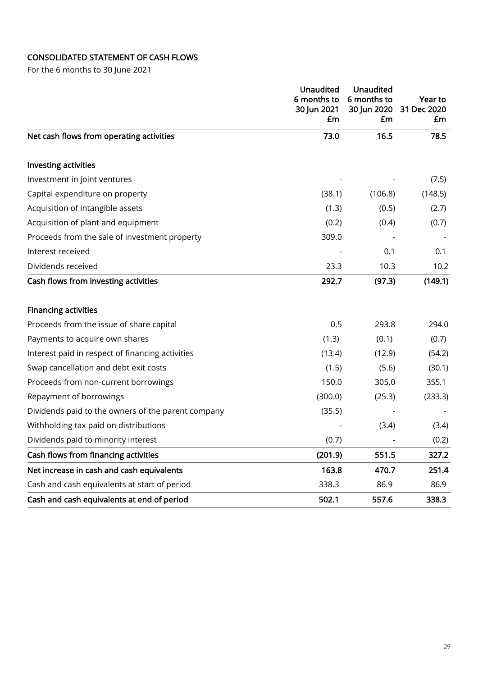# CONSOLIDATED STATEMENT OF CASH FLOWS

For the 6 months to 30 June 2021

|                                                    | <b>Unaudited</b><br>6 months to<br>30 Jun 2021<br>£m | <b>Unaudited</b><br>6 months to<br>30 Jun 2020<br>£m | Year to<br>31 Dec 2020<br>£m |
|----------------------------------------------------|------------------------------------------------------|------------------------------------------------------|------------------------------|
| Net cash flows from operating activities           | 73.0                                                 | 16.5                                                 | 78.5                         |
| Investing activities                               |                                                      |                                                      |                              |
| Investment in joint ventures                       |                                                      |                                                      | (7.5)                        |
| Capital expenditure on property                    | (38.1)                                               | (106.8)                                              | (148.5)                      |
| Acquisition of intangible assets                   | (1.3)                                                | (0.5)                                                | (2.7)                        |
| Acquisition of plant and equipment                 | (0.2)                                                | (0.4)                                                | (0.7)                        |
| Proceeds from the sale of investment property      | 309.0                                                |                                                      |                              |
| Interest received                                  |                                                      | 0.1                                                  | 0.1                          |
| Dividends received                                 | 23.3                                                 | 10.3                                                 | 10.2                         |
| Cash flows from investing activities               | 292.7                                                | (97.3)                                               | (149.1)                      |
| <b>Financing activities</b>                        |                                                      |                                                      |                              |
| Proceeds from the issue of share capital           | 0.5                                                  | 293.8                                                | 294.0                        |
| Payments to acquire own shares                     | (1.3)                                                | (0.1)                                                | (0.7)                        |
| Interest paid in respect of financing activities   | (13.4)                                               | (12.9)                                               | (54.2)                       |
| Swap cancellation and debt exit costs              | (1.5)                                                | (5.6)                                                | (30.1)                       |
| Proceeds from non-current borrowings               | 150.0                                                | 305.0                                                | 355.1                        |
| Repayment of borrowings                            | (300.0)                                              | (25.3)                                               | (233.3)                      |
| Dividends paid to the owners of the parent company | (35.5)                                               |                                                      |                              |
| Withholding tax paid on distributions              |                                                      | (3.4)                                                | (3.4)                        |
| Dividends paid to minority interest                | (0.7)                                                |                                                      | (0.2)                        |
| Cash flows from financing activities               | (201.9)                                              | 551.5                                                | 327.2                        |
| Net increase in cash and cash equivalents          | 163.8                                                | 470.7                                                | 251.4                        |
| Cash and cash equivalents at start of period       | 338.3                                                | 86.9                                                 | 86.9                         |
| Cash and cash equivalents at end of period         | 502.1                                                | 557.6                                                | 338.3                        |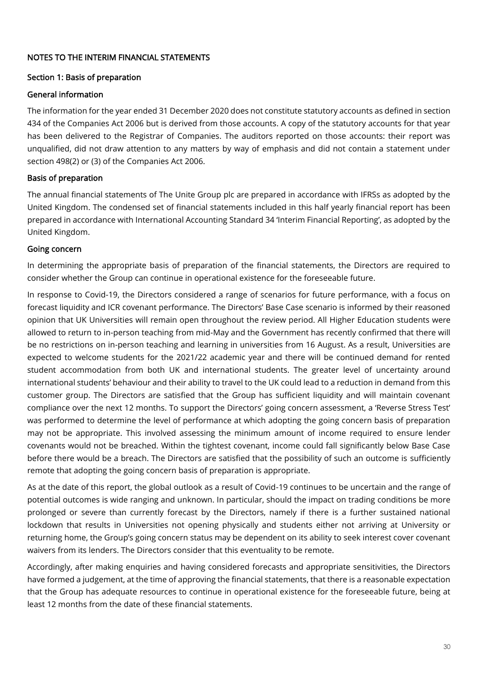# NOTES TO THE INTERIM FINANCIAL STATEMENTS

# Section 1: Basis of preparation

### General information

The information for the year ended 31 December 2020 does not constitute statutory accounts as defined in section 434 of the Companies Act 2006 but is derived from those accounts. A copy of the statutory accounts for that year has been delivered to the Registrar of Companies. The auditors reported on those accounts: their report was unqualified, did not draw attention to any matters by way of emphasis and did not contain a statement under section 498(2) or (3) of the Companies Act 2006.

# Basis of preparation

The annual financial statements of The Unite Group plc are prepared in accordance with IFRSs as adopted by the United Kingdom. The condensed set of financial statements included in this half yearly financial report has been prepared in accordance with International Accounting Standard 34 'Interim Financial Reporting', as adopted by the United Kingdom.

# Going concern

In determining the appropriate basis of preparation of the financial statements, the Directors are required to consider whether the Group can continue in operational existence for the foreseeable future.

In response to Covid-19, the Directors considered a range of scenarios for future performance, with a focus on forecast liquidity and ICR covenant performance. The Directors' Base Case scenario is informed by their reasoned opinion that UK Universities will remain open throughout the review period. All Higher Education students were allowed to return to in-person teaching from mid-May and the Government has recently confirmed that there will be no restrictions on in-person teaching and learning in universities from 16 August. As a result, Universities are expected to welcome students for the 2021/22 academic year and there will be continued demand for rented student accommodation from both UK and international students. The greater level of uncertainty around international students' behaviour and their ability to travel to the UK could lead to a reduction in demand from this customer group. The Directors are satisfied that the Group has sufficient liquidity and will maintain covenant compliance over the next 12 months. To support the Directors' going concern assessment, a 'Reverse Stress Test' was performed to determine the level of performance at which adopting the going concern basis of preparation may not be appropriate. This involved assessing the minimum amount of income required to ensure lender covenants would not be breached. Within the tightest covenant, income could fall significantly below Base Case before there would be a breach. The Directors are satisfied that the possibility of such an outcome is sufficiently remote that adopting the going concern basis of preparation is appropriate.

As at the date of this report, the global outlook as a result of Covid-19 continues to be uncertain and the range of potential outcomes is wide ranging and unknown. In particular, should the impact on trading conditions be more prolonged or severe than currently forecast by the Directors, namely if there is a further sustained national lockdown that results in Universities not opening physically and students either not arriving at University or returning home, the Group's going concern status may be dependent on its ability to seek interest cover covenant waivers from its lenders. The Directors consider that this eventuality to be remote.

Accordingly, after making enquiries and having considered forecasts and appropriate sensitivities, the Directors have formed a judgement, at the time of approving the financial statements, that there is a reasonable expectation that the Group has adequate resources to continue in operational existence for the foreseeable future, being at least 12 months from the date of these financial statements.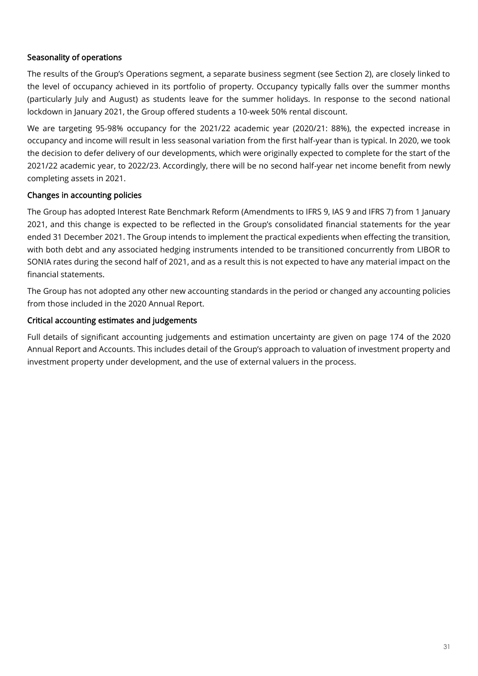# Seasonality of operations

The results of the Group's Operations segment, a separate business segment (see Section 2), are closely linked to the level of occupancy achieved in its portfolio of property. Occupancy typically falls over the summer months (particularly July and August) as students leave for the summer holidays. In response to the second national lockdown in January 2021, the Group offered students a 10-week 50% rental discount.

We are targeting 95-98% occupancy for the 2021/22 academic year (2020/21: 88%), the expected increase in occupancy and income will result in less seasonal variation from the first half-year than is typical. In 2020, we took the decision to defer delivery of our developments, which were originally expected to complete for the start of the 2021/22 academic year, to 2022/23. Accordingly, there will be no second half-year net income benefit from newly completing assets in 2021.

# Changes in accounting policies

The Group has adopted Interest Rate Benchmark Reform (Amendments to IFRS 9, IAS 9 and IFRS 7) from 1 January 2021, and this change is expected to be reflected in the Group's consolidated financial statements for the year ended 31 December 2021. The Group intends to implement the practical expedients when effecting the transition, with both debt and any associated hedging instruments intended to be transitioned concurrently from LIBOR to SONIA rates during the second half of 2021, and as a result this is not expected to have any material impact on the financial statements.

The Group has not adopted any other new accounting standards in the period or changed any accounting policies from those included in the 2020 Annual Report.

# Critical accounting estimates and judgements

Full details of significant accounting judgements and estimation uncertainty are given on page 174 of the 2020 Annual Report and Accounts. This includes detail of the Group's approach to valuation of investment property and investment property under development, and the use of external valuers in the process.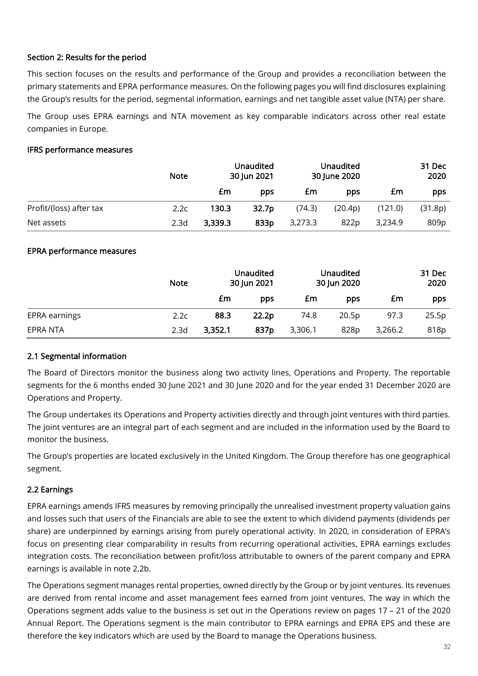# Section 2: Results for the period

This section focuses on the results and performance of the Group and provides a reconciliation between the primary statements and EPRA performance measures. On the following pages you will find disclosures explaining the Group's results for the period, segmental information, earnings and net tangible asset value (NTA) per share.

The Group uses EPRA earnings and NTA movement as key comparable indicators across other real estate companies in Europe.

# IFRS performance measures

|                         | <b>Note</b>      |         | <b>Unaudited</b><br>30 Jun 2021 |         | <b>Unaudited</b><br>30 June 2020 |         | 31 Dec<br>2020 |
|-------------------------|------------------|---------|---------------------------------|---------|----------------------------------|---------|----------------|
|                         |                  | £m      | pps                             | £m      | pps                              | £m      | pps            |
| Profit/(loss) after tax | 2.2c             | 130.3   | 32.7 <sub>p</sub>               | (74.3)  | (20.4p)                          | (121.0) | (31.8p)        |
| Net assets              | 2.3 <sub>d</sub> | 3,339.3 | 833p                            | 3,273.3 | 822p                             | 3,234.9 | 809p           |

# EPRA performance measures

|               | <b>Note</b>      | <b>Unaudited</b><br>30 Jun 2021 |       | <b>Unaudited</b><br>30 Jun 2020 |       |         | 31 Dec<br>2020 |
|---------------|------------------|---------------------------------|-------|---------------------------------|-------|---------|----------------|
|               |                  | £m                              | pps   | £m                              | pps   | £m      | pps            |
| EPRA earnings | 2.2c             | 88.3                            | 22.2p | 74.8                            | 20.5p | 97.3    | 25.5p          |
| EPRA NTA      | 2.3 <sub>d</sub> | 3,352.1                         | 837p  | 3,306.1                         | 828p  | 3,266.2 | 818p           |

# 2.1 Segmental information

The Board of Directors monitor the business along two activity lines, Operations and Property. The reportable segments for the 6 months ended 30 June 2021 and 30 June 2020 and for the year ended 31 December 2020 are Operations and Property.

The Group undertakes its Operations and Property activities directly and through joint ventures with third parties. The joint ventures are an integral part of each segment and are included in the information used by the Board to monitor the business.

The Group's properties are located exclusively in the United Kingdom. The Group therefore has one geographical segment.

# 2.2 Earnings

EPRA earnings amends IFRS measures by removing principally the unrealised investment property valuation gains and losses such that users of the Financials are able to see the extent to which dividend payments (dividends per share) are underpinned by earnings arising from purely operational activity. In 2020, in consideration of EPRA's focus on presenting clear comparability in results from recurring operational activities, EPRA earnings excludes integration costs. The reconciliation between profit/loss attributable to owners of the parent company and EPRA earnings is available in note 2.2b.

The Operations segment manages rental properties, owned directly by the Group or by joint ventures. Its revenues are derived from rental income and asset management fees earned from joint ventures. The way in which the Operations segment adds value to the business is set out in the Operations review on pages 17 – 21 of the 2020 Annual Report. The Operations segment is the main contributor to EPRA earnings and EPRA EPS and these are therefore the key indicators which are used by the Board to manage the Operations business.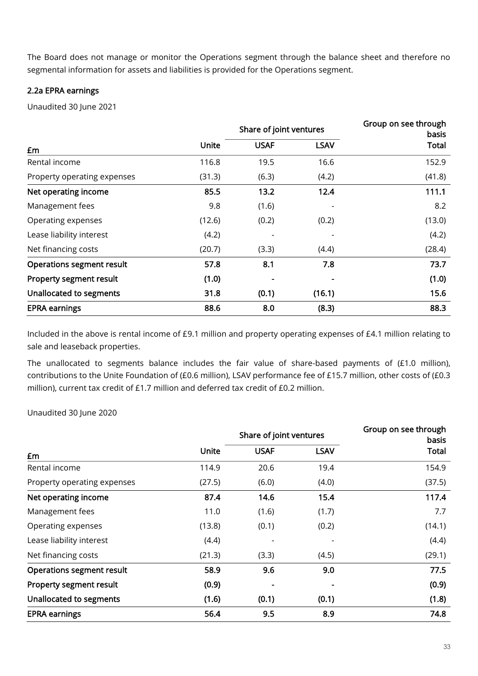The Board does not manage or monitor the Operations segment through the balance sheet and therefore no segmental information for assets and liabilities is provided for the Operations segment.

# 2.2a EPRA earnings

Unaudited 30 June 2021

|                                  |        | Share of joint ventures | Group on see through<br>basis |              |
|----------------------------------|--------|-------------------------|-------------------------------|--------------|
| £m                               | Unite  | <b>USAF</b>             | <b>LSAV</b>                   | <b>Total</b> |
| Rental income                    | 116.8  | 19.5                    | 16.6                          | 152.9        |
| Property operating expenses      | (31.3) | (6.3)                   | (4.2)                         | (41.8)       |
| Net operating income             | 85.5   | 13.2                    | 12.4                          | 111.1        |
| Management fees                  | 9.8    | (1.6)                   |                               | 8.2          |
| Operating expenses               | (12.6) | (0.2)                   | (0.2)                         | (13.0)       |
| Lease liability interest         | (4.2)  |                         |                               | (4.2)        |
| Net financing costs              | (20.7) | (3.3)                   | (4.4)                         | (28.4)       |
| <b>Operations segment result</b> | 57.8   | 8.1                     | 7.8                           | 73.7         |
| Property segment result          | (1.0)  |                         |                               | (1.0)        |
| Unallocated to segments          | 31.8   | (0.1)                   | (16.1)                        | 15.6         |
| <b>EPRA earnings</b>             | 88.6   | 8.0                     | (8.3)                         | 88.3         |

Included in the above is rental income of £9.1 million and property operating expenses of £4.1 million relating to sale and leaseback properties.

The unallocated to segments balance includes the fair value of share-based payments of (£1.0 million), contributions to the Unite Foundation of (£0.6 million), LSAV performance fee of £15.7 million, other costs of (£0.3 million), current tax credit of £1.7 million and deferred tax credit of £0.2 million.

Unaudited 30 June 2020

|                             |        | Share of joint ventures | Group on see through<br>basis |        |
|-----------------------------|--------|-------------------------|-------------------------------|--------|
| £m                          | Unite  | <b>USAF</b>             | <b>LSAV</b>                   | Total  |
| Rental income               | 114.9  | 20.6                    | 19.4                          | 154.9  |
| Property operating expenses | (27.5) | (6.0)                   | (4.0)                         | (37.5) |
| Net operating income        | 87.4   | 14.6                    | 15.4                          | 117.4  |
| Management fees             | 11.0   | (1.6)                   | (1.7)                         | 7.7    |
| Operating expenses          | (13.8) | (0.1)                   | (0.2)                         | (14.1) |
| Lease liability interest    | (4.4)  |                         |                               | (4.4)  |
| Net financing costs         | (21.3) | (3.3)                   | (4.5)                         | (29.1) |
| Operations segment result   | 58.9   | 9.6                     | 9.0                           | 77.5   |
| Property segment result     | (0.9)  |                         |                               | (0.9)  |
| Unallocated to segments     | (1.6)  | (0.1)                   | (0.1)                         | (1.8)  |
| <b>EPRA earnings</b>        | 56.4   | 9.5                     | 8.9                           | 74.8   |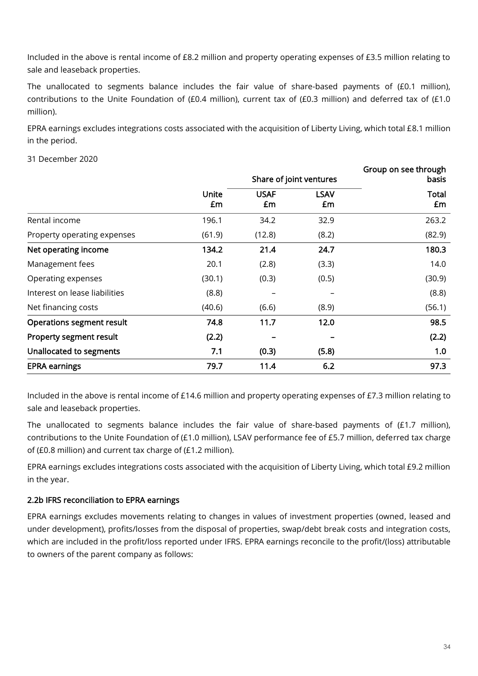Included in the above is rental income of £8.2 million and property operating expenses of £3.5 million relating to sale and leaseback properties.

The unallocated to segments balance includes the fair value of share-based payments of (£0.1 million), contributions to the Unite Foundation of (£0.4 million), current tax of (£0.3 million) and deferred tax of (£1.0 million).

EPRA earnings excludes integrations costs associated with the acquisition of Liberty Living, which total £8.1 million in the period.

# 31 December 2020

|                               | Share of joint ventures |                   |                   | Group on see through<br>basis |
|-------------------------------|-------------------------|-------------------|-------------------|-------------------------------|
|                               | Unite<br>£m             | <b>USAF</b><br>£m | <b>LSAV</b><br>£m | Total<br>£m                   |
| Rental income                 | 196.1                   | 34.2              | 32.9              | 263.2                         |
| Property operating expenses   | (61.9)                  | (12.8)            | (8.2)             | (82.9)                        |
| Net operating income          | 134.2                   | 21.4              | 24.7              | 180.3                         |
| Management fees               | 20.1                    | (2.8)             | (3.3)             | 14.0                          |
| Operating expenses            | (30.1)                  | (0.3)             | (0.5)             | (30.9)                        |
| Interest on lease liabilities | (8.8)                   |                   |                   | (8.8)                         |
| Net financing costs           | (40.6)                  | (6.6)             | (8.9)             | (56.1)                        |
| Operations segment result     | 74.8                    | 11.7              | 12.0              | 98.5                          |
| Property segment result       | (2.2)                   |                   |                   | (2.2)                         |
| Unallocated to segments       | 7.1                     | (0.3)             | (5.8)             | 1.0                           |
| <b>EPRA earnings</b>          | 79.7                    | 11.4              | 6.2               | 97.3                          |

Included in the above is rental income of £14.6 million and property operating expenses of £7.3 million relating to sale and leaseback properties.

The unallocated to segments balance includes the fair value of share-based payments of (£1.7 million), contributions to the Unite Foundation of (£1.0 million), LSAV performance fee of £5.7 million, deferred tax charge of (£0.8 million) and current tax charge of (£1.2 million).

EPRA earnings excludes integrations costs associated with the acquisition of Liberty Living, which total £9.2 million in the year.

# 2.2b IFRS reconciliation to EPRA earnings

EPRA earnings excludes movements relating to changes in values of investment properties (owned, leased and under development), profits/losses from the disposal of properties, swap/debt break costs and integration costs, which are included in the profit/loss reported under IFRS. EPRA earnings reconcile to the profit/(loss) attributable to owners of the parent company as follows: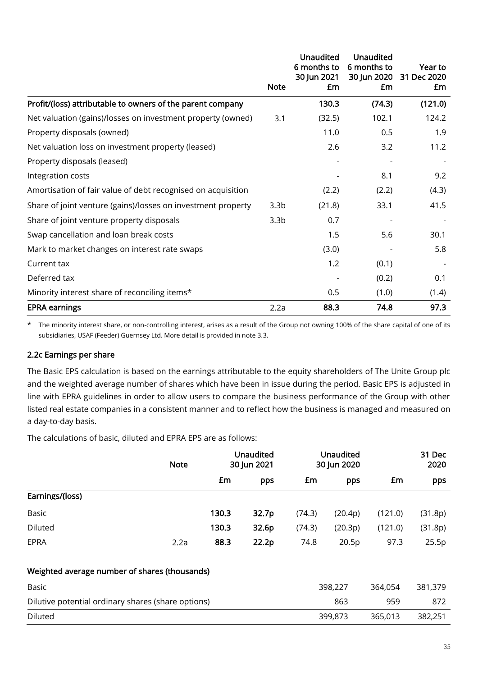|                                                              |                  | <b>Unaudited</b><br>6 months to | <b>Unaudited</b><br>6 months to | Year to           |
|--------------------------------------------------------------|------------------|---------------------------------|---------------------------------|-------------------|
|                                                              | <b>Note</b>      | 30 Jun 2021<br>£m               | 30 Jun 2020<br>£m               | 31 Dec 2020<br>£m |
| Profit/(loss) attributable to owners of the parent company   |                  | 130.3                           | (74.3)                          | (121.0)           |
| Net valuation (gains)/losses on investment property (owned)  | 3.1              | (32.5)                          | 102.1                           | 124.2             |
| Property disposals (owned)                                   |                  | 11.0                            | 0.5                             | 1.9               |
| Net valuation loss on investment property (leased)           |                  | 2.6                             | 3.2                             | 11.2              |
| Property disposals (leased)                                  |                  |                                 |                                 |                   |
| Integration costs                                            |                  |                                 | 8.1                             | 9.2               |
| Amortisation of fair value of debt recognised on acquisition |                  | (2.2)                           | (2.2)                           | (4.3)             |
| Share of joint venture (gains)/losses on investment property | 3.3 <sub>b</sub> | (21.8)                          | 33.1                            | 41.5              |
| Share of joint venture property disposals                    | 3.3 <sub>b</sub> | 0.7                             |                                 |                   |
| Swap cancellation and loan break costs                       |                  | 1.5                             | 5.6                             | 30.1              |
| Mark to market changes on interest rate swaps                |                  | (3.0)                           |                                 | 5.8               |
| Current tax                                                  |                  | 1.2                             | (0.1)                           |                   |
| Deferred tax                                                 |                  |                                 | (0.2)                           | 0.1               |
| Minority interest share of reconciling items*                |                  | 0.5                             | (1.0)                           | (1.4)             |
| <b>EPRA earnings</b>                                         | 2.2a             | 88.3                            | 74.8                            | 97.3              |

\* The minority interest share, or non-controlling interest, arises as a result of the Group not owning 100% of the share capital of one of its subsidiaries, USAF (Feeder) Guernsey Ltd. More detail is provided in note 3.3.

# 2.2c Earnings per share

The Basic EPS calculation is based on the earnings attributable to the equity shareholders of The Unite Group plc and the weighted average number of shares which have been in issue during the period. Basic EPS is adjusted in line with EPRA guidelines in order to allow users to compare the business performance of the Group with other listed real estate companies in a consistent manner and to reflect how the business is managed and measured on a day-to-day basis.

The calculations of basic, diluted and EPRA EPS are as follows:

|                                                    | <b>Note</b> | <b>Unaudited</b><br>30 Jun 2021 |       | <b>Unaudited</b><br>30 Jun 2020 |         |         | 31 Dec<br>2020 |
|----------------------------------------------------|-------------|---------------------------------|-------|---------------------------------|---------|---------|----------------|
|                                                    |             | £m                              | pps   | £m                              | pps     | £m      | pps            |
| Earnings/(loss)                                    |             |                                 |       |                                 |         |         |                |
| <b>Basic</b>                                       |             | 130.3                           | 32.7p | (74.3)                          | (20.4p) | (121.0) | (31.8p)        |
| <b>Diluted</b>                                     |             | 130.3                           | 32.6p | (74.3)                          | (20.3p) | (121.0) | (31.8p)        |
| EPRA                                               | 2.2a        | 88.3                            | 22.2p | 74.8                            | 20.5p   | 97.3    | 25.5p          |
| Weighted average number of shares (thousands)      |             |                                 |       |                                 |         |         |                |
| Basic                                              |             |                                 |       |                                 | 398,227 | 364,054 | 381,379        |
| Dilutive potential ordinary shares (share options) |             |                                 |       | 863                             | 959     | 872     |                |
| <b>Diluted</b>                                     |             |                                 |       |                                 | 399,873 | 365,013 | 382,251        |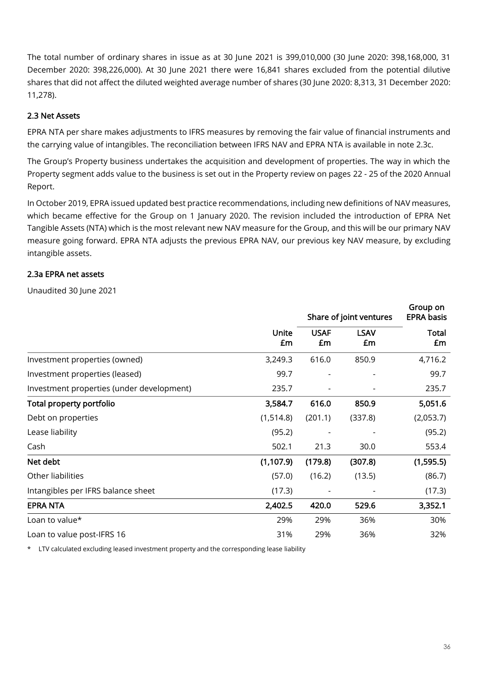The total number of ordinary shares in issue as at 30 June 2021 is 399,010,000 (30 June 2020: 398,168,000, 31 December 2020: 398,226,000). At 30 June 2021 there were 16,841 shares excluded from the potential dilutive shares that did not affect the diluted weighted average number of shares (30 June 2020: 8,313, 31 December 2020: 11,278).

# 2.3 Net Assets

EPRA NTA per share makes adjustments to IFRS measures by removing the fair value of financial instruments and the carrying value of intangibles. The reconciliation between IFRS NAV and EPRA NTA is available in note 2.3c.

The Group's Property business undertakes the acquisition and development of properties. The way in which the Property segment adds value to the business is set out in the Property review on pages 22 - 25 of the 2020 Annual Report.

In October 2019, EPRA issued updated best practice recommendations, including new definitions of NAV measures, which became effective for the Group on 1 January 2020. The revision included the introduction of EPRA Net Tangible Assets (NTA) which is the most relevant new NAV measure for the Group, and this will be our primary NAV measure going forward. EPRA NTA adjusts the previous EPRA NAV, our previous key NAV measure, by excluding intangible assets.

# 2.3a EPRA net assets

Unaudited 30 June 2021

|                                           |             | Share of joint ventures | Group on<br><b>EPRA basis</b> |                    |
|-------------------------------------------|-------------|-------------------------|-------------------------------|--------------------|
|                                           | Unite<br>£m | <b>USAF</b><br>£m       | <b>LSAV</b><br>£m             | <b>Total</b><br>£m |
| Investment properties (owned)             | 3,249.3     | 616.0                   | 850.9                         | 4,716.2            |
| Investment properties (leased)            | 99.7        |                         |                               | 99.7               |
| Investment properties (under development) | 235.7       |                         |                               | 235.7              |
| Total property portfolio                  | 3,584.7     | 616.0                   | 850.9                         | 5,051.6            |
| Debt on properties                        | (1,514.8)   | (201.1)                 | (337.8)                       | (2,053.7)          |
| Lease liability                           | (95.2)      |                         |                               | (95.2)             |
| Cash                                      | 502.1       | 21.3                    | 30.0                          | 553.4              |
| Net debt                                  | (1, 107.9)  | (179.8)                 | (307.8)                       | (1,595.5)          |
| Other liabilities                         | (57.0)      | (16.2)                  | (13.5)                        | (86.7)             |
| Intangibles per IFRS balance sheet        | (17.3)      |                         |                               | (17.3)             |
| <b>EPRA NTA</b>                           | 2,402.5     | 420.0                   | 529.6                         | 3,352.1            |
| Loan to value*                            | 29%         | 29%                     | 36%                           | 30%                |
| Loan to value post-IFRS 16                | 31%         | 29%                     | 36%                           | 32%                |

\* LTV calculated excluding leased investment property and the corresponding lease liability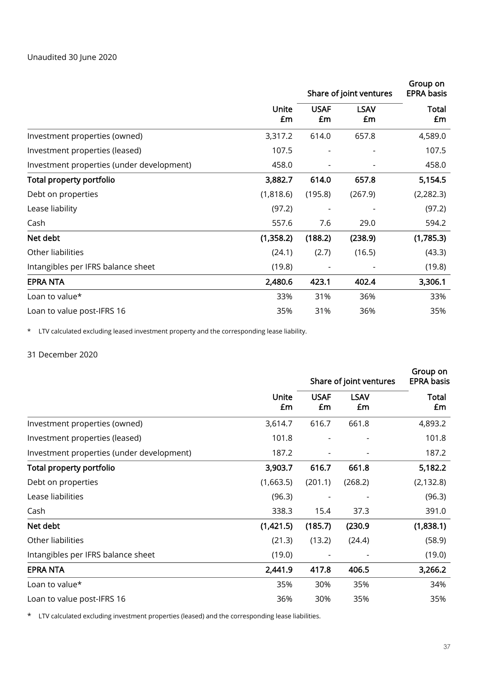|                                           |             | Share of joint ventures  | Group on<br><b>EPRA basis</b> |                    |
|-------------------------------------------|-------------|--------------------------|-------------------------------|--------------------|
|                                           | Unite<br>£m | <b>USAF</b><br>£m        | <b>LSAV</b><br>£m             | <b>Total</b><br>£m |
| Investment properties (owned)             | 3,317.2     | 614.0                    | 657.8                         | 4,589.0            |
| Investment properties (leased)            | 107.5       | $\overline{\phantom{0}}$ |                               | 107.5              |
| Investment properties (under development) | 458.0       |                          |                               | 458.0              |
| Total property portfolio                  | 3,882.7     | 614.0                    | 657.8                         | 5,154.5            |
| Debt on properties                        | (1,818.6)   | (195.8)                  | (267.9)                       | (2, 282.3)         |
| Lease liability                           | (97.2)      |                          |                               | (97.2)             |
| Cash                                      | 557.6       | 7.6                      | 29.0                          | 594.2              |
| Net debt                                  | (1,358.2)   | (188.2)                  | (238.9)                       | (1,785.3)          |
| Other liabilities                         | (24.1)      | (2.7)                    | (16.5)                        | (43.3)             |
| Intangibles per IFRS balance sheet        | (19.8)      |                          |                               | (19.8)             |
| <b>EPRA NTA</b>                           | 2,480.6     | 423.1                    | 402.4                         | 3,306.1            |
| Loan to value*                            | 33%         | 31%                      | 36%                           | 33%                |
| Loan to value post-IFRS 16                | 35%         | 31%                      | 36%                           | 35%                |

\* LTV calculated excluding leased investment property and the corresponding lease liability.

### 31 December 2020

|                                           |                    | Share of joint ventures  | Group on<br><b>EPRA basis</b> |                    |
|-------------------------------------------|--------------------|--------------------------|-------------------------------|--------------------|
|                                           | <b>Unite</b><br>£m | <b>USAF</b><br>£m        | <b>LSAV</b><br>£m             | <b>Total</b><br>£m |
| Investment properties (owned)             | 3,614.7            | 616.7                    | 661.8                         | 4,893.2            |
| Investment properties (leased)            | 101.8              |                          |                               | 101.8              |
| Investment properties (under development) | 187.2              | $\overline{\phantom{0}}$ |                               | 187.2              |
| Total property portfolio                  | 3,903.7            | 616.7                    | 661.8                         | 5,182.2            |
| Debt on properties                        | (1,663.5)          | (201.1)                  | (268.2)                       | (2, 132.8)         |
| Lease liabilities                         | (96.3)             |                          |                               | (96.3)             |
| Cash                                      | 338.3              | 15.4                     | 37.3                          | 391.0              |
| Net debt                                  | (1,421.5)          | (185.7)                  | (230.9)                       | (1,838.1)          |
| Other liabilities                         | (21.3)             | (13.2)                   | (24.4)                        | (58.9)             |
| Intangibles per IFRS balance sheet        | (19.0)             |                          |                               | (19.0)             |
| <b>EPRA NTA</b>                           | 2,441.9            | 417.8                    | 406.5                         | 3,266.2            |
| Loan to value*                            | 35%                | 30%                      | 35%                           | 34%                |
| Loan to value post-IFRS 16                | 36%                | 30%                      | 35%                           | 35%                |

\* LTV calculated excluding investment properties (leased) and the corresponding lease liabilities.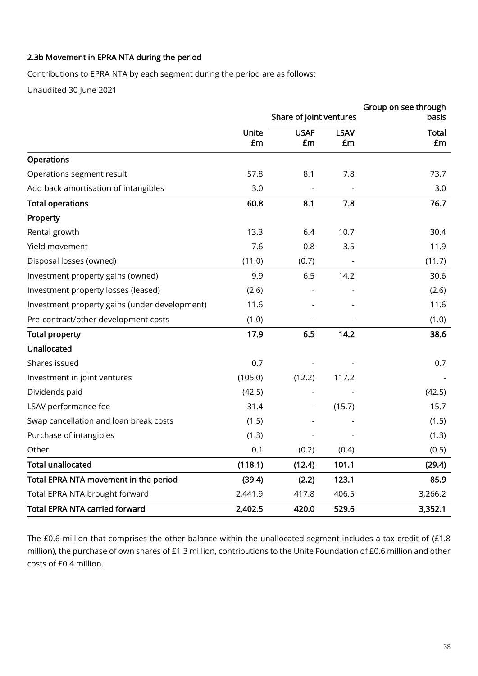# 2.3b Movement in EPRA NTA during the period

Contributions to EPRA NTA by each segment during the period are as follows:

Unaudited 30 June 2021

|                                               |             | Share of joint ventures |                   | Group on see through<br>basis |
|-----------------------------------------------|-------------|-------------------------|-------------------|-------------------------------|
|                                               | Unite<br>£m | <b>USAF</b><br>£m       | <b>LSAV</b><br>£m | <b>Total</b><br>£m            |
| Operations                                    |             |                         |                   |                               |
| Operations segment result                     | 57.8        | 8.1                     | 7.8               | 73.7                          |
| Add back amortisation of intangibles          | 3.0         |                         |                   | 3.0                           |
| <b>Total operations</b>                       | 60.8        | 8.1                     | 7.8               | 76.7                          |
| Property                                      |             |                         |                   |                               |
| Rental growth                                 | 13.3        | 6.4                     | 10.7              | 30.4                          |
| Yield movement                                | 7.6         | 0.8                     | 3.5               | 11.9                          |
| Disposal losses (owned)                       | (11.0)      | (0.7)                   |                   | (11.7)                        |
| Investment property gains (owned)             | 9.9         | 6.5                     | 14.2              | 30.6                          |
| Investment property losses (leased)           | (2.6)       |                         |                   | (2.6)                         |
| Investment property gains (under development) | 11.6        |                         |                   | 11.6                          |
| Pre-contract/other development costs          | (1.0)       |                         |                   | (1.0)                         |
| <b>Total property</b>                         | 17.9        | 6.5                     | 14.2              | 38.6                          |
| Unallocated                                   |             |                         |                   |                               |
| Shares issued                                 | 0.7         |                         |                   | 0.7                           |
| Investment in joint ventures                  | (105.0)     | (12.2)                  | 117.2             |                               |
| Dividends paid                                | (42.5)      |                         |                   | (42.5)                        |
| LSAV performance fee                          | 31.4        |                         | (15.7)            | 15.7                          |
| Swap cancellation and loan break costs        | (1.5)       |                         |                   | (1.5)                         |
| Purchase of intangibles                       | (1.3)       |                         |                   | (1.3)                         |
| Other                                         | 0.1         | (0.2)                   | (0.4)             | (0.5)                         |
| <b>Total unallocated</b>                      | (118.1)     | (12.4)                  | 101.1             | (29.4)                        |
| Total EPRA NTA movement in the period         | (39.4)      | (2.2)                   | 123.1             | 85.9                          |
| Total EPRA NTA brought forward                | 2,441.9     | 417.8                   | 406.5             | 3,266.2                       |
| <b>Total EPRA NTA carried forward</b>         | 2,402.5     | 420.0                   | 529.6             | 3,352.1                       |

The £0.6 million that comprises the other balance within the unallocated segment includes a tax credit of (£1.8 million), the purchase of own shares of £1.3 million, contributions to the Unite Foundation of £0.6 million and other costs of £0.4 million.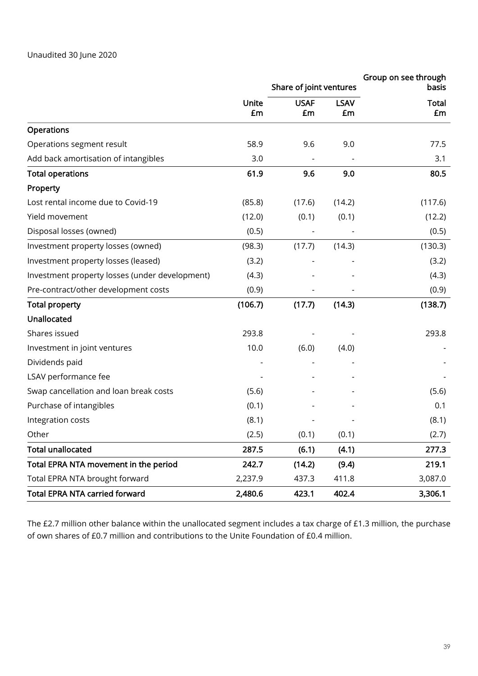|                                                |         | Share of joint ventures |             | Group on see through<br>basis |
|------------------------------------------------|---------|-------------------------|-------------|-------------------------------|
|                                                | Unite   | <b>USAF</b>             | <b>LSAV</b> | <b>Total</b>                  |
|                                                | £m      | £m                      | £m          | £m                            |
| <b>Operations</b>                              |         |                         |             |                               |
| Operations segment result                      | 58.9    | 9.6                     | 9.0         | 77.5                          |
| Add back amortisation of intangibles           | 3.0     |                         |             | 3.1                           |
| <b>Total operations</b>                        | 61.9    | 9.6                     | 9.0         | 80.5                          |
| Property                                       |         |                         |             |                               |
| Lost rental income due to Covid-19             | (85.8)  | (17.6)                  | (14.2)      | (117.6)                       |
| Yield movement                                 | (12.0)  | (0.1)                   | (0.1)       | (12.2)                        |
| Disposal losses (owned)                        | (0.5)   |                         |             | (0.5)                         |
| Investment property losses (owned)             | (98.3)  | (17.7)                  | (14.3)      | (130.3)                       |
| Investment property losses (leased)            | (3.2)   |                         |             | (3.2)                         |
| Investment property losses (under development) | (4.3)   |                         |             | (4.3)                         |
| Pre-contract/other development costs           | (0.9)   |                         |             | (0.9)                         |
| <b>Total property</b>                          | (106.7) | (17.7)                  | (14.3)      | (138.7)                       |
| Unallocated                                    |         |                         |             |                               |
| Shares issued                                  | 293.8   |                         |             | 293.8                         |
| Investment in joint ventures                   | 10.0    | (6.0)                   | (4.0)       |                               |
| Dividends paid                                 |         |                         |             |                               |
| LSAV performance fee                           |         |                         |             |                               |
| Swap cancellation and loan break costs         | (5.6)   |                         |             | (5.6)                         |
| Purchase of intangibles                        | (0.1)   |                         |             | 0.1                           |
| Integration costs                              | (8.1)   |                         |             | (8.1)                         |
| Other                                          | (2.5)   | (0.1)                   | (0.1)       | (2.7)                         |
| <b>Total unallocated</b>                       | 287.5   | (6.1)                   | (4.1)       | 277.3                         |
| Total EPRA NTA movement in the period          | 242.7   | (14.2)                  | (9.4)       | 219.1                         |
| Total EPRA NTA brought forward                 | 2,237.9 | 437.3                   | 411.8       | 3,087.0                       |
| <b>Total EPRA NTA carried forward</b>          | 2,480.6 | 423.1                   | 402.4       | 3,306.1                       |

The £2.7 million other balance within the unallocated segment includes a tax charge of £1.3 million, the purchase of own shares of £0.7 million and contributions to the Unite Foundation of £0.4 million.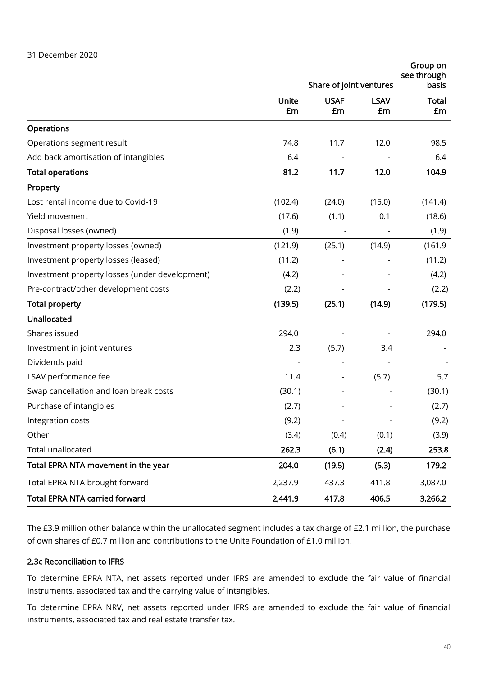|                                                |             | Share of joint ventures | Group on<br>see through<br>basis |                    |
|------------------------------------------------|-------------|-------------------------|----------------------------------|--------------------|
|                                                | Unite<br>£m | <b>USAF</b><br>£m       | <b>LSAV</b><br>£m                | <b>Total</b><br>£m |
| Operations                                     |             |                         |                                  |                    |
| Operations segment result                      | 74.8        | 11.7                    | 12.0                             | 98.5               |
| Add back amortisation of intangibles           | 6.4         |                         |                                  | 6.4                |
| <b>Total operations</b>                        | 81.2        | 11.7                    | 12.0                             | 104.9              |
| Property                                       |             |                         |                                  |                    |
| Lost rental income due to Covid-19             | (102.4)     | (24.0)                  | (15.0)                           | (141.4)            |
| Yield movement                                 | (17.6)      | (1.1)                   | 0.1                              | (18.6)             |
| Disposal losses (owned)                        | (1.9)       |                         |                                  | (1.9)              |
| Investment property losses (owned)             | (121.9)     | (25.1)                  | (14.9)                           | (161.9)            |
| Investment property losses (leased)            | (11.2)      |                         |                                  | (11.2)             |
| Investment property losses (under development) | (4.2)       |                         |                                  | (4.2)              |
| Pre-contract/other development costs           | (2.2)       |                         |                                  | (2.2)              |
| <b>Total property</b>                          | (139.5)     | (25.1)                  | (14.9)                           | (179.5)            |
| Unallocated                                    |             |                         |                                  |                    |
| Shares issued                                  | 294.0       |                         |                                  | 294.0              |
| Investment in joint ventures                   | 2.3         | (5.7)                   | 3.4                              |                    |
| Dividends paid                                 |             |                         |                                  |                    |
| LSAV performance fee                           | 11.4        |                         | (5.7)                            | 5.7                |
| Swap cancellation and loan break costs         | (30.1)      |                         |                                  | (30.1)             |
| Purchase of intangibles                        | (2.7)       |                         |                                  | (2.7)              |
| Integration costs                              | (9.2)       |                         |                                  | (9.2)              |
| Other                                          | (3.4)       | (0.4)                   | (0.1)                            | (3.9)              |
| Total unallocated                              | 262.3       | (6.1)                   | (2.4)                            | 253.8              |
| Total EPRA NTA movement in the year            | 204.0       | (19.5)                  | (5.3)                            | 179.2              |
| Total EPRA NTA brought forward                 | 2,237.9     | 437.3                   | 411.8                            | 3,087.0            |
| <b>Total EPRA NTA carried forward</b>          | 2,441.9     | 417.8                   | 406.5                            | 3,266.2            |

The £3.9 million other balance within the unallocated segment includes a tax charge of £2.1 million, the purchase of own shares of £0.7 million and contributions to the Unite Foundation of £1.0 million.

# 2.3c Reconciliation to IFRS

To determine EPRA NTA, net assets reported under IFRS are amended to exclude the fair value of financial instruments, associated tax and the carrying value of intangibles.

To determine EPRA NRV, net assets reported under IFRS are amended to exclude the fair value of financial instruments, associated tax and real estate transfer tax.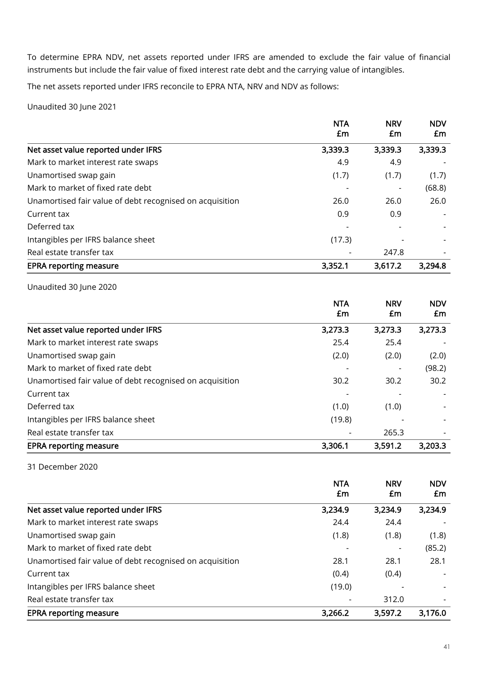To determine EPRA NDV, net assets reported under IFRS are amended to exclude the fair value of financial instruments but include the fair value of fixed interest rate debt and the carrying value of intangibles.

The net assets reported under IFRS reconcile to EPRA NTA, NRV and NDV as follows:

Unaudited 30 June 2021

|                                                          | <b>NTA</b><br>£m | <b>NRV</b><br>£m | <b>NDV</b><br>£m |
|----------------------------------------------------------|------------------|------------------|------------------|
| Net asset value reported under IFRS                      | 3,339.3          | 3,339.3          | 3,339.3          |
| Mark to market interest rate swaps                       | 4.9              | 4.9              |                  |
| Unamortised swap gain                                    | (1.7)            | (1.7)            | (1.7)            |
| Mark to market of fixed rate debt                        |                  |                  | (68.8)           |
| Unamortised fair value of debt recognised on acquisition | 26.0             | 26.0             | 26.0             |
| Current tax                                              | 0.9              | 0.9              |                  |
| Deferred tax                                             |                  |                  |                  |
| Intangibles per IFRS balance sheet                       | (17.3)           |                  |                  |
| Real estate transfer tax                                 |                  | 247.8            |                  |
| <b>EPRA reporting measure</b>                            | 3,352.1          | 3,617.2          | 3,294.8          |

Unaudited 30 June 2020

|                                                          | <b>NTA</b><br>£m | <b>NRV</b><br>£m | <b>NDV</b><br>£m |
|----------------------------------------------------------|------------------|------------------|------------------|
| Net asset value reported under IFRS                      | 3,273.3          | 3,273.3          | 3,273.3          |
| Mark to market interest rate swaps                       | 25.4             | 25.4             |                  |
| Unamortised swap gain                                    | (2.0)            | (2.0)            | (2.0)            |
| Mark to market of fixed rate debt                        |                  |                  | (98.2)           |
| Unamortised fair value of debt recognised on acquisition | 30.2             | 30.2             | 30.2             |
| Current tax                                              |                  |                  |                  |
| Deferred tax                                             | (1.0)            | (1.0)            |                  |
| Intangibles per IFRS balance sheet                       | (19.8)           |                  |                  |
| Real estate transfer tax                                 |                  | 265.3            |                  |
| <b>EPRA reporting measure</b>                            | 3,306.1          | 3,591.2          | 3,203.3          |

31 December 2020

|                                                          | <b>NTA</b><br>£m | <b>NRV</b><br>£m | <b>NDV</b><br>£m |
|----------------------------------------------------------|------------------|------------------|------------------|
| Net asset value reported under IFRS                      | 3,234.9          | 3,234.9          | 3,234.9          |
| Mark to market interest rate swaps                       | 24.4             | 24.4             |                  |
| Unamortised swap gain                                    | (1.8)            | (1.8)            | (1.8)            |
| Mark to market of fixed rate debt                        |                  |                  | (85.2)           |
| Unamortised fair value of debt recognised on acquisition | 28.1             | 28.1             | 28.1             |
| Current tax                                              | (0.4)            | (0.4)            |                  |
| Intangibles per IFRS balance sheet                       | (19.0)           |                  |                  |
| Real estate transfer tax                                 |                  | 312.0            |                  |
| <b>EPRA reporting measure</b>                            | 3,266.2          | 3,597.2          | 3,176.0          |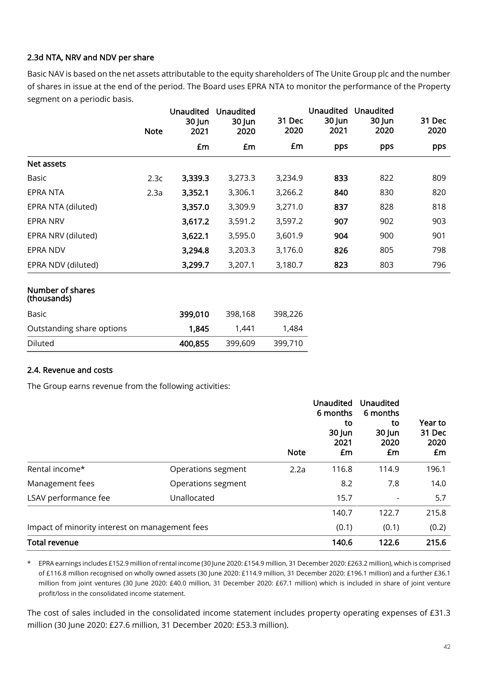# 2.3d NTA, NRV and NDV per share

Basic NAV is based on the net assets attributable to the equity shareholders of The Unite Group plc and the number of shares in issue at the end of the period. The Board uses EPRA NTA to monitor the performance of the Property segment on a periodic basis.

|                                 | <b>Note</b> | <b>Unaudited</b><br>30 Jun<br>2021 | <b>Unaudited</b><br>30 Jun<br>2020 | 31 Dec<br>2020 | Unaudited<br>30 Jun<br>2021 | <b>Unaudited</b><br>30 Jun<br>2020 | 31 Dec<br>2020 |
|---------------------------------|-------------|------------------------------------|------------------------------------|----------------|-----------------------------|------------------------------------|----------------|
|                                 |             | £m                                 | £m                                 | £m             | pps                         | pps                                | pps            |
| Net assets                      |             |                                    |                                    |                |                             |                                    |                |
| Basic                           | 2.3c        | 3,339.3                            | 3,273.3                            | 3,234.9        | 833                         | 822                                | 809            |
| EPRA NTA                        | 2.3a        | 3,352.1                            | 3,306.1                            | 3,266.2        | 840                         | 830                                | 820            |
| EPRA NTA (diluted)              |             | 3,357.0                            | 3,309.9                            | 3,271.0        | 837                         | 828                                | 818            |
| EPRA NRV                        |             | 3,617.2                            | 3,591.2                            | 3,597.2        | 907                         | 902                                | 903            |
| EPRA NRV (diluted)              |             | 3,622.1                            | 3,595.0                            | 3,601.9        | 904                         | 900                                | 901            |
| EPRA NDV                        |             | 3,294.8                            | 3,203.3                            | 3,176.0        | 826                         | 805                                | 798            |
| EPRA NDV (diluted)              |             | 3,299.7                            | 3,207.1                            | 3,180.7        | 823                         | 803                                | 796            |
| Number of shares<br>(thousands) |             |                                    |                                    |                |                             |                                    |                |
| Basic                           |             | 399,010                            | 398,168                            | 398,226        |                             |                                    |                |
| Outstanding share options       |             | 1,845                              | 1,441                              | 1,484          |                             |                                    |                |
| Diluted                         |             | 400,855                            | 399,609                            | 399,710        |                             |                                    |                |

# 2.4. Revenue and costs

The Group earns revenue from the following activities:

|                                                |                    | <b>Note</b> | <b>Unaudited</b><br>6 months<br>to<br>30 Jun<br>2021<br>£m | Unaudited<br>6 months<br>to<br>30 Jun<br>2020<br>£m | Year to<br>31 Dec<br>2020<br>£m |
|------------------------------------------------|--------------------|-------------|------------------------------------------------------------|-----------------------------------------------------|---------------------------------|
| Rental income*                                 | Operations segment | 2.2a        | 116.8                                                      | 114.9                                               | 196.1                           |
| Management fees                                | Operations segment |             | 8.2                                                        | 7.8                                                 | 14.0                            |
| LSAV performance fee                           | Unallocated        |             | 15.7                                                       | $\overline{\phantom{0}}$                            | 5.7                             |
|                                                |                    |             | 140.7                                                      | 122.7                                               | 215.8                           |
| Impact of minority interest on management fees |                    |             |                                                            | (0.1)                                               | (0.2)                           |
| <b>Total revenue</b>                           |                    |             | 140.6                                                      | 122.6                                               | 215.6                           |

\* EPRA earnings includes £152.9 million of rental income (30 June 2020: £154.9 million, 31 December 2020: £263.2 million), which is comprised of £116.8 million recognised on wholly owned assets (30 June 2020: £114.9 million, 31 December 2020: £196.1 million) and a further £36.1 million from joint ventures (30 June 2020: £40.0 million, 31 December 2020: £67.1 million) which is included in share of joint venture profit/loss in the consolidated income statement.

The cost of sales included in the consolidated income statement includes property operating expenses of £31.3 million (30 June 2020: £27.6 million, 31 December 2020: £53.3 million).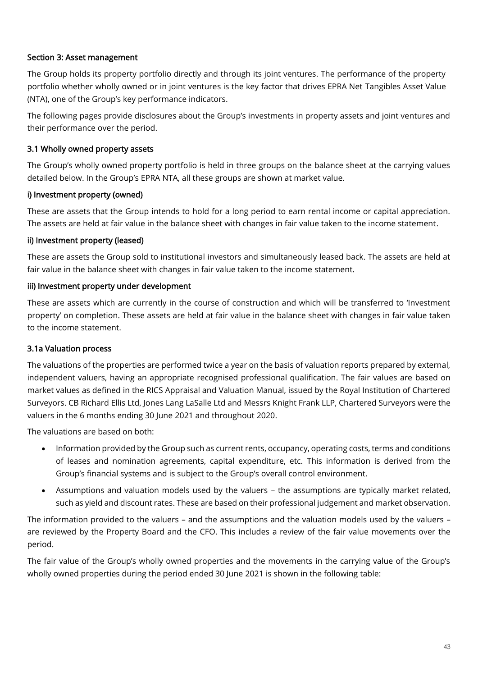# Section 3: Asset management

The Group holds its property portfolio directly and through its joint ventures. The performance of the property portfolio whether wholly owned or in joint ventures is the key factor that drives EPRA Net Tangibles Asset Value (NTA), one of the Group's key performance indicators.

The following pages provide disclosures about the Group's investments in property assets and joint ventures and their performance over the period.

# 3.1 Wholly owned property assets

The Group's wholly owned property portfolio is held in three groups on the balance sheet at the carrying values detailed below. In the Group's EPRA NTA, all these groups are shown at market value.

# i) Investment property (owned)

These are assets that the Group intends to hold for a long period to earn rental income or capital appreciation. The assets are held at fair value in the balance sheet with changes in fair value taken to the income statement.

# ii) Investment property (leased)

These are assets the Group sold to institutional investors and simultaneously leased back. The assets are held at fair value in the balance sheet with changes in fair value taken to the income statement.

# iii) Investment property under development

These are assets which are currently in the course of construction and which will be transferred to 'Investment property' on completion. These assets are held at fair value in the balance sheet with changes in fair value taken to the income statement.

# 3.1a Valuation process

The valuations of the properties are performed twice a year on the basis of valuation reports prepared by external, independent valuers, having an appropriate recognised professional qualification. The fair values are based on market values as defined in the RICS Appraisal and Valuation Manual, issued by the Royal Institution of Chartered Surveyors. CB Richard Ellis Ltd, Jones Lang LaSalle Ltd and Messrs Knight Frank LLP, Chartered Surveyors were the valuers in the 6 months ending 30 June 2021 and throughout 2020.

The valuations are based on both:

- Information provided by the Group such as current rents, occupancy, operating costs, terms and conditions of leases and nomination agreements, capital expenditure, etc. This information is derived from the Group's financial systems and is subject to the Group's overall control environment.
- Assumptions and valuation models used by the valuers the assumptions are typically market related, such as yield and discount rates. These are based on their professional judgement and market observation.

The information provided to the valuers – and the assumptions and the valuation models used by the valuers – are reviewed by the Property Board and the CFO. This includes a review of the fair value movements over the period.

The fair value of the Group's wholly owned properties and the movements in the carrying value of the Group's wholly owned properties during the period ended 30 June 2021 is shown in the following table: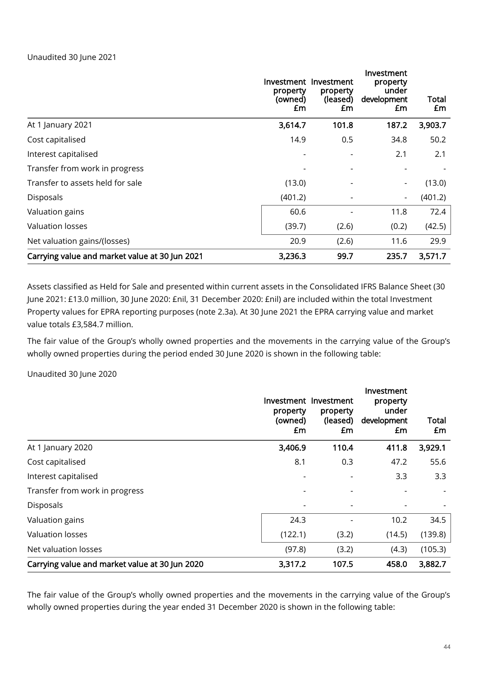# Unaudited 30 June 2021

|                                                | property<br>(owned)<br>£m | Investment Investment<br>property<br>(leased)<br>£m | Investment<br>property<br>under<br>development<br>£m | Total<br>£m |
|------------------------------------------------|---------------------------|-----------------------------------------------------|------------------------------------------------------|-------------|
| At 1 January 2021                              | 3,614.7                   | 101.8                                               | 187.2                                                | 3,903.7     |
| Cost capitalised                               | 14.9                      | 0.5                                                 | 34.8                                                 | 50.2        |
| Interest capitalised                           |                           | $\overline{a}$                                      | 2.1                                                  | 2.1         |
| Transfer from work in progress                 |                           |                                                     |                                                      |             |
| Transfer to assets held for sale               | (13.0)                    |                                                     |                                                      | (13.0)      |
| Disposals                                      | (401.2)                   |                                                     | $\overline{\phantom{a}}$                             | (401.2)     |
| Valuation gains                                | 60.6                      |                                                     | 11.8                                                 | 72.4        |
| <b>Valuation losses</b>                        | (39.7)                    | (2.6)                                               | (0.2)                                                | (42.5)      |
| Net valuation gains/(losses)                   | 20.9                      | (2.6)                                               | 11.6                                                 | 29.9        |
| Carrying value and market value at 30 Jun 2021 | 3,236.3                   | 99.7                                                | 235.7                                                | 3,571.7     |

Assets classified as Held for Sale and presented within current assets in the Consolidated IFRS Balance Sheet (30 June 2021: £13.0 million, 30 June 2020: £nil, 31 December 2020: £nil) are included within the total Investment Property values for EPRA reporting purposes (note 2.3a). At 30 June 2021 the EPRA carrying value and market value totals £3,584.7 million.

The fair value of the Group's wholly owned properties and the movements in the carrying value of the Group's wholly owned properties during the period ended 30 June 2020 is shown in the following table:

Unaudited 30 June 2020

|                                                | property<br>(owned)<br>£m | Investment Investment<br>property<br>(leased)<br>£m | Investment<br>property<br>under<br>development<br>£m | Total<br>£m |
|------------------------------------------------|---------------------------|-----------------------------------------------------|------------------------------------------------------|-------------|
| At 1 January 2020                              | 3,406.9                   | 110.4                                               | 411.8                                                | 3,929.1     |
| Cost capitalised                               | 8.1                       | 0.3                                                 | 47.2                                                 | 55.6        |
| Interest capitalised                           |                           |                                                     | 3.3                                                  | 3.3         |
| Transfer from work in progress                 |                           |                                                     |                                                      |             |
| Disposals                                      |                           |                                                     |                                                      |             |
| Valuation gains                                | 24.3                      |                                                     | 10.2                                                 | 34.5        |
| Valuation losses                               | (122.1)                   | (3.2)                                               | (14.5)                                               | (139.8)     |
| Net valuation losses                           | (97.8)                    | (3.2)                                               | (4.3)                                                | (105.3)     |
| Carrying value and market value at 30 Jun 2020 | 3,317.2                   | 107.5                                               | 458.0                                                | 3,882.7     |

The fair value of the Group's wholly owned properties and the movements in the carrying value of the Group's wholly owned properties during the year ended 31 December 2020 is shown in the following table: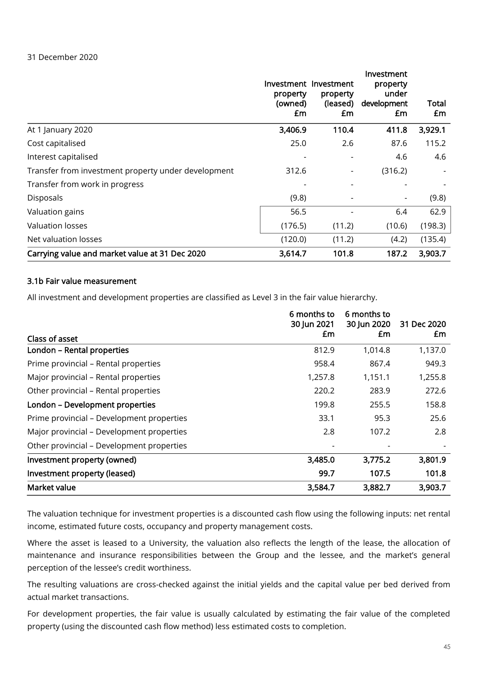|                                                     | property<br>(owned)<br>£m | Investment Investment<br>property<br>(leased)<br>£m | Investment<br>property<br>under<br>development<br>£m | Total<br>£m |
|-----------------------------------------------------|---------------------------|-----------------------------------------------------|------------------------------------------------------|-------------|
| At 1 January 2020                                   | 3,406.9                   | 110.4                                               | 411.8                                                | 3,929.1     |
| Cost capitalised                                    | 25.0                      | 2.6                                                 | 87.6                                                 | 115.2       |
| Interest capitalised                                | -                         | $\overline{\phantom{a}}$                            | 4.6                                                  | 4.6         |
| Transfer from investment property under development | 312.6                     |                                                     | (316.2)                                              |             |
| Transfer from work in progress                      |                           |                                                     |                                                      |             |
| Disposals                                           | (9.8)                     |                                                     |                                                      | (9.8)       |
| Valuation gains                                     | 56.5                      |                                                     | 6.4                                                  | 62.9        |
| <b>Valuation losses</b>                             | (176.5)                   | (11.2)                                              | (10.6)                                               | (198.3)     |
| Net valuation losses                                | (120.0)                   | (11.2)                                              | (4.2)                                                | (135.4)     |
| Carrying value and market value at 31 Dec 2020      | 3,614.7                   | 101.8                                               | 187.2                                                | 3,903.7     |

# 3.1b Fair value measurement

All investment and development properties are classified as Level 3 in the fair value hierarchy.

|                                           | 6 months to<br>30 Jun 2021 | 6 months to<br>30 Jun 2020 | 31 Dec 2020 |
|-------------------------------------------|----------------------------|----------------------------|-------------|
| Class of asset                            | £m                         | £m                         | £m          |
| London - Rental properties                | 812.9                      | 1,014.8                    | 1,137.0     |
| Prime provincial - Rental properties      | 958.4                      | 867.4                      | 949.3       |
| Major provincial – Rental properties      | 1,257.8                    | 1,151.1                    | 1,255.8     |
| Other provincial - Rental properties      | 220.2                      | 283.9                      | 272.6       |
| London - Development properties           | 199.8                      | 255.5                      | 158.8       |
| Prime provincial - Development properties | 33.1                       | 95.3                       | 25.6        |
| Major provincial – Development properties | 2.8                        | 107.2                      | 2.8         |
| Other provincial – Development properties |                            |                            |             |
| Investment property (owned)               | 3,485.0                    | 3,775.2                    | 3,801.9     |
| Investment property (leased)              | 99.7                       | 107.5                      | 101.8       |
| Market value                              | 3,584.7                    | 3,882.7                    | 3,903.7     |

The valuation technique for investment properties is a discounted cash flow using the following inputs: net rental income, estimated future costs, occupancy and property management costs.

Where the asset is leased to a University, the valuation also reflects the length of the lease, the allocation of maintenance and insurance responsibilities between the Group and the lessee, and the market's general perception of the lessee's credit worthiness.

The resulting valuations are cross-checked against the initial yields and the capital value per bed derived from actual market transactions.

For development properties, the fair value is usually calculated by estimating the fair value of the completed property (using the discounted cash flow method) less estimated costs to completion.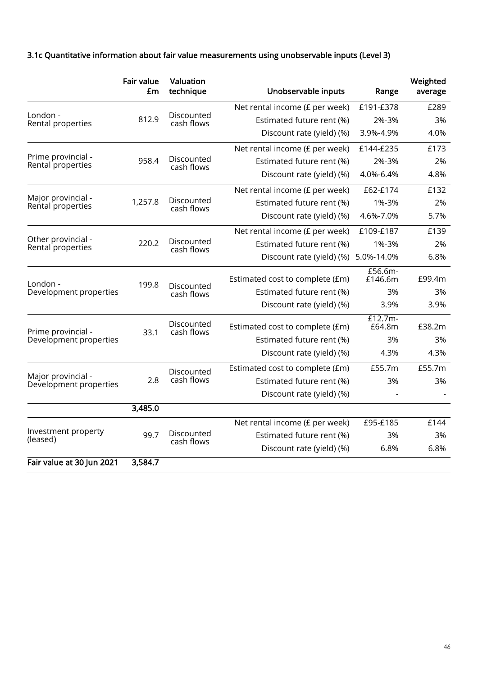# 3.1c Quantitative information about fair value measurements using unobservable inputs (Level 3)

|                                              | <b>Fair value</b><br>£m | Valuation<br>technique   | Unobservable inputs             | Range               | Weighted<br>average |
|----------------------------------------------|-------------------------|--------------------------|---------------------------------|---------------------|---------------------|
|                                              |                         |                          | Net rental income (£ per week)  | £191-£378           | £289                |
| London -<br>Rental properties                | 812.9                   | Discounted<br>cash flows | Estimated future rent (%)       | 2%-3%               | 3%                  |
|                                              |                         |                          | Discount rate (yield) (%)       | 3.9%-4.9%           | 4.0%                |
|                                              |                         |                          | Net rental income (£ per week)  | £144-£235           | £173                |
| Prime provincial -<br>Rental properties      | 958.4                   | Discounted<br>cash flows | Estimated future rent (%)       | 2%-3%               | 2%                  |
|                                              |                         |                          | Discount rate (yield) (%)       | 4.0%-6.4%           | 4.8%                |
|                                              |                         |                          | Net rental income (£ per week)  | £62-£174            | £132                |
| Major provincial -<br>Rental properties      | 1,257.8                 | Discounted<br>cash flows | Estimated future rent (%)       | 1%-3%               | 2%                  |
|                                              |                         |                          | Discount rate (yield) (%)       | 4.6%-7.0%           | 5.7%                |
|                                              |                         |                          | Net rental income (£ per week)  | £109-£187           | £139                |
| Other provincial -<br>Rental properties      | 220.2                   | Discounted<br>cash flows | Estimated future rent (%)       | 1%-3%               | 2%                  |
|                                              |                         |                          | Discount rate (yield) (%)       | 5.0%-14.0%          | 6.8%                |
| London -                                     | 199.8                   | Discounted<br>cash flows | Estimated cost to complete (£m) | £56.6m-<br>£146.6m  | £99.4m              |
| Development properties                       |                         |                          | Estimated future rent (%)       | 3%                  | 3%                  |
|                                              |                         |                          | Discount rate (yield) (%)       | 3.9%                | 3.9%                |
| Prime provincial -                           | 33.1                    | Discounted<br>cash flows | Estimated cost to complete (£m) | $£12.7m-$<br>£64.8m | £38.2m              |
| Development properties                       |                         |                          | Estimated future rent (%)       | 3%                  | 3%                  |
|                                              |                         |                          | Discount rate (yield) (%)       | 4.3%                | 4.3%                |
|                                              |                         | Discounted               | Estimated cost to complete (£m) | £55.7m              | £55.7m              |
| Major provincial -<br>Development properties | 2.8                     | cash flows               | Estimated future rent (%)       | 3%                  | 3%                  |
|                                              |                         |                          | Discount rate (yield) (%)       |                     |                     |
|                                              | 3,485.0                 |                          |                                 |                     |                     |
|                                              |                         |                          | Net rental income (£ per week)  | £95-£185            | £144                |
| Investment property<br>(leased)              | 99.7                    | Discounted<br>cash flows | Estimated future rent (%)       | 3%                  | 3%                  |
|                                              |                         |                          | Discount rate (yield) (%)       | 6.8%                | 6.8%                |
| Fair value at 30 Jun 2021                    | 3,584.7                 |                          |                                 |                     |                     |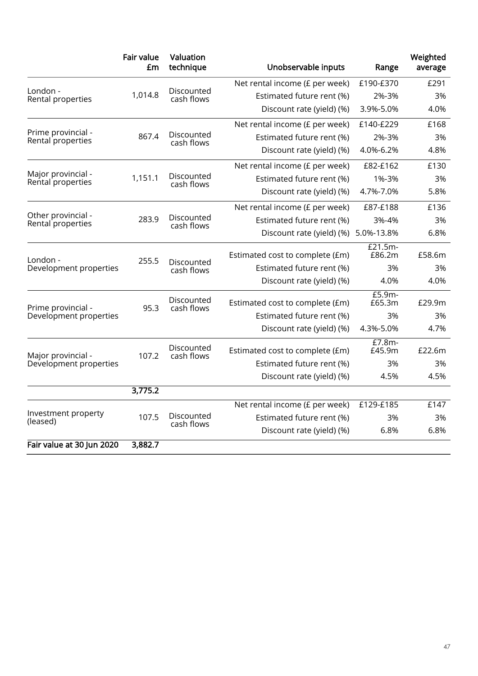|                                         | <b>Fair value</b><br>£m | Valuation<br>technique           | Unobservable inputs             | Range             | Weighted<br>average |
|-----------------------------------------|-------------------------|----------------------------------|---------------------------------|-------------------|---------------------|
|                                         |                         |                                  | Net rental income (£ per week)  | £190-£370         | £291                |
| London -<br>Rental properties           | 1,014.8                 | Discounted<br>cash flows         | Estimated future rent (%)       | 2%-3%             | 3%                  |
|                                         |                         |                                  | Discount rate (yield) (%)       | 3.9%-5.0%         | 4.0%                |
|                                         |                         |                                  | Net rental income (£ per week)  | £140-£229         | £168                |
| Prime provincial -<br>Rental properties | 867.4                   | Discounted<br>cash flows         | Estimated future rent (%)       | 2%-3%             | 3%                  |
|                                         |                         |                                  | Discount rate (yield) (%)       | 4.0%-6.2%         | 4.8%                |
|                                         |                         |                                  | Net rental income (£ per week)  | £82-£162          | £130                |
| Major provincial -<br>Rental properties | 1,151.1                 | Discounted<br>cash flows         | Estimated future rent (%)       | 1%-3%             | 3%                  |
|                                         |                         |                                  | Discount rate (yield) (%)       | 4.7%-7.0%         | 5.8%                |
|                                         |                         |                                  | Net rental income (£ per week)  | £87-£188          | £136                |
| Other provincial -<br>Rental properties | 283.9                   | Discounted<br>cash flows         | Estimated future rent (%)       | 3%-4%             | 3%                  |
|                                         |                         |                                  | Discount rate (yield) (%)       | 5.0%-13.8%        | 6.8%                |
| I ondon -                               | 255.5                   |                                  | Estimated cost to complete (£m) | £21.5m-<br>£86.2m | £58.6m              |
| Development properties                  |                         | Discounted<br>cash flows         | Estimated future rent (%)       | 3%                | 3%                  |
|                                         |                         |                                  | Discount rate (yield) (%)       | 4.0%              | 4.0%                |
| Prime provincial -                      |                         | Discounted<br>95.3<br>cash flows | Estimated cost to complete (£m) | £5.9m-<br>£65.3m  | £29.9m              |
| Development properties                  |                         |                                  | Estimated future rent (%)       | 3%                | 3%                  |
|                                         |                         |                                  | Discount rate (yield) (%)       | 4.3%-5.0%         | 4.7%                |
| Major provincial -                      | 107.2                   | Discounted<br>cash flows         | Estimated cost to complete (£m) | £7.8m-<br>£45.9m  | £22.6m              |
| Development properties                  |                         |                                  | Estimated future rent (%)       | 3%                | 3%                  |
|                                         |                         |                                  | Discount rate (yield) (%)       | 4.5%              | 4.5%                |
|                                         | 3,775.2                 |                                  |                                 |                   |                     |
|                                         |                         |                                  | Net rental income (£ per week)  | £129-£185         | £147                |
| Investment property<br>(leased)         | 107.5                   | Discounted<br>cash flows         | Estimated future rent (%)       | 3%                | 3%                  |
|                                         |                         |                                  | Discount rate (yield) (%)       | 6.8%              | 6.8%                |
| Fair value at 30 Jun 2020               | 3,882.7                 |                                  |                                 |                   |                     |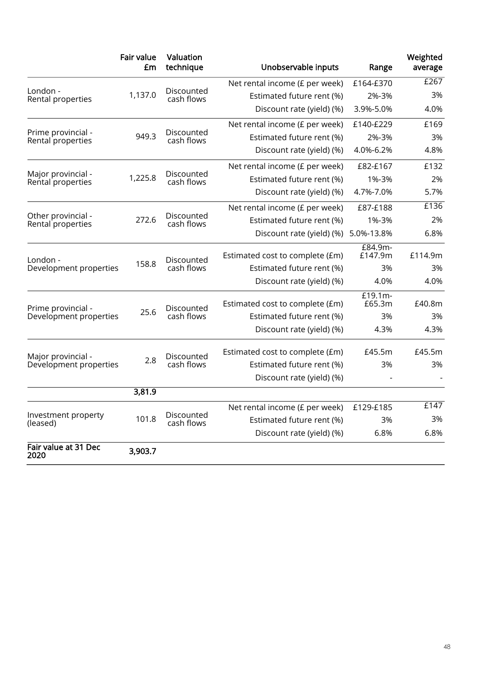|                                         | <b>Fair value</b><br>£m | Valuation<br>technique            | Unobservable inputs                  | Range              | Weighted<br>average |
|-----------------------------------------|-------------------------|-----------------------------------|--------------------------------------|--------------------|---------------------|
|                                         |                         |                                   | Net rental income (£ per week)       | £164-£370          | E267                |
| London -<br>Rental properties           | 1,137.0                 | Discounted<br>cash flows          | Estimated future rent (%)            | 2%-3%              | 3%                  |
|                                         |                         |                                   | Discount rate (yield) (%)            | 3.9%-5.0%          | 4.0%                |
|                                         |                         |                                   | Net rental income (£ per week)       | £140-£229          | £169                |
| Prime provincial -<br>Rental properties | 949.3                   | Discounted<br>cash flows          | Estimated future rent (%)            | 2%-3%              | 3%                  |
|                                         |                         |                                   | Discount rate (yield) (%)            | 4.0%-6.2%          | 4.8%                |
|                                         |                         |                                   | Net rental income (£ per week)       | £82-£167           | £132                |
| Major provincial -<br>Rental properties | 1,225.8                 | Discounted<br>cash flows          | Estimated future rent (%)            | 1%-3%              | 2%                  |
|                                         |                         |                                   | Discount rate (yield) (%)            | 4.7%-7.0%          | 5.7%                |
|                                         |                         |                                   | Net rental income (£ per week)       | £87-£188           | £136                |
| Other provincial -<br>Rental properties | 272.6                   | Discounted<br>cash flows          | Estimated future rent (%)            | 1%-3%              | 2%                  |
|                                         |                         |                                   | Discount rate (yield) (%) 5.0%-13.8% |                    | 6.8%                |
| London -                                |                         | Discounted<br>158.8<br>cash flows | Estimated cost to complete (£m)      | £84.9m-<br>£147.9m | £114.9m             |
| Development properties                  |                         |                                   | Estimated future rent (%)            | 3%                 | 3%                  |
|                                         |                         |                                   | Discount rate (yield) (%)            | 4.0%               | 4.0%                |
| Prime provincial -                      |                         | Discounted                        | Estimated cost to complete (£m)      | £19.1m-<br>£65.3m  | £40.8m              |
| Development properties                  | 25.6                    | cash flows                        | Estimated future rent (%)            | 3%                 | 3%                  |
|                                         |                         |                                   | Discount rate (yield) (%)            | 4.3%               | 4.3%                |
| Major provincial -                      |                         | Discounted                        | Estimated cost to complete (£m)      | £45.5m             | £45.5m              |
| Development properties                  | 2.8                     | cash flows                        | Estimated future rent (%)            | 3%                 | 3%                  |
|                                         |                         |                                   | Discount rate (yield) (%)            |                    |                     |
|                                         | 3,81.9                  |                                   |                                      |                    |                     |
|                                         |                         |                                   | Net rental income (£ per week)       | £129-£185          | £147                |
| Investment property<br>(leased)         | 101.8                   | Discounted<br>cash flows          | Estimated future rent (%)            | 3%                 | 3%                  |
|                                         |                         |                                   | Discount rate (yield) (%)            | 6.8%               | 6.8%                |
| Fair value at 31 Dec<br>2020            | 3,903.7                 |                                   |                                      |                    |                     |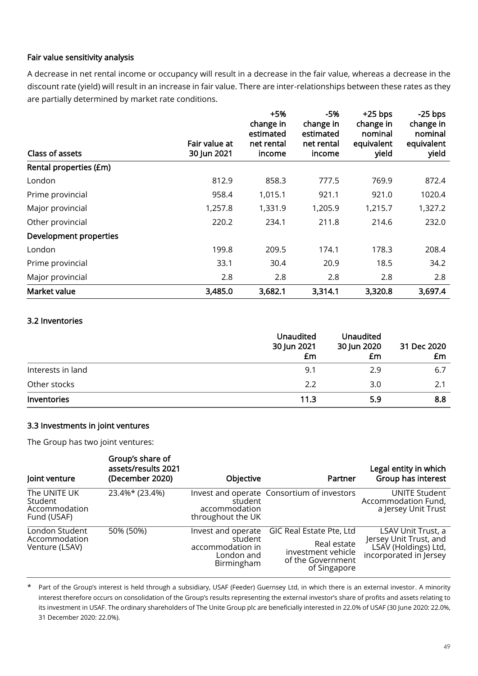# Fair value sensitivity analysis

A decrease in net rental income or occupancy will result in a decrease in the fair value, whereas a decrease in the discount rate (yield) will result in an increase in fair value. There are inter-relationships between these rates as they are partially determined by market rate conditions.

| Class of assets        | Fair value at<br>30 Jun 2021 | $+5%$<br>change in<br>estimated<br>net rental<br>income | $-5%$<br>change in<br>estimated<br>net rental<br>income | $+25$ bps<br>change in<br>nominal<br>equivalent<br>yield | $-25$ bps<br>change in<br>nominal<br>equivalent<br>yield |
|------------------------|------------------------------|---------------------------------------------------------|---------------------------------------------------------|----------------------------------------------------------|----------------------------------------------------------|
| Rental properties (£m) |                              |                                                         |                                                         |                                                          |                                                          |
| London                 | 812.9                        | 858.3                                                   | 777.5                                                   | 769.9                                                    | 872.4                                                    |
| Prime provincial       | 958.4                        | 1,015.1                                                 | 921.1                                                   | 921.0                                                    | 1020.4                                                   |
| Major provincial       | 1,257.8                      | 1,331.9                                                 | 1,205.9                                                 | 1,215.7                                                  | 1,327.2                                                  |
| Other provincial       | 220.2                        | 234.1                                                   | 211.8                                                   | 214.6                                                    | 232.0                                                    |
| Development properties |                              |                                                         |                                                         |                                                          |                                                          |
| London                 | 199.8                        | 209.5                                                   | 174.1                                                   | 178.3                                                    | 208.4                                                    |
| Prime provincial       | 33.1                         | 30.4                                                    | 20.9                                                    | 18.5                                                     | 34.2                                                     |
| Major provincial       | 2.8                          | 2.8                                                     | 2.8                                                     | 2.8                                                      | 2.8                                                      |
| Market value           | 3,485.0                      | 3,682.1                                                 | 3,314.1                                                 | 3,320.8                                                  | 3,697.4                                                  |

### 3.2 Inventories

|                   | <b>Unaudited</b><br>30 Jun 2021<br>£m | <b>Unaudited</b><br>30 Jun 2020<br>£m | 31 Dec 2020<br>£m |
|-------------------|---------------------------------------|---------------------------------------|-------------------|
| Interests in land | 9.1                                   | 2.9                                   | 6.7               |
| Other stocks      | 2.2                                   | 3.0                                   | 2.1               |
| Inventories       | 11.3                                  | 5.9                                   | 8.8               |

# 3.3 Investments in joint ventures

The Group has two joint ventures:

| Joint venture                                           | Group's share of<br>assets/results 2021<br>(December 2020) | Objective                                                                     | Partner                                                                                            | Legal entity in which<br>Group has interest                                                    |
|---------------------------------------------------------|------------------------------------------------------------|-------------------------------------------------------------------------------|----------------------------------------------------------------------------------------------------|------------------------------------------------------------------------------------------------|
| The UNITE UK<br>Student<br>Accommodation<br>Fund (USAF) | 23.4%* (23.4%)                                             | student<br>accommodation<br>throughout the UK                                 | Invest and operate Consortium of investors                                                         | UNITE Student<br>Accommodation Fund,<br>a Jersey Unit Trust                                    |
| London Student<br>Accommodation<br>Venture (LSAV)       | 50% (50%)                                                  | Invest and operate<br>student<br>accommodation in<br>London and<br>Birmingham | GIC Real Estate Pte, Ltd<br>Real estate<br>investment vehicle<br>of the Government<br>of Singapore | LSAV Unit Trust, a<br>Jersey Unit Trust, and<br>LSAV (Holdings) Ltd,<br>incorporated in Jersey |

\* Part of the Group's interest is held through a subsidiary, USAF (Feeder) Guernsey Ltd, in which there is an external investor. A minority interest therefore occurs on consolidation of the Group's results representing the external investor's share of profits and assets relating to its investment in USAF. The ordinary shareholders of The Unite Group plc are beneficially interested in 22.0% of USAF (30 June 2020: 22.0%, 31 December 2020: 22.0%).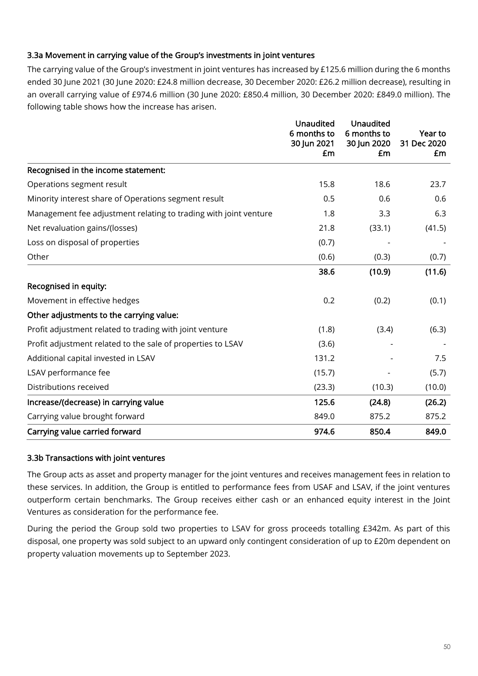# 3.3a Movement in carrying value of the Group's investments in joint ventures

The carrying value of the Group's investment in joint ventures has increased by £125.6 million during the 6 months ended 30 June 2021 (30 June 2020: £24.8 million decrease, 30 December 2020: £26.2 million decrease), resulting in an overall carrying value of £974.6 million (30 June 2020: £850.4 million, 30 December 2020: £849.0 million). The following table shows how the increase has arisen.

|                                                                  | <b>Unaudited</b><br>6 months to<br>30 Jun 2021<br>£m | <b>Unaudited</b><br>6 months to<br>30 Jun 2020<br>£m | Year to<br>31 Dec 2020<br>£m |
|------------------------------------------------------------------|------------------------------------------------------|------------------------------------------------------|------------------------------|
| Recognised in the income statement:                              |                                                      |                                                      |                              |
| Operations segment result                                        | 15.8                                                 | 18.6                                                 | 23.7                         |
| Minority interest share of Operations segment result             | 0.5                                                  | 0.6                                                  | 0.6                          |
| Management fee adjustment relating to trading with joint venture | 1.8                                                  | 3.3                                                  | 6.3                          |
| Net revaluation gains/(losses)                                   | 21.8                                                 | (33.1)                                               | (41.5)                       |
| Loss on disposal of properties                                   | (0.7)                                                |                                                      |                              |
| Other                                                            | (0.6)                                                | (0.3)                                                | (0.7)                        |
|                                                                  | 38.6                                                 | (10.9)                                               | (11.6)                       |
| Recognised in equity:                                            |                                                      |                                                      |                              |
| Movement in effective hedges                                     | 0.2                                                  | (0.2)                                                | (0.1)                        |
| Other adjustments to the carrying value:                         |                                                      |                                                      |                              |
| Profit adjustment related to trading with joint venture          | (1.8)                                                | (3.4)                                                | (6.3)                        |
| Profit adjustment related to the sale of properties to LSAV      | (3.6)                                                |                                                      |                              |
| Additional capital invested in LSAV                              | 131.2                                                |                                                      | 7.5                          |
| LSAV performance fee                                             | (15.7)                                               |                                                      | (5.7)                        |
| Distributions received                                           | (23.3)                                               | (10.3)                                               | (10.0)                       |
| Increase/(decrease) in carrying value                            | 125.6                                                | (24.8)                                               | (26.2)                       |
| Carrying value brought forward                                   | 849.0                                                | 875.2                                                | 875.2                        |
| Carrying value carried forward                                   | 974.6                                                | 850.4                                                | 849.0                        |

# 3.3b Transactions with joint ventures

The Group acts as asset and property manager for the joint ventures and receives management fees in relation to these services. In addition, the Group is entitled to performance fees from USAF and LSAV, if the joint ventures outperform certain benchmarks. The Group receives either cash or an enhanced equity interest in the Joint Ventures as consideration for the performance fee.

During the period the Group sold two properties to LSAV for gross proceeds totalling £342m. As part of this disposal, one property was sold subject to an upward only contingent consideration of up to £20m dependent on property valuation movements up to September 2023.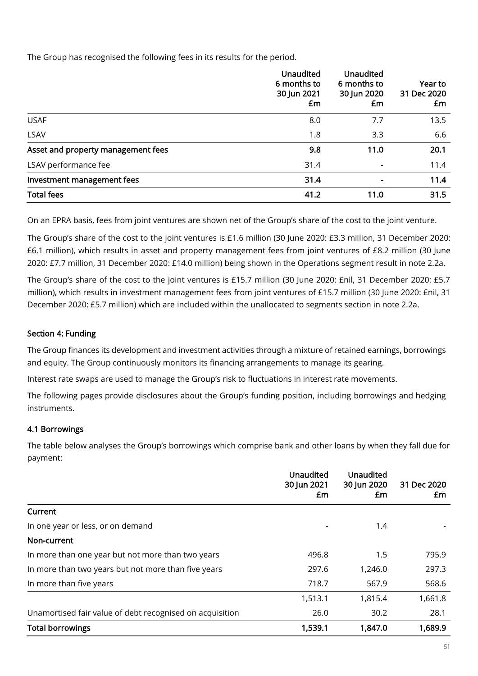The Group has recognised the following fees in its results for the period.

|                                    | <b>Unaudited</b><br>6 months to<br>30 Jun 2021<br>£m | <b>Unaudited</b><br>6 months to<br>30 Jun 2020<br>£m | Year to<br>31 Dec 2020<br>£m |
|------------------------------------|------------------------------------------------------|------------------------------------------------------|------------------------------|
| <b>USAF</b>                        | 8.0                                                  | 7.7                                                  | 13.5                         |
| LSAV                               | 1.8                                                  | 3.3                                                  | 6.6                          |
| Asset and property management fees | 9.8                                                  | 11.0                                                 | 20.1                         |
| LSAV performance fee               | 31.4                                                 | $\overline{\phantom{a}}$                             | 11.4                         |
| Investment management fees         | 31.4                                                 | $\blacksquare$                                       | 11.4                         |
| <b>Total fees</b>                  | 41.2                                                 | 11.0                                                 | 31.5                         |

On an EPRA basis, fees from joint ventures are shown net of the Group's share of the cost to the joint venture.

The Group's share of the cost to the joint ventures is £1.6 million (30 June 2020: £3.3 million, 31 December 2020: £6.1 million), which results in asset and property management fees from joint ventures of £8.2 million (30 June 2020: £7.7 million, 31 December 2020: £14.0 million) being shown in the Operations segment result in note 2.2a.

The Group's share of the cost to the joint ventures is £15.7 million (30 June 2020: £nil, 31 December 2020: £5.7 million), which results in investment management fees from joint ventures of £15.7 million (30 June 2020: £nil, 31 December 2020: £5.7 million) which are included within the unallocated to segments section in note 2.2a.

# Section 4: Funding

The Group finances its development and investment activities through a mixture of retained earnings, borrowings and equity. The Group continuously monitors its financing arrangements to manage its gearing.

Interest rate swaps are used to manage the Group's risk to fluctuations in interest rate movements.

The following pages provide disclosures about the Group's funding position, including borrowings and hedging instruments.

# 4.1 Borrowings

The table below analyses the Group's borrowings which comprise bank and other loans by when they fall due for payment:

|                                                          | Unaudited<br>30 Jun 2021<br>£m | <b>Unaudited</b><br>30 Jun 2020<br>£m | 31 Dec 2020<br>£m |
|----------------------------------------------------------|--------------------------------|---------------------------------------|-------------------|
| Current                                                  |                                |                                       |                   |
| In one year or less, or on demand                        |                                | 1.4                                   |                   |
| Non-current                                              |                                |                                       |                   |
| In more than one year but not more than two years        | 496.8                          | 1.5                                   | 795.9             |
| In more than two years but not more than five years      | 297.6                          | 1,246.0                               | 297.3             |
| In more than five years                                  | 718.7                          | 567.9                                 | 568.6             |
|                                                          | 1,513.1                        | 1,815.4                               | 1,661.8           |
| Unamortised fair value of debt recognised on acquisition | 26.0                           | 30.2                                  | 28.1              |
| <b>Total borrowings</b>                                  | 1,539.1                        | 1,847.0                               | 1,689.9           |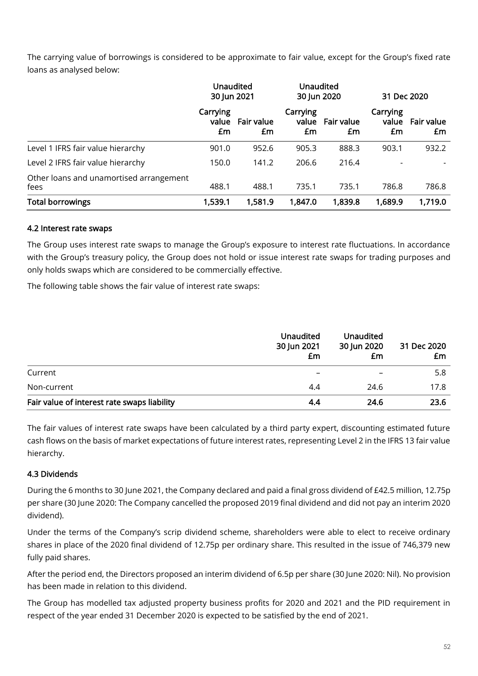The carrying value of borrowings is considered to be approximate to fair value, except for the Group's fixed rate loans as analysed below:

|                                                 | <b>Unaudited</b><br>30 Jun 2021 |                  |                         | <b>Unaudited</b><br>30 Jun 2020 |                         | 31 Dec 2020      |  |
|-------------------------------------------------|---------------------------------|------------------|-------------------------|---------------------------------|-------------------------|------------------|--|
|                                                 | Carrying<br>value<br>£m         | Fair value<br>£m | Carrying<br>value<br>£m | <b>Fair value</b><br>£m         | Carrying<br>value<br>£m | Fair value<br>£m |  |
| Level 1 IFRS fair value hierarchy               | 901.0                           | 952.6            | 905.3                   | 888.3                           | 903.1                   | 932.2            |  |
| Level 2 IFRS fair value hierarchy               | 150.0                           | 141.2            | 206.6                   | 216.4                           |                         |                  |  |
| Other loans and unamortised arrangement<br>fees | 488.1                           | 488.1            | 735.1                   | 735.1                           | 786.8                   | 786.8            |  |
| <b>Total borrowings</b>                         | 1,539.1                         | 1,581.9          | 1,847.0                 | 1,839.8                         | 1,689.9                 | 1,719.0          |  |

# 4.2 Interest rate swaps

The Group uses interest rate swaps to manage the Group's exposure to interest rate fluctuations. In accordance with the Group's treasury policy, the Group does not hold or issue interest rate swaps for trading purposes and only holds swaps which are considered to be commercially effective.

The following table shows the fair value of interest rate swaps:

|                                             | <b>Unaudited</b><br>30 Jun 2021<br>£m | Unaudited<br>30 Jun 2020<br>£m | 31 Dec 2020<br>£m |
|---------------------------------------------|---------------------------------------|--------------------------------|-------------------|
| Current                                     | -                                     | $\qquad \qquad$                | 5.8               |
| Non-current                                 | 4.4                                   | 24.6                           | 17.8              |
| Fair value of interest rate swaps liability | 4.4                                   | 24.6                           | 23.6              |

The fair values of interest rate swaps have been calculated by a third party expert, discounting estimated future cash flows on the basis of market expectations of future interest rates, representing Level 2 in the IFRS 13 fair value hierarchy.

# 4.3 Dividends

During the 6 months to 30 June 2021, the Company declared and paid a final gross dividend of £42.5 million, 12.75p per share (30 June 2020: The Company cancelled the proposed 2019 final dividend and did not pay an interim 2020 dividend).

Under the terms of the Company's scrip dividend scheme, shareholders were able to elect to receive ordinary shares in place of the 2020 final dividend of 12.75p per ordinary share. This resulted in the issue of 746,379 new fully paid shares.

After the period end, the Directors proposed an interim dividend of 6.5p per share (30 June 2020: Nil). No provision has been made in relation to this dividend.

The Group has modelled tax adjusted property business profits for 2020 and 2021 and the PID requirement in respect of the year ended 31 December 2020 is expected to be satisfied by the end of 2021.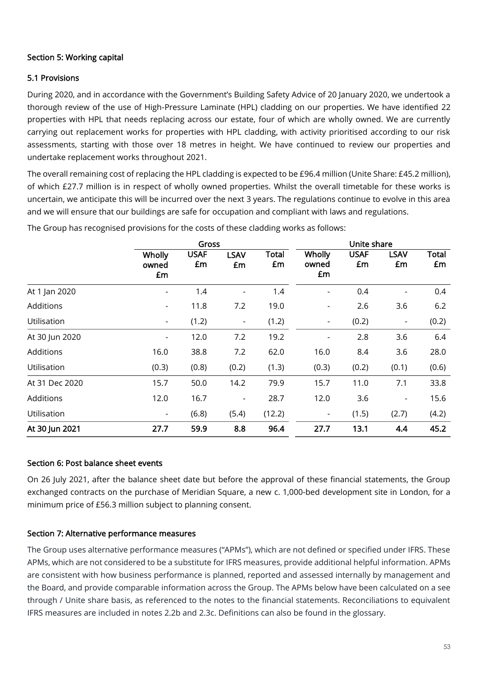# Section 5: Working capital

# 5.1 Provisions

During 2020, and in accordance with the Government's Building Safety Advice of 20 January 2020, we undertook a thorough review of the use of High-Pressure Laminate (HPL) cladding on our properties. We have identified 22 properties with HPL that needs replacing across our estate, four of which are wholly owned. We are currently carrying out replacement works for properties with HPL cladding, with activity prioritised according to our risk assessments, starting with those over 18 metres in height. We have continued to review our properties and undertake replacement works throughout 2021.

The overall remaining cost of replacing the HPL cladding is expected to be £96.4 million (Unite Share: £45.2 million), of which £27.7 million is in respect of wholly owned properties. Whilst the overall timetable for these works is uncertain, we anticipate this will be incurred over the next 3 years. The regulations continue to evolve in this area and we will ensure that our buildings are safe for occupation and compliant with laws and regulations.

|                |                          | Gross             |                          |                    |                          | Unite share       |                          |             |
|----------------|--------------------------|-------------------|--------------------------|--------------------|--------------------------|-------------------|--------------------------|-------------|
|                | Wholly<br>owned<br>£m    | <b>USAF</b><br>£m | <b>LSAV</b><br>£m        | <b>Total</b><br>£m | Wholly<br>owned<br>£m    | <b>USAF</b><br>£m | <b>LSAV</b><br>£m        | Total<br>£m |
| At 1 Jan 2020  |                          | 1.4               |                          | 1.4                |                          | 0.4               |                          | 0.4         |
| Additions      | $\overline{\phantom{a}}$ | 11.8              | 7.2                      | 19.0               | $\overline{\phantom{a}}$ | 2.6               | 3.6                      | 6.2         |
| Utilisation    | $\overline{\phantom{a}}$ | (1.2)             | $\blacksquare$           | (1.2)              | $\blacksquare$           | (0.2)             | $\overline{\phantom{a}}$ | (0.2)       |
| At 30 Jun 2020 | $\overline{\phantom{a}}$ | 12.0              | 7.2                      | 19.2               | $\overline{\phantom{a}}$ | 2.8               | 3.6                      | 6.4         |
| Additions      | 16.0                     | 38.8              | 7.2                      | 62.0               | 16.0                     | 8.4               | 3.6                      | 28.0        |
| Utilisation    | (0.3)                    | (0.8)             | (0.2)                    | (1.3)              | (0.3)                    | (0.2)             | (0.1)                    | (0.6)       |
| At 31 Dec 2020 | 15.7                     | 50.0              | 14.2                     | 79.9               | 15.7                     | 11.0              | 7.1                      | 33.8        |
| Additions      | 12.0                     | 16.7              | $\overline{\phantom{a}}$ | 28.7               | 12.0                     | 3.6               | $\overline{\phantom{a}}$ | 15.6        |
| Utilisation    | $\sim$                   | (6.8)             | (5.4)                    | (12.2)             | $\blacksquare$           | (1.5)             | (2.7)                    | (4.2)       |
| At 30 Jun 2021 | 27.7                     | 59.9              | 8.8                      | 96.4               | 27.7                     | 13.1              | 4.4                      | 45.2        |

The Group has recognised provisions for the costs of these cladding works as follows:

# Section 6: Post balance sheet events

On 26 July 2021, after the balance sheet date but before the approval of these financial statements, the Group exchanged contracts on the purchase of Meridian Square, a new c. 1,000-bed development site in London, for a minimum price of £56.3 million subject to planning consent.

# Section 7: Alternative performance measures

The Group uses alternative performance measures ("APMs"), which are not defined or specified under IFRS. These APMs, which are not considered to be a substitute for IFRS measures, provide additional helpful information. APMs are consistent with how business performance is planned, reported and assessed internally by management and the Board, and provide comparable information across the Group. The APMs below have been calculated on a see through / Unite share basis, as referenced to the notes to the financial statements. Reconciliations to equivalent IFRS measures are included in notes 2.2b and 2.3c. Definitions can also be found in the glossary.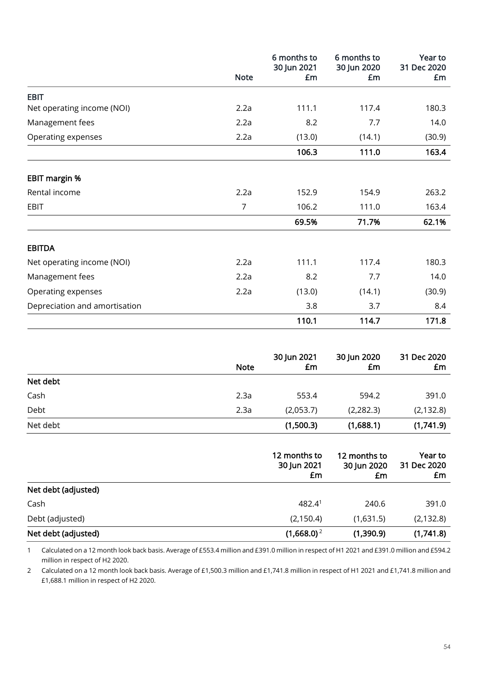|                               | <b>Note</b> | 6 months to<br>30 Jun 2021<br>£m | 6 months to<br>30 Jun 2020<br>£m | Year to<br>31 Dec 2020<br>£m |
|-------------------------------|-------------|----------------------------------|----------------------------------|------------------------------|
| <b>EBIT</b>                   |             |                                  |                                  |                              |
| Net operating income (NOI)    | 2.2a        | 111.1                            | 117.4                            | 180.3                        |
| Management fees               | 2.2a        | 8.2                              | 7.7                              | 14.0                         |
| Operating expenses            | 2.2a        | (13.0)                           | (14.1)                           | (30.9)                       |
|                               |             | 106.3                            | 111.0                            | 163.4                        |
| <b>EBIT margin %</b>          |             |                                  |                                  |                              |
| Rental income                 | 2.2a        | 152.9                            | 154.9                            | 263.2                        |
| EBIT                          | 7           | 106.2                            | 111.0                            | 163.4                        |
|                               |             | 69.5%                            | 71.7%                            | 62.1%                        |
| <b>EBITDA</b>                 |             |                                  |                                  |                              |
| Net operating income (NOI)    | 2.2a        | 111.1                            | 117.4                            | 180.3                        |
| Management fees               | 2.2a        | 8.2                              | 7.7                              | 14.0                         |
| Operating expenses            | 2.2a        | (13.0)                           | (14.1)                           | (30.9)                       |
| Depreciation and amortisation |             | 3.8                              | 3.7                              | 8.4                          |
|                               |             | 110.1                            | 114.7                            | 171.8                        |

|          | <b>Note</b> | 30 Jun 2021<br>£m | 30 Jun 2020<br>£m | 31 Dec 2020<br>£m |
|----------|-------------|-------------------|-------------------|-------------------|
| Net debt |             |                   |                   |                   |
| Cash     | 2.3a        | 553.4             | 594.2             | 391.0             |
| Debt     | 2.3a        | (2,053.7)         | (2, 282.3)        | (2, 132.8)        |
| Net debt |             | (1,500.3)         | (1,688.1)         | (1,741.9)         |

|                     | 12 months to<br>30 Jun 2021<br>£m | 12 months to<br>30 Jun 2020<br>£m | Year to<br>31 Dec 2020<br>£m |
|---------------------|-----------------------------------|-----------------------------------|------------------------------|
| Net debt (adjusted) |                                   |                                   |                              |
| Cash                | 482.4 <sup>1</sup>                | 240.6                             | 391.0                        |
| Debt (adjusted)     | (2, 150.4)                        | (1,631.5)                         | (2, 132.8)                   |
| Net debt (adjusted) | $(1,668.0)^2$                     | (1,390.9)                         | (1,741.8)                    |

1 Calculated on a 12 month look back basis. Average of £553.4 million and £391.0 million in respect of H1 2021 and £391.0 million and £594.2 million in respect of H2 2020.

2 Calculated on a 12 month look back basis. Average of £1,500.3 million and £1,741.8 million in respect of H1 2021 and £1,741.8 million and £1,688.1 million in respect of H2 2020.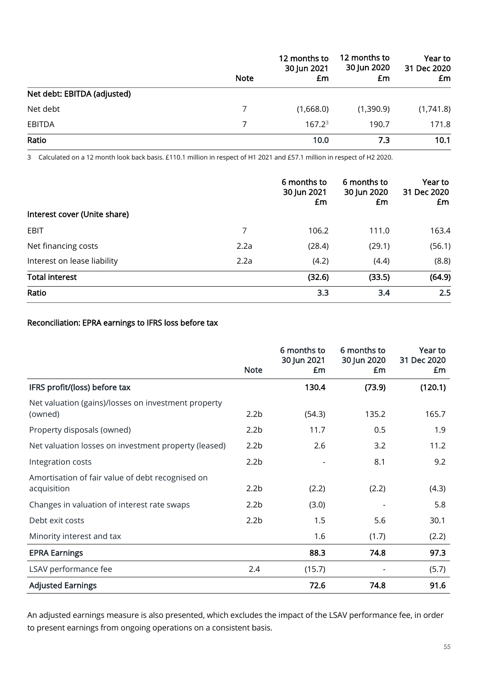|                             | <b>Note</b> | 12 months to<br>30 Jun 2021<br>£m | 12 months to<br>30 Jun 2020<br>£m | Year to<br>31 Dec 2020<br>£m |  |
|-----------------------------|-------------|-----------------------------------|-----------------------------------|------------------------------|--|
| Net debt: EBITDA (adjusted) |             |                                   |                                   |                              |  |
| Net debt                    |             | (1,668.0)                         | (1,390.9)                         | (1,741.8)                    |  |
| <b>EBITDA</b>               |             | $167.2^3$                         | 190.7                             | 171.8                        |  |
| Ratio                       |             | 10.0                              | 7.3                               | 10.1                         |  |

3 Calculated on a 12 month look back basis. £110.1 million in respect of H1 2021 and £57.1 million in respect of H2 2020.

|                              |      | 6 months to<br>30 Jun 2021<br>£m | 6 months to<br>30 Jun 2020<br>£m | Year to<br>31 Dec 2020<br>£m |
|------------------------------|------|----------------------------------|----------------------------------|------------------------------|
| Interest cover (Unite share) |      |                                  |                                  |                              |
| EBIT                         | 7    | 106.2                            | 111.0                            | 163.4                        |
| Net financing costs          | 2.2a | (28.4)                           | (29.1)                           | (56.1)                       |
| Interest on lease liability  | 2.2a | (4.2)                            | (4.4)                            | (8.8)                        |
| <b>Total interest</b>        |      | (32.6)                           | (33.5)                           | (64.9)                       |
| Ratio                        |      | 3.3                              | 3.4                              | 2.5                          |

# Reconciliation: EPRA earnings to IFRS loss before tax

|                                                                 |                  | 6 months to<br>30 Jun 2021 | 6 months to<br>30 Jun 2020 | Year to<br>31 Dec 2020 |
|-----------------------------------------------------------------|------------------|----------------------------|----------------------------|------------------------|
|                                                                 | <b>Note</b>      | £m                         | £m                         | £m                     |
| IFRS profit/(loss) before tax                                   |                  | 130.4                      | (73.9)                     | (120.1)                |
| Net valuation (gains)/losses on investment property<br>(owned)  | 2.2 <sub>b</sub> | (54.3)                     | 135.2                      | 165.7                  |
| Property disposals (owned)                                      | 2.2 <sub>b</sub> | 11.7                       | 0.5                        | 1.9                    |
| Net valuation losses on investment property (leased)            | 2.2 <sub>b</sub> | 2.6                        | 3.2                        | 11.2                   |
| Integration costs                                               | 2.2 <sub>b</sub> |                            | 8.1                        | 9.2                    |
| Amortisation of fair value of debt recognised on<br>acquisition | 2.2 <sub>b</sub> | (2.2)                      | (2.2)                      | (4.3)                  |
| Changes in valuation of interest rate swaps                     | 2.2 <sub>b</sub> | (3.0)                      |                            | 5.8                    |
| Debt exit costs                                                 | 2.2 <sub>b</sub> | 1.5                        | 5.6                        | 30.1                   |
| Minority interest and tax                                       |                  | 1.6                        | (1.7)                      | (2.2)                  |
| <b>EPRA Earnings</b>                                            |                  | 88.3                       | 74.8                       | 97.3                   |
| LSAV performance fee                                            | 2.4              | (15.7)                     |                            | (5.7)                  |
| <b>Adjusted Earnings</b>                                        |                  | 72.6                       | 74.8                       | 91.6                   |

An adjusted earnings measure is also presented, which excludes the impact of the LSAV performance fee, in order to present earnings from ongoing operations on a consistent basis.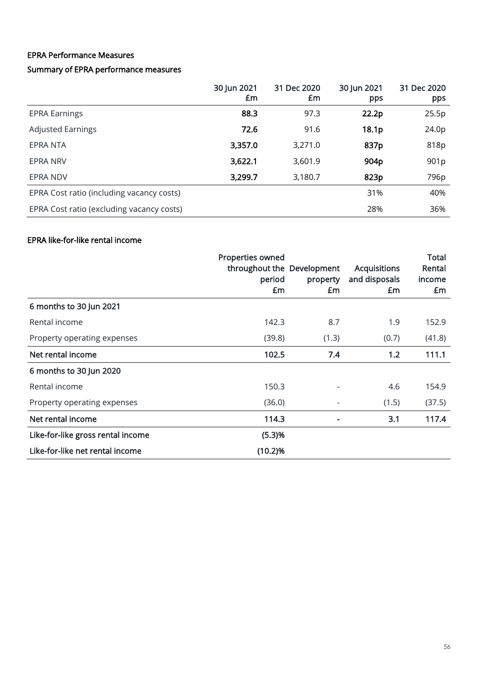# EPRA Performance Measures

# Summary of EPRA performance measures

|                                           | 30 Jun 2021<br>£m | 31 Dec 2020<br>£m | 30 Jun 2021<br>pps | 31 Dec 2020<br>pps |
|-------------------------------------------|-------------------|-------------------|--------------------|--------------------|
| <b>EPRA Earnings</b>                      | 88.3              | 97.3              | 22.2p              | 25.5p              |
| <b>Adjusted Earnings</b>                  | 72.6              | 91.6              | 18.1p              | 24.0p              |
| <b>EPRA NTA</b>                           | 3,357.0           | 3,271.0           | 837p               | 818p               |
| <b>EPRA NRV</b>                           | 3,622.1           | 3,601.9           | 904p               | 901 <sub>p</sub>   |
| <b>EPRA NDV</b>                           | 3,299.7           | 3,180.7           | 823p               | 796 <sub>p</sub>   |
| EPRA Cost ratio (including vacancy costs) |                   |                   | 31%                | 40%                |
| EPRA Cost ratio (excluding vacancy costs) |                   |                   | 28%                | 36%                |

# EPRA like-for-like rental income

|                                   | Properties owned<br>throughout the Development<br>period<br>£m | property<br>£m | <b>Acquisitions</b><br>and disposals<br>£m | <b>Total</b><br>Rental<br>income<br>£m |
|-----------------------------------|----------------------------------------------------------------|----------------|--------------------------------------------|----------------------------------------|
| 6 months to 30 Jun 2021           |                                                                |                |                                            |                                        |
| Rental income                     | 142.3                                                          | 8.7            | 1.9                                        | 152.9                                  |
| Property operating expenses       | (39.8)                                                         | (1.3)          | (0.7)                                      | (41.8)                                 |
| Net rental income                 | 102.5                                                          | 7.4            | 1.2                                        | 111.1                                  |
| 6 months to 30 Jun 2020           |                                                                |                |                                            |                                        |
| Rental income                     | 150.3                                                          |                | 4.6                                        | 154.9                                  |
| Property operating expenses       | (36.0)                                                         |                | (1.5)                                      | (37.5)                                 |
| Net rental income                 | 114.3                                                          |                | 3.1                                        | 117.4                                  |
| Like-for-like gross rental income | (5.3)%                                                         |                |                                            |                                        |
| Like-for-like net rental income   | (10.2)%                                                        |                |                                            |                                        |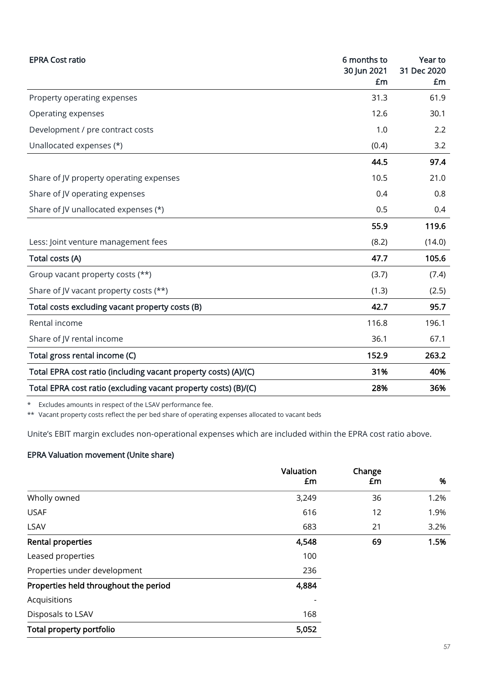| <b>EPRA Cost ratio</b>                                          | 6 months to<br>30 Jun 2021<br>£m | Year to<br>31 Dec 2020<br>£m |
|-----------------------------------------------------------------|----------------------------------|------------------------------|
| Property operating expenses                                     | 31.3                             | 61.9                         |
| Operating expenses                                              | 12.6                             | 30.1                         |
| Development / pre contract costs                                | 1.0                              | 2.2                          |
| Unallocated expenses (*)                                        | (0.4)                            | 3.2                          |
|                                                                 | 44.5                             | 97.4                         |
| Share of JV property operating expenses                         | 10.5                             | 21.0                         |
| Share of JV operating expenses                                  | 0.4                              | 0.8                          |
| Share of JV unallocated expenses (*)                            | 0.5                              | 0.4                          |
|                                                                 | 55.9                             | 119.6                        |
| Less: Joint venture management fees                             | (8.2)                            | (14.0)                       |
| Total costs (A)                                                 | 47.7                             | 105.6                        |
| Group vacant property costs (**)                                | (3.7)                            | (7.4)                        |
| Share of JV vacant property costs (**)                          | (1.3)                            | (2.5)                        |
| Total costs excluding vacant property costs (B)                 | 42.7                             | 95.7                         |
| Rental income                                                   | 116.8                            | 196.1                        |
| Share of JV rental income                                       | 36.1                             | 67.1                         |
| Total gross rental income (C)                                   | 152.9                            | 263.2                        |
| Total EPRA cost ratio (including vacant property costs) (A)/(C) | 31%                              | 40%                          |
| Total EPRA cost ratio (excluding vacant property costs) (B)/(C) | 28%                              | 36%                          |

\* Excludes amounts in respect of the LSAV performance fee.

\*\* Vacant property costs reflect the per bed share of operating expenses allocated to vacant beds

Unite's EBIT margin excludes non-operational expenses which are included within the EPRA cost ratio above.

# EPRA Valuation movement (Unite share)

|                                       | Valuation | Change |      |
|---------------------------------------|-----------|--------|------|
|                                       | £m        | £m     | %    |
| Wholly owned                          | 3,249     | 36     | 1.2% |
| <b>USAF</b>                           | 616       | 12     | 1.9% |
| LSAV                                  | 683       | 21     | 3.2% |
| <b>Rental properties</b>              | 4,548     | 69     | 1.5% |
| Leased properties                     | 100       |        |      |
| Properties under development          | 236       |        |      |
| Properties held throughout the period | 4,884     |        |      |
| Acquisitions                          |           |        |      |
| Disposals to LSAV                     | 168       |        |      |
| Total property portfolio              | 5,052     |        |      |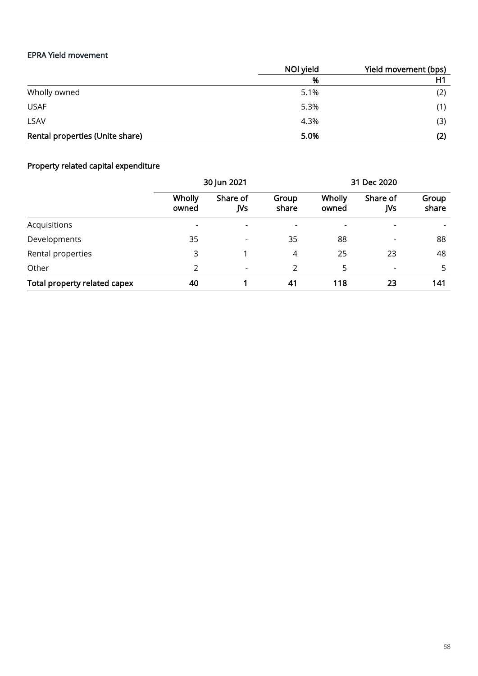# EPRA Yield movement

|                                 | NOI yield | Yield movement (bps) |
|---------------------------------|-----------|----------------------|
|                                 | %         | H1                   |
| Wholly owned                    | 5.1%      | (2)                  |
| <b>USAF</b>                     | 5.3%      | (1)                  |
| <b>LSAV</b>                     | 4.3%      | (3)                  |
| Rental properties (Unite share) | 5.0%      | (2)                  |

# Property related capital expenditure

|                              | 30 Jun 2021     |                 | 31 Dec 2020    |                 |                          |                |
|------------------------------|-----------------|-----------------|----------------|-----------------|--------------------------|----------------|
|                              | Wholly<br>owned | Share of<br>JVs | Group<br>share | Wholly<br>owned | Share of<br>JVs          | Group<br>share |
| Acquisitions                 |                 |                 | $\overline{a}$ |                 |                          |                |
| Developments                 | 35              |                 | 35             | 88              | $\overline{\phantom{0}}$ | 88             |
| Rental properties            | 3               |                 | 4              | 25              | 23                       | 48             |
| Other                        |                 |                 | 2              | 5               |                          | 5              |
| Total property related capex | 40              |                 | 41             | 118             | 23                       | 141            |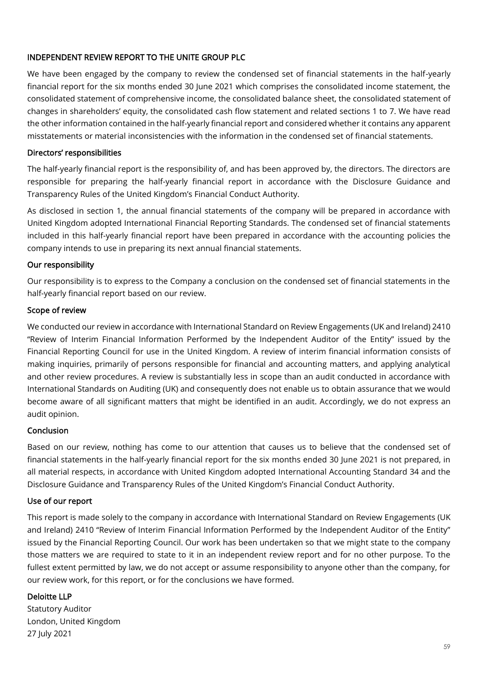# INDEPENDENT REVIEW REPORT TO THE UNITE GROUP PLC

We have been engaged by the company to review the condensed set of financial statements in the half-yearly financial report for the six months ended 30 June 2021 which comprises the consolidated income statement, the consolidated statement of comprehensive income, the consolidated balance sheet, the consolidated statement of changes in shareholders' equity, the consolidated cash flow statement and related sections 1 to 7. We have read the other information contained in the half-yearly financial report and considered whether it contains any apparent misstatements or material inconsistencies with the information in the condensed set of financial statements.

### Directors' responsibilities

The half-yearly financial report is the responsibility of, and has been approved by, the directors. The directors are responsible for preparing the half-yearly financial report in accordance with the Disclosure Guidance and Transparency Rules of the United Kingdom's Financial Conduct Authority.

As disclosed in section 1, the annual financial statements of the company will be prepared in accordance with United Kingdom adopted International Financial Reporting Standards. The condensed set of financial statements included in this half-yearly financial report have been prepared in accordance with the accounting policies the company intends to use in preparing its next annual financial statements.

### Our responsibility

Our responsibility is to express to the Company a conclusion on the condensed set of financial statements in the half-yearly financial report based on our review.

### Scope of review

We conducted our review in accordance with International Standard on Review Engagements (UK and Ireland) 2410 "Review of Interim Financial Information Performed by the Independent Auditor of the Entity" issued by the Financial Reporting Council for use in the United Kingdom. A review of interim financial information consists of making inquiries, primarily of persons responsible for financial and accounting matters, and applying analytical and other review procedures. A review is substantially less in scope than an audit conducted in accordance with International Standards on Auditing (UK) and consequently does not enable us to obtain assurance that we would become aware of all significant matters that might be identified in an audit. Accordingly, we do not express an audit opinion.

### Conclusion

Based on our review, nothing has come to our attention that causes us to believe that the condensed set of financial statements in the half-yearly financial report for the six months ended 30 June 2021 is not prepared, in all material respects, in accordance with United Kingdom adopted International Accounting Standard 34 and the Disclosure Guidance and Transparency Rules of the United Kingdom's Financial Conduct Authority.

# Use of our report

This report is made solely to the company in accordance with International Standard on Review Engagements (UK and Ireland) 2410 "Review of Interim Financial Information Performed by the Independent Auditor of the Entity" issued by the Financial Reporting Council. Our work has been undertaken so that we might state to the company those matters we are required to state to it in an independent review report and for no other purpose. To the fullest extent permitted by law, we do not accept or assume responsibility to anyone other than the company, for our review work, for this report, or for the conclusions we have formed.

# Deloitte LLP

Statutory Auditor London, United Kingdom 27 July 2021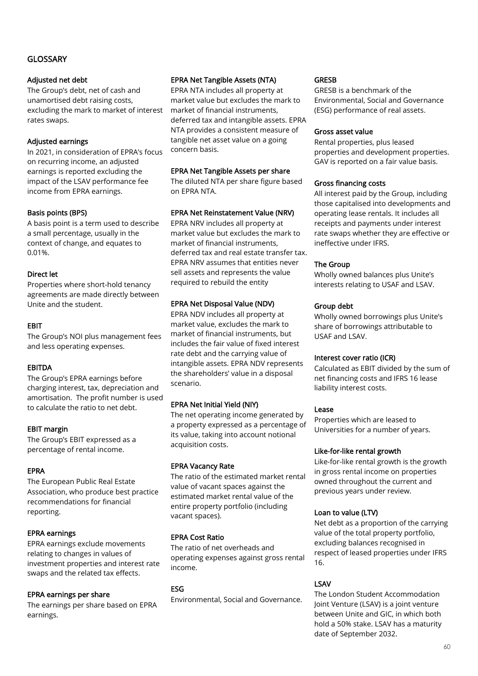# GLOSSARY

#### Adjusted net debt

The Group's debt, net of cash and unamortised debt raising costs, excluding the mark to market of interest rates swaps.

### Adjusted earnings

In 2021, in consideration of EPRA's focus on recurring income, an adjusted earnings is reported excluding the impact of the LSAV performance fee income from EPRA earnings.

### Basis points (BPS)

A basis point is a term used to describe a small percentage, usually in the context of change, and equates to 0.01%.

### Direct let

Properties where short-hold tenancy agreements are made directly between Unite and the student.

### EBIT

The Group's NOI plus management fees and less operating expenses.

### EBITDA

The Group's EPRA earnings before charging interest, tax, depreciation and amortisation. The profit number is used to calculate the ratio to net debt.

### EBIT margin

The Group's EBIT expressed as a percentage of rental income.

### EPRA

The European Public Real Estate Association, who produce best practice recommendations for financial reporting.

### EPRA earnings

EPRA earnings exclude movements relating to changes in values of investment properties and interest rate swaps and the related tax effects.

### EPRA earnings per share

The earnings per share based on EPRA earnings.

### EPRA Net Tangible Assets (NTA)

EPRA NTA includes all property at market value but excludes the mark to market of financial instruments, deferred tax and intangible assets. EPRA NTA provides a consistent measure of tangible net asset value on a going concern basis.

### EPRA Net Tangible Assets per share

The diluted NTA per share figure based on EPRA NTA.

### EPRA Net Reinstatement Value (NRV)

EPRA NRV includes all property at market value but excludes the mark to market of financial instruments, deferred tax and real estate transfer tax. EPRA NRV assumes that entities never sell assets and represents the value required to rebuild the entity

# EPRA Net Disposal Value (NDV)

EPRA NDV includes all property at market value, excludes the mark to market of financial instruments, but includes the fair value of fixed interest rate debt and the carrying value of intangible assets. EPRA NDV represents the shareholders' value in a disposal scenario.

# EPRA Net Initial Yield (NIY)

The net operating income generated by a property expressed as a percentage of its value, taking into account notional acquisition costs.

# EPRA Vacancy Rate

The ratio of the estimated market rental value of vacant spaces against the estimated market rental value of the entire property portfolio (including vacant spaces).

### EPRA Cost Ratio

The ratio of net overheads and operating expenses against gross rental income.

### ESG

Environmental, Social and Governance.

### **GRESB**

GRESB is a benchmark of the Environmental, Social and Governance (ESG) performance of real assets.

#### Gross asset value

Rental properties, plus leased properties and development properties. GAV is reported on a fair value basis.

### Gross financing costs

All interest paid by the Group, including those capitalised into developments and operating lease rentals. It includes all receipts and payments under interest rate swaps whether they are effective or ineffective under IFRS.

### The Group

Wholly owned balances plus Unite's interests relating to USAF and LSAV.

### Group debt

Wholly owned borrowings plus Unite's share of borrowings attributable to USAF and LSAV.

### Interest cover ratio (ICR)

Calculated as EBIT divided by the sum of net financing costs and IFRS 16 lease liability interest costs.

### Lease

Properties which are leased to Universities for a number of years.

### Like-for-like rental growth

Like-for-like rental growth is the growth in gross rental income on properties owned throughout the current and previous years under review.

# Loan to value (LTV)

Net debt as a proportion of the carrying value of the total property portfolio, excluding balances recognised in respect of leased properties under IFRS 16.

### LSAV

The London Student Accommodation Joint Venture (LSAV) is a joint venture between Unite and GIC, in which both hold a 50% stake. LSAV has a maturity date of September 2032.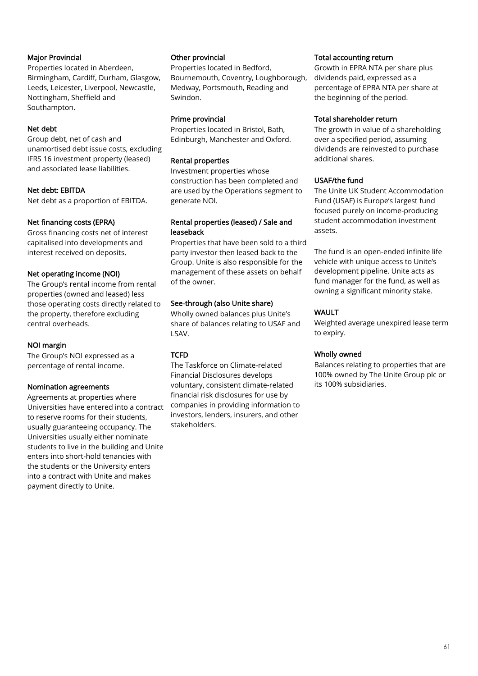### Major Provincial

Properties located in Aberdeen, Birmingham, Cardiff, Durham, Glasgow, Leeds, Leicester, Liverpool, Newcastle, Nottingham, Sheffield and Southampton.

### Net debt

Group debt, net of cash and unamortised debt issue costs, excluding IFRS 16 investment property (leased) and associated lease liabilities.

### Net debt: EBITDA

Net debt as a proportion of EBITDA.

### Net financing costs (EPRA)

Gross financing costs net of interest capitalised into developments and interest received on deposits.

### Net operating income (NOI)

The Group's rental income from rental properties (owned and leased) less those operating costs directly related to the property, therefore excluding central overheads.

### NOI margin

The Group's NOI expressed as a percentage of rental income.

### Nomination agreements

Agreements at properties where Universities have entered into a contract to reserve rooms for their students, usually guaranteeing occupancy. The Universities usually either nominate students to live in the building and Unite enters into short-hold tenancies with the students or the University enters into a contract with Unite and makes payment directly to Unite.

#### Other provincial

Properties located in Bedford, Bournemouth, Coventry, Loughborough, Medway, Portsmouth, Reading and Swindon.

#### Prime provincial

Properties located in Bristol, Bath, Edinburgh, Manchester and Oxford.

### Rental properties

Investment properties whose construction has been completed and are used by the Operations segment to generate NOI.

#### Rental properties (leased) / Sale and leaseback

Properties that have been sold to a third party investor then leased back to the Group. Unite is also responsible for the management of these assets on behalf of the owner.

### See-through (also Unite share)

Wholly owned balances plus Unite's share of balances relating to USAF and LSAV.

# **TCFD**

The Taskforce on Climate-related Financial Disclosures develops voluntary, consistent climate-related financial risk disclosures for use by companies in providing information to investors, lenders, insurers, and other stakeholders.

#### Total accounting return

Growth in EPRA NTA per share plus dividends paid, expressed as a percentage of EPRA NTA per share at the beginning of the period.

#### Total shareholder return

The growth in value of a shareholding over a specified period, assuming dividends are reinvested to purchase additional shares.

### USAF/the fund

The Unite UK Student Accommodation Fund (USAF) is Europe's largest fund focused purely on income-producing student accommodation investment assets.

The fund is an open-ended infinite life vehicle with unique access to Unite's development pipeline. Unite acts as fund manager for the fund, as well as owning a significant minority stake.

# WAULT

Weighted average unexpired lease term to expiry.

### Wholly owned

Balances relating to properties that are 100% owned by The Unite Group plc or its 100% subsidiaries.